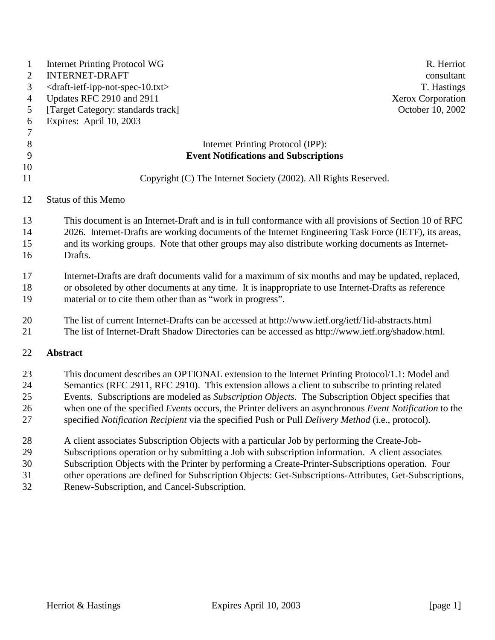| $\mathbf{1}$<br>$\overline{2}$<br>$\mathfrak{Z}$<br>$\overline{4}$<br>5<br>6<br>$\boldsymbol{7}$ | <b>Internet Printing Protocol WG</b><br>R. Herriot<br><b>INTERNET-DRAFT</b><br>consultant<br><draft-ietf-ipp-not-spec-10.txt><br/>T. Hastings<br/>Updates RFC 2910 and 2911<br/><b>Xerox Corporation</b><br/>[Target Category: standards track]<br/>October 10, 2002<br/>Expires: April 10, 2003</draft-ietf-ipp-not-spec-10.txt>                                                                                                                                                                                      |
|--------------------------------------------------------------------------------------------------|------------------------------------------------------------------------------------------------------------------------------------------------------------------------------------------------------------------------------------------------------------------------------------------------------------------------------------------------------------------------------------------------------------------------------------------------------------------------------------------------------------------------|
| $8\,$                                                                                            | Internet Printing Protocol (IPP):                                                                                                                                                                                                                                                                                                                                                                                                                                                                                      |
| 9                                                                                                | <b>Event Notifications and Subscriptions</b>                                                                                                                                                                                                                                                                                                                                                                                                                                                                           |
| 10<br>11                                                                                         | Copyright (C) The Internet Society (2002). All Rights Reserved.                                                                                                                                                                                                                                                                                                                                                                                                                                                        |
| 12                                                                                               | <b>Status of this Memo</b>                                                                                                                                                                                                                                                                                                                                                                                                                                                                                             |
| 13<br>14<br>15<br>16                                                                             | This document is an Internet-Draft and is in full conformance with all provisions of Section 10 of RFC<br>2026. Internet-Drafts are working documents of the Internet Engineering Task Force (IETF), its areas,<br>and its working groups. Note that other groups may also distribute working documents as Internet-<br>Drafts.                                                                                                                                                                                        |
| 17<br>18<br>19                                                                                   | Internet-Drafts are draft documents valid for a maximum of six months and may be updated, replaced,<br>or obsoleted by other documents at any time. It is inappropriate to use Internet-Drafts as reference<br>material or to cite them other than as "work in progress".                                                                                                                                                                                                                                              |
| 20<br>21                                                                                         | The list of current Internet-Drafts can be accessed at http://www.ietf.org/ietf/1id-abstracts.html<br>The list of Internet-Draft Shadow Directories can be accessed as http://www.ietf.org/shadow.html.                                                                                                                                                                                                                                                                                                                |
| 22                                                                                               | Abstract                                                                                                                                                                                                                                                                                                                                                                                                                                                                                                               |
| 23<br>24<br>25<br>26<br>27                                                                       | This document describes an OPTIONAL extension to the Internet Printing Protocol/1.1: Model and<br>Semantics (RFC 2911, RFC 2910). This extension allows a client to subscribe to printing related<br>Events. Subscriptions are modeled as Subscription Objects. The Subscription Object specifies that<br>when one of the specified Events occurs, the Printer delivers an asynchronous Event Notification to the<br>specified Notification Recipient via the specified Push or Pull Delivery Method (i.e., protocol). |
| 28<br>29<br>30<br>31<br>32                                                                       | A client associates Subscription Objects with a particular Job by performing the Create-Job-<br>Subscriptions operation or by submitting a Job with subscription information. A client associates<br>Subscription Objects with the Printer by performing a Create-Printer-Subscriptions operation. Four<br>other operations are defined for Subscription Objects: Get-Subscriptions-Attributes, Get-Subscriptions,<br>Renew-Subscription, and Cancel-Subscription.                                                     |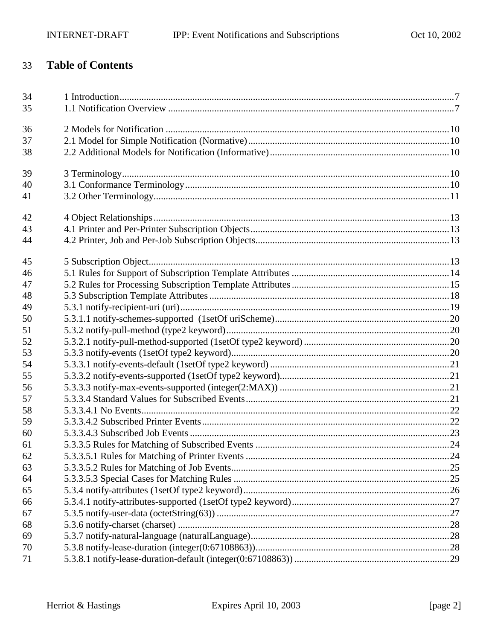#### **Table of Contents** 33

| 34 |  |  |  |
|----|--|--|--|
| 35 |  |  |  |
| 36 |  |  |  |
| 37 |  |  |  |
| 38 |  |  |  |
|    |  |  |  |
| 39 |  |  |  |
| 40 |  |  |  |
| 41 |  |  |  |
| 42 |  |  |  |
| 43 |  |  |  |
| 44 |  |  |  |
|    |  |  |  |
| 45 |  |  |  |
| 46 |  |  |  |
| 47 |  |  |  |
| 48 |  |  |  |
| 49 |  |  |  |
| 50 |  |  |  |
| 51 |  |  |  |
| 52 |  |  |  |
| 53 |  |  |  |
| 54 |  |  |  |
| 55 |  |  |  |
| 56 |  |  |  |
| 57 |  |  |  |
| 58 |  |  |  |
| 59 |  |  |  |
| 60 |  |  |  |
| 61 |  |  |  |
| 62 |  |  |  |
| 63 |  |  |  |
| 64 |  |  |  |
| 65 |  |  |  |
| 66 |  |  |  |
| 67 |  |  |  |
| 68 |  |  |  |
| 69 |  |  |  |
| 70 |  |  |  |
| 71 |  |  |  |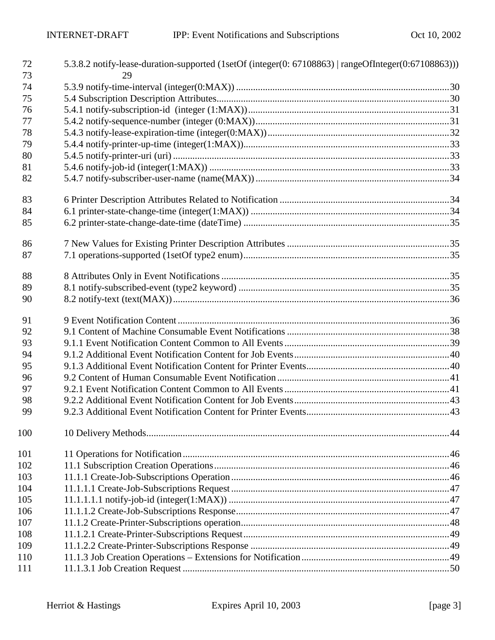| 72<br>73 | 5.3.8.2 notify-lease-duration-supported (1setOf (integer(0: 67108863)   rangeOfInteger(0:67108863))) |  |  |
|----------|------------------------------------------------------------------------------------------------------|--|--|
| 74       | 29                                                                                                   |  |  |
| 75       |                                                                                                      |  |  |
| 76       |                                                                                                      |  |  |
| 77       |                                                                                                      |  |  |
| 78       |                                                                                                      |  |  |
| 79       |                                                                                                      |  |  |
| 80       |                                                                                                      |  |  |
| 81       |                                                                                                      |  |  |
| 82       |                                                                                                      |  |  |
| 83       |                                                                                                      |  |  |
| 84       |                                                                                                      |  |  |
| 85       |                                                                                                      |  |  |
| 86       |                                                                                                      |  |  |
| 87       |                                                                                                      |  |  |
| 88       |                                                                                                      |  |  |
| 89       |                                                                                                      |  |  |
| 90       |                                                                                                      |  |  |
| 91       |                                                                                                      |  |  |
| 92       |                                                                                                      |  |  |
| 93       |                                                                                                      |  |  |
| 94       |                                                                                                      |  |  |
| 95       |                                                                                                      |  |  |
| 96       |                                                                                                      |  |  |
| 97       |                                                                                                      |  |  |
| 98       |                                                                                                      |  |  |
| 99       |                                                                                                      |  |  |
| 100      |                                                                                                      |  |  |
| 101      |                                                                                                      |  |  |
| 102      |                                                                                                      |  |  |
| 103      |                                                                                                      |  |  |
| 104      |                                                                                                      |  |  |
| 105      |                                                                                                      |  |  |
| 106      |                                                                                                      |  |  |
| 107      |                                                                                                      |  |  |
| 108      |                                                                                                      |  |  |
| 109      |                                                                                                      |  |  |
| 110      |                                                                                                      |  |  |
| 111      |                                                                                                      |  |  |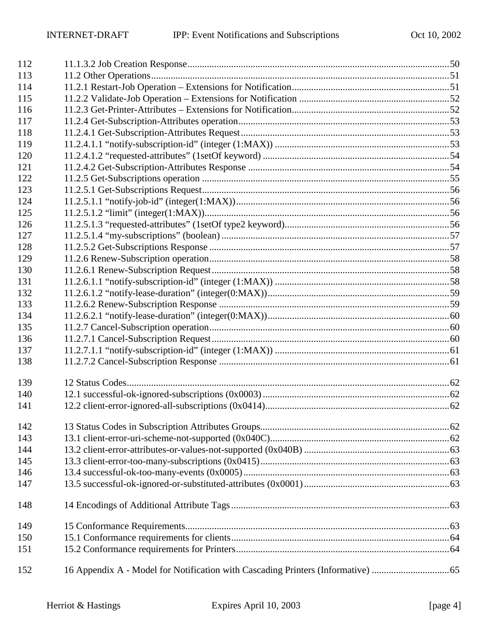| 112 |  |  |  |  |
|-----|--|--|--|--|
| 113 |  |  |  |  |
| 114 |  |  |  |  |
| 115 |  |  |  |  |
| 116 |  |  |  |  |
| 117 |  |  |  |  |
| 118 |  |  |  |  |
| 119 |  |  |  |  |
| 120 |  |  |  |  |
| 121 |  |  |  |  |
| 122 |  |  |  |  |
| 123 |  |  |  |  |
| 124 |  |  |  |  |
| 125 |  |  |  |  |
| 126 |  |  |  |  |
| 127 |  |  |  |  |
| 128 |  |  |  |  |
| 129 |  |  |  |  |
| 130 |  |  |  |  |
| 131 |  |  |  |  |
| 132 |  |  |  |  |
| 133 |  |  |  |  |
| 134 |  |  |  |  |
| 135 |  |  |  |  |
| 136 |  |  |  |  |
| 137 |  |  |  |  |
| 138 |  |  |  |  |
| 139 |  |  |  |  |
| 140 |  |  |  |  |
| 141 |  |  |  |  |
| 142 |  |  |  |  |
| 143 |  |  |  |  |
| 144 |  |  |  |  |
| 145 |  |  |  |  |
| 146 |  |  |  |  |
| 147 |  |  |  |  |
| 148 |  |  |  |  |
| 149 |  |  |  |  |
| 150 |  |  |  |  |
| 151 |  |  |  |  |
| 152 |  |  |  |  |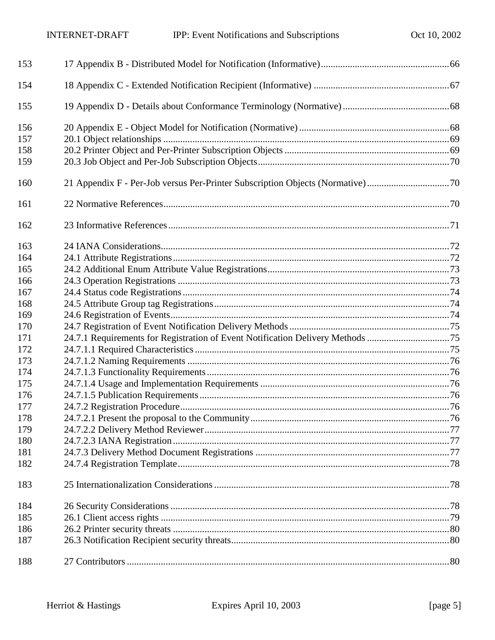| 153 |                                                                                |  |  |
|-----|--------------------------------------------------------------------------------|--|--|
| 154 |                                                                                |  |  |
| 155 |                                                                                |  |  |
| 156 |                                                                                |  |  |
| 157 |                                                                                |  |  |
| 158 |                                                                                |  |  |
| 159 |                                                                                |  |  |
| 160 | 21 Appendix F - Per-Job versus Per-Printer Subscription Objects (Normative)70  |  |  |
| 161 |                                                                                |  |  |
| 162 |                                                                                |  |  |
| 163 |                                                                                |  |  |
| 164 |                                                                                |  |  |
| 165 |                                                                                |  |  |
| 166 |                                                                                |  |  |
| 167 |                                                                                |  |  |
| 168 |                                                                                |  |  |
| 169 |                                                                                |  |  |
| 170 |                                                                                |  |  |
| 171 | 24.7.1 Requirements for Registration of Event Notification Delivery Methods 75 |  |  |
| 172 |                                                                                |  |  |
| 173 |                                                                                |  |  |
| 174 |                                                                                |  |  |
| 175 |                                                                                |  |  |
| 176 |                                                                                |  |  |
| 177 |                                                                                |  |  |
| 178 |                                                                                |  |  |
| 179 |                                                                                |  |  |
| 180 |                                                                                |  |  |
| 181 |                                                                                |  |  |
| 182 |                                                                                |  |  |
| 183 |                                                                                |  |  |
| 184 |                                                                                |  |  |
| 185 |                                                                                |  |  |
| 186 |                                                                                |  |  |
| 187 |                                                                                |  |  |
| 188 |                                                                                |  |  |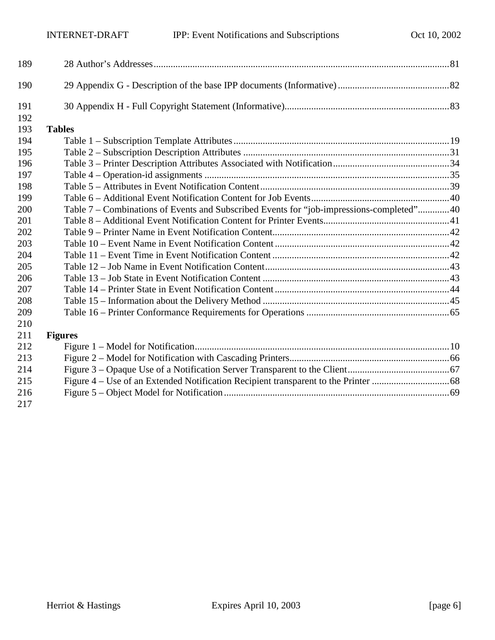| 189 |                                                                                          |  |
|-----|------------------------------------------------------------------------------------------|--|
| 190 |                                                                                          |  |
| 191 |                                                                                          |  |
| 192 |                                                                                          |  |
| 193 | <b>Tables</b>                                                                            |  |
| 194 |                                                                                          |  |
| 195 |                                                                                          |  |
| 196 |                                                                                          |  |
| 197 |                                                                                          |  |
| 198 |                                                                                          |  |
| 199 |                                                                                          |  |
| 200 | Table 7 - Combinations of Events and Subscribed Events for "job-impressions-completed"40 |  |
| 201 |                                                                                          |  |
| 202 |                                                                                          |  |
| 203 |                                                                                          |  |
| 204 |                                                                                          |  |
| 205 |                                                                                          |  |
| 206 |                                                                                          |  |
| 207 |                                                                                          |  |
| 208 |                                                                                          |  |
| 209 |                                                                                          |  |
| 210 |                                                                                          |  |
| 211 | <b>Figures</b>                                                                           |  |
| 212 |                                                                                          |  |
| 213 |                                                                                          |  |
| 214 |                                                                                          |  |
| 215 |                                                                                          |  |
| 216 |                                                                                          |  |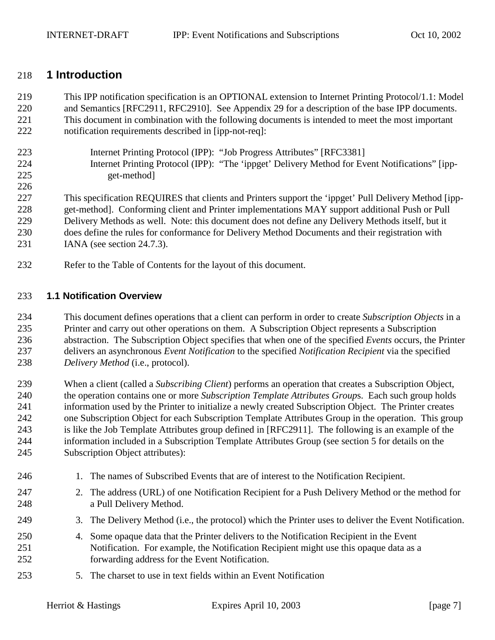## <span id="page-6-0"></span>**1 Introduction**

 This IPP notification specification is an OPTIONAL extension to Internet Printing Protocol/1.1: Model and Semantics [RFC2911, RFC2910]. See Appendix [29](#page-81-0) for a description of the base IPP documents. This document in combination with the following documents is intended to meet the most important notification requirements described in [ipp-not-req]:

 Internet Printing Protocol (IPP): "Job Progress Attributes" [RFC3381] Internet Printing Protocol (IPP): "The 'ippget' Delivery Method for Event Notifications" [ipp-get-method]

 This specification REQUIRES that clients and Printers support the 'ippget' Pull Delivery Method [ipp- get-method]. Conforming client and Printer implementations MAY support additional Push or Pull Delivery Methods as well. Note: this document does not define any Delivery Methods itself, but it does define the rules for conformance for Delivery Method Documents and their registration with IANA (see section [24.7.3\)](#page-76-0).

Refer to the Table of Contents for the layout of this document.

#### **1.1 Notification Overview**

 This document defines operations that a client can perform in order to create *Subscription Objects* in a Printer and carry out other operations on them. A Subscription Object represents a Subscription abstraction. The Subscription Object specifies that when one of the specified *Events* occurs, the Printer delivers an asynchronous *Event Notification* to the specified *Notification Recipient* via the specified *Delivery Method* (i.e., protocol).

 When a client (called a *Subscribing Client*) performs an operation that creates a Subscription Object, the operation contains one or more *Subscription Template Attributes Group*s. Each such group holds information used by the Printer to initialize a newly created Subscription Object. The Printer creates one Subscription Object for each Subscription Template Attributes Group in the operation. This group is like the Job Template Attributes group defined in [RFC2911]. The following is an example of the information included in a Subscription Template Attributes Group (see section [5](#page-12-0) for details on the Subscription Object attributes):

- 246 1. The names of Subscribed Events that are of interest to the Notification Recipient.
- 2. The address (URL) of one Notification Recipient for a Push Delivery Method or the method for a Pull Delivery Method.
- 3. The Delivery Method (i.e., the protocol) which the Printer uses to deliver the Event Notification.
- 4. Some opaque data that the Printer delivers to the Notification Recipient in the Event Notification. For example, the Notification Recipient might use this opaque data as a forwarding address for the Event Notification.
- 5. The charset to use in text fields within an Event Notification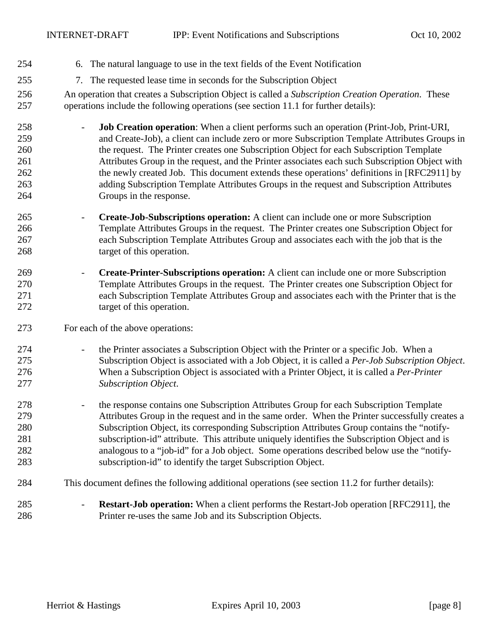- 6. The natural language to use in the text fields of the Event Notification
- 7. The requested lease time in seconds for the Subscription Object

 An operation that creates a Subscription Object is called a *Subscription Creation Operation*. These operations include the following operations (see section [11.1](#page-45-0) for further details):

- **Job Creation operation**: When a client performs such an operation (Print-Job, Print-URI, and Create-Job), a client can include zero or more Subscription Template Attributes Groups in the request. The Printer creates one Subscription Object for each Subscription Template Attributes Group in the request, and the Printer associates each such Subscription Object with 262 the newly created Job. This document extends these operations' definitions in [RFC2911] by adding Subscription Template Attributes Groups in the request and Subscription Attributes Groups in the response.
- **Create-Job-Subscriptions operation:** A client can include one or more Subscription Template Attributes Groups in the request. The Printer creates one Subscription Object for each Subscription Template Attributes Group and associates each with the job that is the 268 target of this operation.
- **Create-Printer-Subscriptions operation:** A client can include one or more Subscription Template Attributes Groups in the request. The Printer creates one Subscription Object for each Subscription Template Attributes Group and associates each with the Printer that is the 272 target of this operation.
- For each of the above operations:
- 274 the Printer associates a Subscription Object with the Printer or a specific Job. When a Subscription Object is associated with a Job Object, it is called a *Per-Job Subscription Object*. When a Subscription Object is associated with a Printer Object, it is called a *Per-Printer Subscription Object*.
- the response contains one Subscription Attributes Group for each Subscription Template Attributes Group in the request and in the same order. When the Printer successfully creates a Subscription Object, its corresponding Subscription Attributes Group contains the "notify- subscription-id" attribute. This attribute uniquely identifies the Subscription Object and is analogous to a "job-id" for a Job object. Some operations described below use the "notify-subscription-id" to identify the target Subscription Object.
- This document defines the following additional operations (see section [11.2](#page-50-0) for further details):
- **Restart-Job operation:** When a client performs the Restart-Job operation [RFC2911], the Printer re-uses the same Job and its Subscription Objects.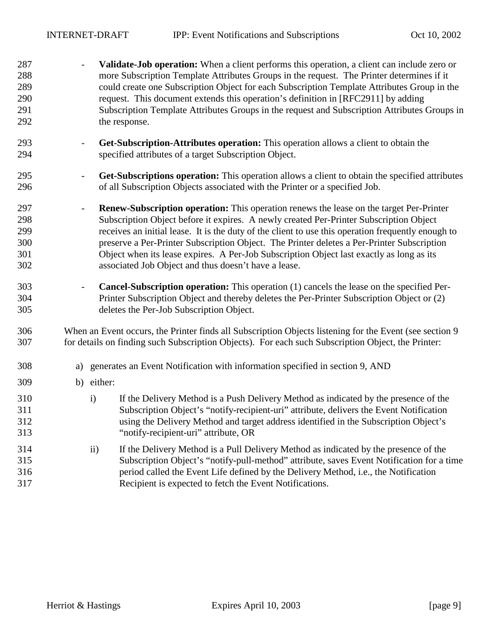- **Validate-Job operation:** When a client performs this operation, a client can include zero or

 more Subscription Template Attributes Groups in the request. The Printer determines if it could create one Subscription Object for each Subscription Template Attributes Group in the request. This document extends this operation's definition in [RFC2911] by adding Subscription Template Attributes Groups in the request and Subscription Attributes Groups in 292 the response. - **Get-Subscription-Attributes operation:** This operation allows a client to obtain the specified attributes of a target Subscription Object. - **Get-Subscriptions operation:** This operation allows a client to obtain the specified attributes of all Subscription Objects associated with the Printer or a specified Job. - **Renew-Subscription operation:** This operation renews the lease on the target Per-Printer Subscription Object before it expires. A newly created Per-Printer Subscription Object receives an initial lease. It is the duty of the client to use this operation frequently enough to preserve a Per-Printer Subscription Object. The Printer deletes a Per-Printer Subscription Object when its lease expires. A Per-Job Subscription Object last exactly as long as its associated Job Object and thus doesn't have a lease. - **Cancel-Subscription operation:** This operation (1) cancels the lease on the specified Per- Printer Subscription Object and thereby deletes the Per-Printer Subscription Object or (2) deletes the Per-Job Subscription Object. When an Event occurs, the Printer finds all Subscription Objects listening for the Event (see section [9](#page-35-0)  for details on finding such Subscription Objects). For each such Subscription Object, the Printer: a) generates an Event Notification with information specified in section [9,](#page-35-0) AND b) either: i) If the Delivery Method is a Push Delivery Method as indicated by the presence of the Subscription Object's "notify-recipient-uri" attribute, delivers the Event Notification using the Delivery Method and target address identified in the Subscription Object's "notify-recipient-uri" attribute, OR ii) If the Delivery Method is a Pull Delivery Method as indicated by the presence of the Subscription Object's "notify-pull-method" attribute, saves Event Notification for a time period called the Event Life defined by the Delivery Method, i.e., the Notification Recipient is expected to fetch the Event Notifications.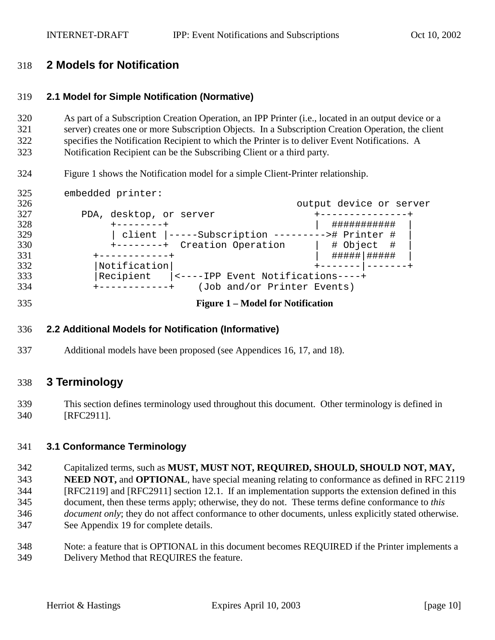## <span id="page-9-0"></span>**2 Models for Notification**

## **2.1 Model for Simple Notification (Normative)**

- As part of a Subscription Creation Operation, an IPP Printer (i.e., located in an output device or a server) creates one or more Subscription Objects. In a Subscription Creation Operation, the client specifies the Notification Recipient to which the Printer is to deliver Event Notifications. A Notification Recipient can be the Subscribing Client or a third party.
- Figure 1 shows the Notification model for a simple Client-Printer relationship.

| 325 | embedded printer:                                        |                         |
|-----|----------------------------------------------------------|-------------------------|
| 326 |                                                          | output device or server |
| 327 | PDA, desktop, or server                                  |                         |
| 328 |                                                          | ###########             |
| 329 | client  -----Subscription ---------># Printer #          |                         |
| 330 | +--------+ Creation Operation                            | # Object #              |
| 331 | -----------+                                             |                         |
| 332 | $\vert$ Notification $\vert$                             |                         |
| 333 | Recipient<br> <----IPP Event Notifications----+          |                         |
| 334 | (Job and/or Printer Events)<br>$+ - - - - - - - - - - +$ |                         |
|     |                                                          |                         |

**Figure 1 – Model for Notification** 

#### **2.2 Additional Models for Notification (Informative)**

Additional models have been proposed (see Appendices [16,](#page-64-0) [17,](#page-65-0) and [18\)](#page-66-0).

## **3 Terminology**

 This section defines terminology used throughout this document. Other terminology is defined in [RFC2911].

#### **3.1 Conformance Terminology**

- Capitalized terms, such as **MUST, MUST NOT, REQUIRED, SHOULD, SHOULD NOT, MAY, NEED NOT, and OPTIONAL**, have special meaning relating to conformance as defined in RFC 2119 [RFC2119] and [RFC2911] section 12.1. If an implementation supports the extension defined in this document, then these terms apply; otherwise, they do not. These terms define conformance to *this document only*; they do not affect conformance to other documents, unless explicitly stated otherwise. See Appendix [19](#page-67-0) for complete details.
- Note: a feature that is OPTIONAL in this document becomes REQUIRED if the Printer implements a Delivery Method that REQUIRES the feature.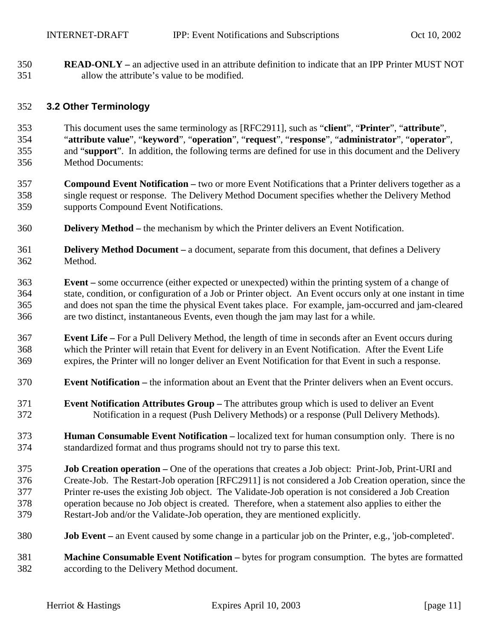<span id="page-10-0"></span> **READ-ONLY –** an adjective used in an attribute definition to indicate that an IPP Printer MUST NOT allow the attribute's value to be modified.

#### **3.2 Other Terminology**

 This document uses the same terminology as [RFC2911], such as "**client**", "**Printer**", "**attribute**", "**attribute value**", "**keyword**", "**operation**", "**request**", "**response**", "**administrator**", "**operator**", and "**support**". In addition, the following terms are defined for use in this document and the Delivery Method Documents:

- **Compound Event Notification** two or more Event Notifications that a Printer delivers together as a single request or response. The Delivery Method Document specifies whether the Delivery Method supports Compound Event Notifications.
- **Delivery Method** the mechanism by which the Printer delivers an Event Notification.
- **Delivery Method Document** a document, separate from this document, that defines a Delivery Method.
- **Event** some occurrence (either expected or unexpected) within the printing system of a change of state, condition, or configuration of a Job or Printer object. An Event occurs only at one instant in time and does not span the time the physical Event takes place. For example, jam-occurred and jam-cleared are two distinct, instantaneous Events, even though the jam may last for a while.
- **Event Life** For a Pull Delivery Method, the length of time in seconds after an Event occurs during which the Printer will retain that Event for delivery in an Event Notification. After the Event Life expires, the Printer will no longer deliver an Event Notification for that Event in such a response.
- **Event Notification** the information about an Event that the Printer delivers when an Event occurs.
- **Event Notification Attributes Group** The attributes group which is used to deliver an Event Notification in a request (Push Delivery Methods) or a response (Pull Delivery Methods).
- **Human Consumable Event Notification** localized text for human consumption only. There is no standardized format and thus programs should not try to parse this text.
- **Job Creation operation** One of the operations that creates a Job object: Print-Job, Print-URI and Create-Job. The Restart-Job operation [RFC2911] is not considered a Job Creation operation, since the Printer re-uses the existing Job object. The Validate-Job operation is not considered a Job Creation operation because no Job object is created. Therefore, when a statement also applies to either the Restart-Job and/or the Validate-Job operation, they are mentioned explicitly.
- **Job Event** an Event caused by some change in a particular job on the Printer, e.g., 'job-completed'.
- **Machine Consumable Event Notification** bytes for program consumption. The bytes are formatted according to the Delivery Method document.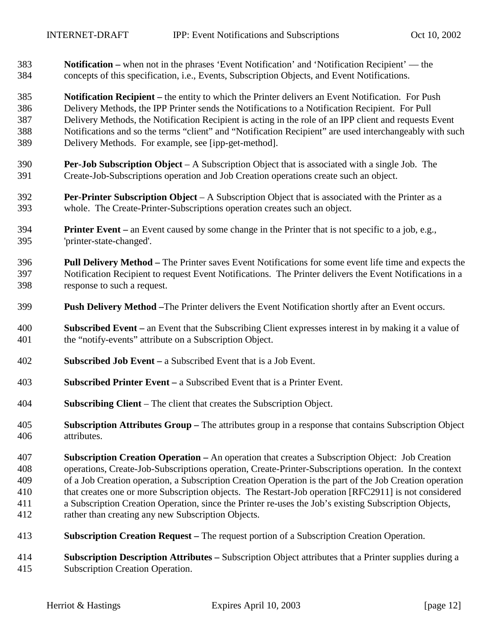**Notification –** when not in the phrases 'Event Notification' and 'Notification Recipient' — the concepts of this specification, i.e., Events, Subscription Objects, and Event Notifications.

 **Notification Recipient –** the entity to which the Printer delivers an Event Notification. For Push Delivery Methods, the IPP Printer sends the Notifications to a Notification Recipient. For Pull Delivery Methods, the Notification Recipient is acting in the role of an IPP client and requests Event Notifications and so the terms "client" and "Notification Recipient" are used interchangeably with such Delivery Methods. For example, see [ipp-get-method].

- **Per-Job Subscription Object** A Subscription Object that is associated with a single Job. The Create-Job-Subscriptions operation and Job Creation operations create such an object.
- **Per-Printer Subscription Object** A Subscription Object that is associated with the Printer as a whole. The Create-Printer-Subscriptions operation creates such an object.
- **Printer Event** an Event caused by some change in the Printer that is not specific to a job, e.g., 'printer-state-changed'.
- **Pull Delivery Method** The Printer saves Event Notifications for some event life time and expects the Notification Recipient to request Event Notifications. The Printer delivers the Event Notifications in a response to such a request.
- **Push Delivery Method –**The Printer delivers the Event Notification shortly after an Event occurs.
- **Subscribed Event** an Event that the Subscribing Client expresses interest in by making it a value of the "notify-events" attribute on a Subscription Object.
- **Subscribed Job Event** a Subscribed Event that is a Job Event.
- **Subscribed Printer Event** a Subscribed Event that is a Printer Event.
- **Subscribing Client** The client that creates the Subscription Object.
- **Subscription Attributes Group** The attributes group in a response that contains Subscription Object attributes.

 **Subscription Creation Operation –** An operation that creates a Subscription Object: Job Creation operations, Create-Job-Subscriptions operation, Create-Printer-Subscriptions operation. In the context of a Job Creation operation, a Subscription Creation Operation is the part of the Job Creation operation that creates one or more Subscription objects. The Restart-Job operation [RFC2911] is not considered a Subscription Creation Operation, since the Printer re-uses the Job's existing Subscription Objects, rather than creating any new Subscription Objects.

- **Subscription Creation Request** The request portion of a Subscription Creation Operation.
- **Subscription Description Attributes** Subscription Object attributes that a Printer supplies during a Subscription Creation Operation.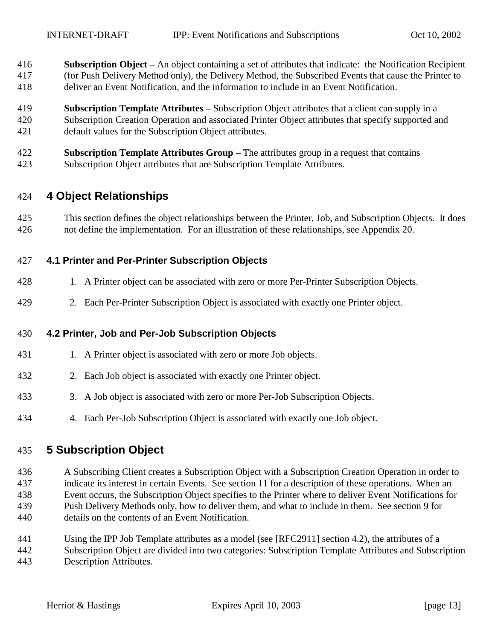- <span id="page-12-0"></span> **Subscription Object –** An object containing a set of attributes that indicate: the Notification Recipient (for Push Delivery Method only), the Delivery Method, the Subscribed Events that cause the Printer to deliver an Event Notification, and the information to include in an Event Notification.
- **Subscription Template Attributes** Subscription Object attributes that a client can supply in a Subscription Creation Operation and associated Printer Object attributes that specify supported and default values for the Subscription Object attributes.
- **Subscription Template Attributes Group**  The attributes group in a request that contains Subscription Object attributes that are Subscription Template Attributes.

## **4 Object Relationships**

 This section defines the object relationships between the Printer, Job, and Subscription Objects. It does not define the implementation. For an illustration of these relationships, see Appendix [20.](#page-67-0)

#### **4.1 Printer and Per-Printer Subscription Objects**

- 1. A Printer object can be associated with zero or more Per-Printer Subscription Objects.
- 2. Each Per-Printer Subscription Object is associated with exactly one Printer object.

#### **4.2 Printer, Job and Per-Job Subscription Objects**

- 431 1. A Printer object is associated with zero or more Job objects.
- 2. Each Job object is associated with exactly one Printer object.
- 3. A Job object is associated with zero or more Per-Job Subscription Objects.
- 4. Each Per-Job Subscription Object is associated with exactly one Job object.

## **5 Subscription Object**

- A Subscribing Client creates a Subscription Object with a Subscription Creation Operation in order to indicate its interest in certain Events. See section [11](#page-45-0) for a description of these operations. When an Event occurs, the Subscription Object specifies to the Printer where to deliver Event Notifications for Push Delivery Methods only, how to deliver them, and what to include in them. See section [9](#page-35-0) for details on the contents of an Event Notification.
- Using the IPP Job Template attributes as a model (see [RFC2911] section 4.2), the attributes of a Subscription Object are divided into two categories: Subscription Template Attributes and Subscription Description Attributes.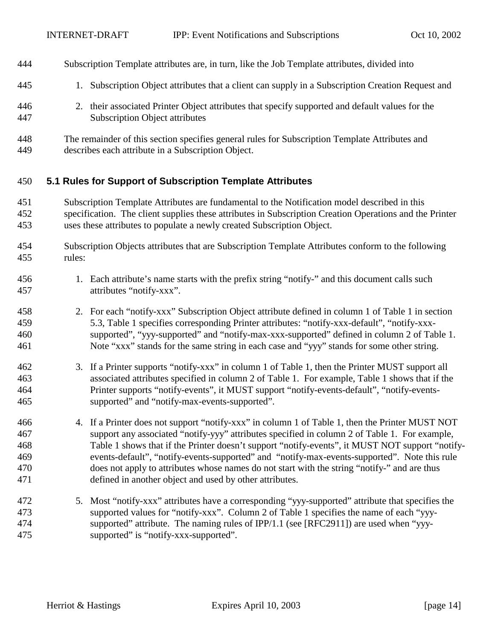<span id="page-13-0"></span>

| 444        | Subscription Template attributes are, in turn, like the Job Template attributes, divided into                                            |
|------------|------------------------------------------------------------------------------------------------------------------------------------------|
| 445        | 1. Subscription Object attributes that a client can supply in a Subscription Creation Request and                                        |
| 446<br>447 | 2. their associated Printer Object attributes that specify supported and default values for the<br><b>Subscription Object attributes</b> |
| 448        | The remainder of this section specifies general rules for Subscription Template Attributes and                                           |

# **5.1 Rules for Support of Subscription Template Attributes**

describes each attribute in a Subscription Object.

- Subscription Template Attributes are fundamental to the Notification model described in this specification. The client supplies these attributes in Subscription Creation Operations and the Printer uses these attributes to populate a newly created Subscription Object.
- Subscription Objects attributes that are Subscription Template Attributes conform to the following rules:
- 1. Each attribute's name starts with the prefix string "notify-" and this document calls such attributes "notify-xxx".
- 2. For each "notify-xxx" Subscription Object attribute defined in column 1 of [Table 1](#page-18-0) in section [5.3,](#page-17-0) [Table 1](#page-18-0) specifies corresponding Printer attributes: "notify-xxx-default", "notify-xxx- supported", "yyy-supported" and "notify-max-xxx-supported" defined in column 2 of [Table 1.](#page-18-0) Note "xxx" stands for the same string in each case and "yyy" stands for some other string.
- 3. If a Printer supports "notify-xxx" in column 1 of [Table 1,](#page-18-0) then the Printer MUST support all associated attributes specified in column 2 of [Table 1.](#page-18-0) For example, [Table 1](#page-18-0) shows that if the Printer supports "notify-events", it MUST support "notify-events-default", "notify-events-supported" and "notify-max-events-supported".
- 4. If a Printer does not support "notify-xxx" in column 1 of [Table 1,](#page-18-0) then the Printer MUST NOT support any associated "notify-yyy" attributes specified in column 2 of [Table 1.](#page-18-0) For example, [Table 1](#page-18-0) shows that if the Printer doesn't support "notify-events", it MUST NOT support "notify- events-default", "notify-events-supported" and "notify-max-events-supported". Note this rule does not apply to attributes whose names do not start with the string "notify-" and are thus defined in another object and used by other attributes.
- 5. Most "notify-xxx" attributes have a corresponding "yyy-supported" attribute that specifies the supported values for "notify-xxx". Column 2 of [Table 1](#page-18-0) specifies the name of each "yyy- supported" attribute. The naming rules of IPP/1.1 (see [RFC2911]) are used when "yyy-supported" is "notify-xxx-supported".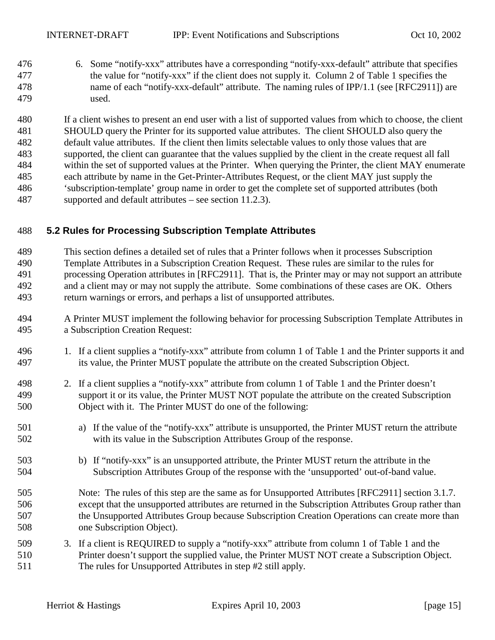<span id="page-14-0"></span> 6. Some "notify-xxx" attributes have a corresponding "notify-xxx-default" attribute that specifies the value for "notify-xxx" if the client does not supply it. Column 2 of [Table 1](#page-18-0) specifies the name of each "notify-xxx-default" attribute. The naming rules of IPP/1.1 (see [RFC2911]) are used.

 If a client wishes to present an end user with a list of supported values from which to choose, the client SHOULD query the Printer for its supported value attributes. The client SHOULD also query the default value attributes. If the client then limits selectable values to only those values that are supported, the client can guarantee that the values supplied by the client in the create request all fall within the set of supported values at the Printer. When querying the Printer, the client MAY enumerate each attribute by name in the Get-Printer-Attributes Request, or the client MAY just supply the 'subscription-template' group name in order to get the complete set of supported attributes (both supported and default attributes – see section [11.2.3\)](#page-51-0).

#### **5.2 Rules for Processing Subscription Template Attributes**

 This section defines a detailed set of rules that a Printer follows when it processes Subscription Template Attributes in a Subscription Creation Request. These rules are similar to the rules for processing Operation attributes in [RFC2911]. That is, the Printer may or may not support an attribute and a client may or may not supply the attribute. Some combinations of these cases are OK. Others return warnings or errors, and perhaps a list of unsupported attributes.

- A Printer MUST implement the following behavior for processing Subscription Template Attributes in a Subscription Creation Request:
- 1. If a client supplies a "notify-xxx" attribute from column 1 of [Table 1](#page-18-0) and the Printer supports it and its value, the Printer MUST populate the attribute on the created Subscription Object.
- 2. If a client supplies a "notify-xxx" attribute from column 1 of [Table 1](#page-18-0) and the Printer doesn't support it or its value, the Printer MUST NOT populate the attribute on the created Subscription Object with it. The Printer MUST do one of the following:
- a) If the value of the "notify-xxx" attribute is unsupported, the Printer MUST return the attribute with its value in the Subscription Attributes Group of the response.
- b) If "notify-xxx" is an unsupported attribute, the Printer MUST return the attribute in the Subscription Attributes Group of the response with the 'unsupported' out-of-band value.
- Note: The rules of this step are the same as for Unsupported Attributes [RFC2911] section 3.1.7. except that the unsupported attributes are returned in the Subscription Attributes Group rather than the Unsupported Attributes Group because Subscription Creation Operations can create more than one Subscription Object).
- 3. If a client is REQUIRED to supply a "notify-xxx" attribute from column 1 of [Table 1](#page-18-0) and the Printer doesn't support the supplied value, the Printer MUST NOT create a Subscription Object. The rules for Unsupported Attributes in step #2 still apply.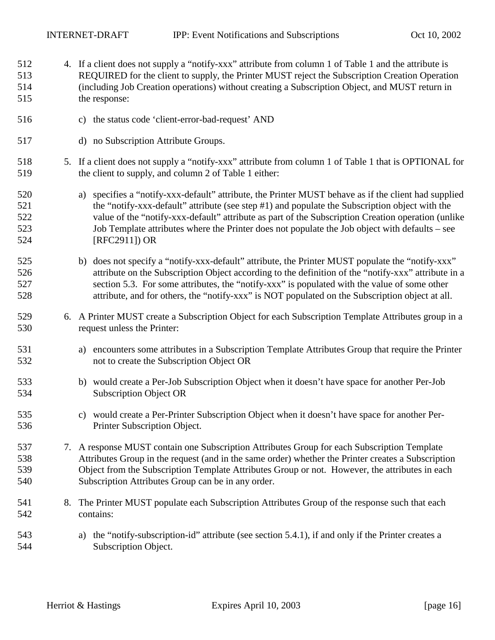- <span id="page-15-0"></span> 4. If a client does not supply a "notify-xxx" attribute from column 1 of [Table 1](#page-18-0) and the attribute is REQUIRED for the client to supply, the Printer MUST reject the Subscription Creation Operation (including Job Creation operations) without creating a Subscription Object, and MUST return in the response:
- c) the status code 'client-error-bad-request' AND
- d) no Subscription Attribute Groups.
- 5. If a client does not supply a "notify-xxx" attribute from column 1 of [Table 1](#page-18-0) that is OPTIONAL for the client to supply, and column 2 of [Table 1](#page-18-0) either:
- a) specifies a "notify-xxx-default" attribute, the Printer MUST behave as if the client had supplied 521 the "notify-xxx-default" attribute (see step [#1\)](#page-14-0) and populate the Subscription object with the value of the "notify-xxx-default" attribute as part of the Subscription Creation operation (unlike Job Template attributes where the Printer does not populate the Job object with defaults – see [RFC2911]) OR
- b) does not specify a "notify-xxx-default" attribute, the Printer MUST populate the "notify-xxx" attribute on the Subscription Object according to the definition of the "notify-xxx" attribute in a section [5.3.](#page-17-0) For some attributes, the "notify-xxx" is populated with the value of some other attribute, and for others, the "notify-xxx" is NOT populated on the Subscription object at all.
- 6. A Printer MUST create a Subscription Object for each Subscription Template Attributes group in a request unless the Printer:
- a) encounters some attributes in a Subscription Template Attributes Group that require the Printer not to create the Subscription Object OR
- b) would create a Per-Job Subscription Object when it doesn't have space for another Per-Job Subscription Object OR
- c) would create a Per-Printer Subscription Object when it doesn't have space for another Per-Printer Subscription Object.
- 7. A response MUST contain one Subscription Attributes Group for each Subscription Template Attributes Group in the request (and in the same order) whether the Printer creates a Subscription Object from the Subscription Template Attributes Group or not. However, the attributes in each Subscription Attributes Group can be in any order.
- 8. The Printer MUST populate each Subscription Attributes Group of the response such that each contains:
- a) the "notify-subscription-id" attribute (see section [5.4.1\)](#page-30-0), if and only if the Printer creates a Subscription Object.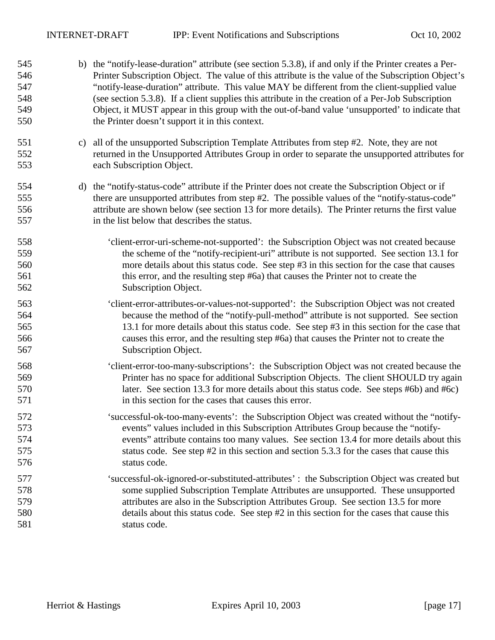| 545<br>546<br>547<br>548<br>549<br>550 |    | b) the "notify-lease-duration" attribute (see section 5.3.8), if and only if the Printer creates a Per-<br>Printer Subscription Object. The value of this attribute is the value of the Subscription Object's<br>"notify-lease-duration" attribute. This value MAY be different from the client-supplied value<br>(see section 5.3.8). If a client supplies this attribute in the creation of a Per-Job Subscription<br>Object, it MUST appear in this group with the out-of-band value 'unsupported' to indicate that<br>the Printer doesn't support it in this context. |  |
|----------------------------------------|----|---------------------------------------------------------------------------------------------------------------------------------------------------------------------------------------------------------------------------------------------------------------------------------------------------------------------------------------------------------------------------------------------------------------------------------------------------------------------------------------------------------------------------------------------------------------------------|--|
| 551<br>552<br>553                      | C) | all of the unsupported Subscription Template Attributes from step #2. Note, they are not<br>returned in the Unsupported Attributes Group in order to separate the unsupported attributes for<br>each Subscription Object.                                                                                                                                                                                                                                                                                                                                                 |  |
| 554<br>555<br>556<br>557               |    | d) the "notify-status-code" attribute if the Printer does not create the Subscription Object or if<br>there are unsupported attributes from step #2. The possible values of the "notify-status-code"<br>attribute are shown below (see section 13 for more details). The Printer returns the first value<br>in the list below that describes the status.                                                                                                                                                                                                                  |  |
| 558<br>559<br>560<br>561<br>562        |    | 'client-error-uri-scheme-not-supported': the Subscription Object was not created because<br>the scheme of the "notify-recipient-uri" attribute is not supported. See section 13.1 for<br>more details about this status code. See step #3 in this section for the case that causes<br>this error, and the resulting step #6a) that causes the Printer not to create the<br>Subscription Object.                                                                                                                                                                           |  |
| 563<br>564<br>565<br>566<br>567        |    | 'client-error-attributes-or-values-not-supported': the Subscription Object was not created<br>because the method of the "notify-pull-method" attribute is not supported. See section<br>13.1 for more details about this status code. See step #3 in this section for the case that<br>causes this error, and the resulting step #6a) that causes the Printer not to create the<br>Subscription Object.                                                                                                                                                                   |  |
| 568<br>569<br>570<br>571               |    | 'client-error-too-many-subscriptions': the Subscription Object was not created because the<br>Printer has no space for additional Subscription Objects. The client SHOULD try again<br>later. See section 13.3 for more details about this status code. See steps #6b) and #6c)<br>in this section for the cases that causes this error.                                                                                                                                                                                                                                  |  |
| 572<br>573<br>574<br>575<br>576        |    | 'successful-ok-too-many-events': the Subscription Object was created without the "notify-<br>events" values included in this Subscription Attributes Group because the "notify-<br>events" attribute contains too many values. See section 13.4 for more details about this<br>status code. See step #2 in this section and section 5.3.3 for the cases that cause this<br>status code.                                                                                                                                                                                   |  |
| 577<br>578<br>579<br>580<br>581        |    | 'successful-ok-ignored-or-substituted-attributes': the Subscription Object was created but<br>some supplied Subscription Template Attributes are unsupported. These unsupported<br>attributes are also in the Subscription Attributes Group. See section 13.5 for more<br>details about this status code. See step #2 in this section for the cases that cause this<br>status code.                                                                                                                                                                                       |  |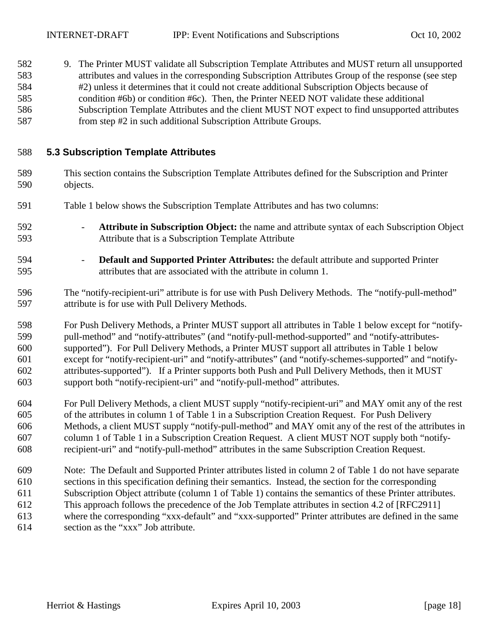<span id="page-17-0"></span> 9. The Printer MUST validate all Subscription Template Attributes and MUST return all unsupported attributes and values in the corresponding Subscription Attributes Group of the response (see step #[2\)](#page-14-0) unless it determines that it could not create additional Subscription Objects because of condition [#6b\)](#page-15-0) or condition #[6c\).](#page-15-0) Then, the Printer NEED NOT validate these additional Subscription Template Attributes and the client MUST NOT expect to find unsupported attributes from step #[2](#page-14-0) in such additional Subscription Attribute Groups.

#### **5.3 Subscription Template Attributes**

- This section contains the Subscription Template Attributes defined for the Subscription and Printer objects.
- [Table 1](#page-18-0) below shows the Subscription Template Attributes and has two columns:
- **Attribute in Subscription Object:** the name and attribute syntax of each Subscription Object Attribute that is a Subscription Template Attribute
- **Default and Supported Printer Attributes:** the default attribute and supported Printer attributes that are associated with the attribute in column 1.
- The "notify-recipient-uri" attribute is for use with Push Delivery Methods. The "notify-pull-method" attribute is for use with Pull Delivery Methods.

 For Push Delivery Methods, a Printer MUST support all attributes in [Table 1](#page-18-0) below except for "notify- pull-method" and "notify-attributes" (and "notify-pull-method-supported" and "notify-attributes- supported"). For Pull Delivery Methods, a Printer MUST support all attributes in [Table 1](#page-18-0) below except for "notify-recipient-uri" and "notify-attributes" (and "notify-schemes-supported" and "notify- attributes-supported"). If a Printer supports both Push and Pull Delivery Methods, then it MUST support both "notify-recipient-uri" and "notify-pull-method" attributes.

- For Pull Delivery Methods, a client MUST supply "notify-recipient-uri" and MAY omit any of the rest of the attributes in column 1 of [Table 1](#page-18-0) in a Subscription Creation Request. For Push Delivery Methods, a client MUST supply "notify-pull-method" and MAY omit any of the rest of the attributes in column 1 of [Table 1](#page-18-0) in a Subscription Creation Request. A client MUST NOT supply both "notify-recipient-uri" and "notify-pull-method" attributes in the same Subscription Creation Request.
- Note: The Default and Supported Printer attributes listed in column 2 of [Table 1](#page-18-0) do not have separate sections in this specification defining their semantics. Instead, the section for the corresponding Subscription Object attribute (column 1 of [Table 1\)](#page-18-0) contains the semantics of these Printer attributes. This approach follows the precedence of the Job Template attributes in section 4.2 of [RFC2911] where the corresponding "xxx-default" and "xxx-supported" Printer attributes are defined in the same section as the "xxx" Job attribute.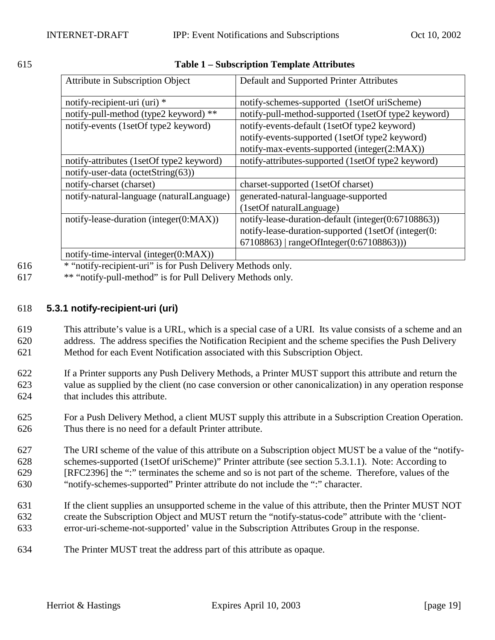<span id="page-18-0"></span>

| 615 | <b>Table 1 – Subscription Template Attributes</b> |
|-----|---------------------------------------------------|
|     |                                                   |

| Attribute in Subscription Object                                    | Default and Supported Printer Attributes            |
|---------------------------------------------------------------------|-----------------------------------------------------|
| notify-recipient-uri (uri) *                                        | notify-schemes-supported (1setOf uriScheme)         |
| notify-pull-method (type2 keyword) **                               | notify-pull-method-supported (1setOf type2 keyword) |
| notify-events (1setOf type2 keyword)                                | notify-events-default (1setOf type2 keyword)        |
|                                                                     | notify-events-supported (1setOf type2 keyword)      |
|                                                                     | notify-max-events-supported (integer(2:MAX))        |
| notify-attributes (1setOf type2 keyword)                            | notify-attributes-supported (1setOf type2 keyword)  |
| notify-user-data (octetString(63))                                  |                                                     |
| notify-charset (charset)                                            | charset-supported (1setOf charset)                  |
| notify-natural-language (naturalLanguage)                           | generated-natural-language-supported                |
|                                                                     | (1setOf naturalLanguage)                            |
| notify-lease-duration (integer(0:MAX))                              | notify-lease-duration-default (integer(0:67108863)) |
|                                                                     | notify-lease-duration-supported (1setOf (integer(0: |
|                                                                     | 67108863)   rangeOfInteger(0:67108863)))            |
| $\text{nothing}.$ motify-time-interval (integer( $0. M \Delta Y$ )) |                                                     |

notify-time-interval (integer(0:MAX)) 616 \* "notify-recipient-uri" is for Push Delivery Methods only.

- 617 \*\* "notify-pull-method" is for Pull Delivery Methods only.
- 

## 618 **5.3.1 notify-recipient-uri (uri)**

619 This attribute's value is a URL, which is a special case of a URI. Its value consists of a scheme and an 620 address. The address specifies the Notification Recipient and the scheme specifies the Push Delivery 621 Method for each Event Notification associated with this Subscription Object.

- 622 If a Printer supports any Push Delivery Methods, a Printer MUST support this attribute and return the 623 value as supplied by the client (no case conversion or other canonicalization) in any operation response 624 that includes this attribute.
- 625 For a Push Delivery Method, a client MUST supply this attribute in a Subscription Creation Operation. 626 Thus there is no need for a default Printer attribute.
- 627 The URI scheme of the value of this attribute on a Subscription object MUST be a value of the "notify-628 schemes-supported (1setOf uriScheme)" Printer attribute (see section [5.3.1.1\)](#page-19-0). Note: According to 629 [RFC2396] the ":" terminates the scheme and so is not part of the scheme. Therefore, values of the 630 "notify-schemes-supported" Printer attribute do not include the ":" character.
- 631 If the client supplies an unsupported scheme in the value of this attribute, then the Printer MUST NOT 632 create the Subscription Object and MUST return the "notify-status-code" attribute with the 'client-633 error-uri-scheme-not-supported' value in the Subscription Attributes Group in the response.
- 634 The Printer MUST treat the address part of this attribute as opaque.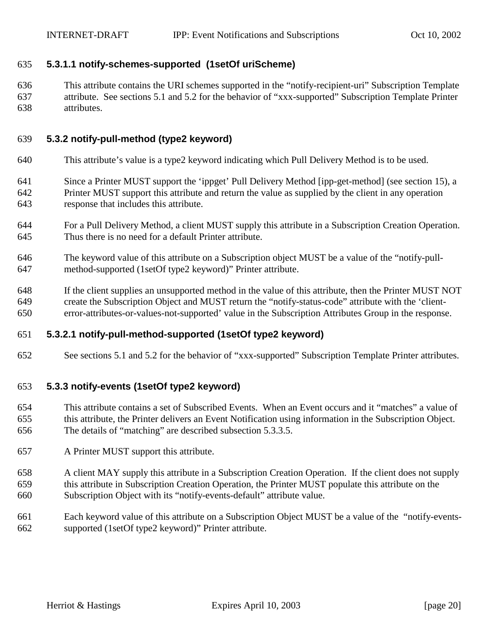#### <span id="page-19-0"></span>**5.3.1.1 notify-schemes-supported (1setOf uriScheme)**

 This attribute contains the URI schemes supported in the "notify-recipient-uri" Subscription Template attribute. See sections [5.1](#page-13-0) and [5.2](#page-14-0) for the behavior of "xxx-supported" Subscription Template Printer attributes.

#### **5.3.2 notify-pull-method (type2 keyword)**

- This attribute's value is a type2 keyword indicating which Pull Delivery Method is to be used.
- Since a Printer MUST support the 'ippget' Pull Delivery Method [ipp-get-method] (see section [15\)](#page-62-0), a Printer MUST support this attribute and return the value as supplied by the client in any operation response that includes this attribute.
- For a Pull Delivery Method, a client MUST supply this attribute in a Subscription Creation Operation. Thus there is no need for a default Printer attribute.
- The keyword value of this attribute on a Subscription object MUST be a value of the "notify-pull-method-supported (1setOf type2 keyword)" Printer attribute.
- If the client supplies an unsupported method in the value of this attribute, then the Printer MUST NOT create the Subscription Object and MUST return the "notify-status-code" attribute with the 'client-error-attributes-or-values-not-supported' value in the Subscription Attributes Group in the response.

#### **5.3.2.1 notify-pull-method-supported (1setOf type2 keyword)**

See sections [5.1](#page-13-0) and [5.2](#page-14-0) for the behavior of "xxx-supported" Subscription Template Printer attributes.

#### **5.3.3 notify-events (1setOf type2 keyword)**

- This attribute contains a set of Subscribed Events. When an Event occurs and it "matches" a value of this attribute, the Printer delivers an Event Notification using information in the Subscription Object. The details of "matching" are described subsection [5.3.3.5.](#page-23-0)
- A Printer MUST support this attribute.
- A client MAY supply this attribute in a Subscription Creation Operation. If the client does not supply this attribute in Subscription Creation Operation, the Printer MUST populate this attribute on the Subscription Object with its "notify-events-default" attribute value.
- Each keyword value of this attribute on a Subscription Object MUST be a value of the "notify-events-supported (1setOf type2 keyword)" Printer attribute.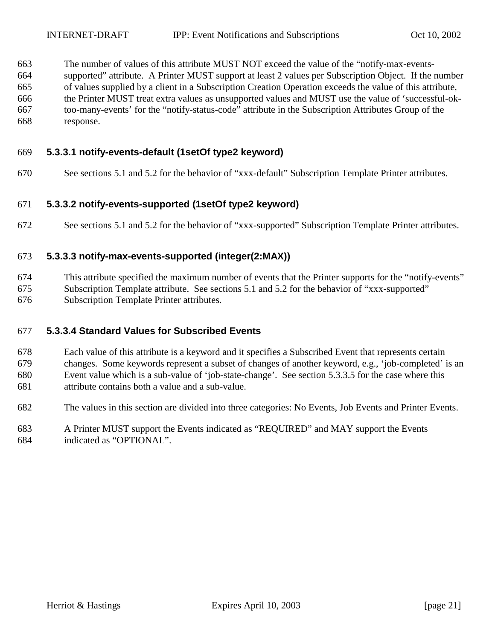<span id="page-20-0"></span> The number of values of this attribute MUST NOT exceed the value of the "notify-max-events- supported" attribute. A Printer MUST support at least 2 values per Subscription Object. If the number of values supplied by a client in a Subscription Creation Operation exceeds the value of this attribute, the Printer MUST treat extra values as unsupported values and MUST use the value of 'successful-ok- too-many-events' for the "notify-status-code" attribute in the Subscription Attributes Group of the response.

#### **5.3.3.1 notify-events-default (1setOf type2 keyword)**

See sections [5.1](#page-13-0) and [5.2](#page-14-0) for the behavior of "xxx-default" Subscription Template Printer attributes.

#### **5.3.3.2 notify-events-supported (1setOf type2 keyword)**

672 See sections [5.1](#page-13-0) and [5.2](#page-14-0) for the behavior of "xxx-supported" Subscription Template Printer attributes.

#### **5.3.3.3 notify-max-events-supported (integer(2:MAX))**

This attribute specified the maximum number of events that the Printer supports for the "notify-events"

 Subscription Template attribute. See sections [5.1](#page-13-0) and [5.2](#page-14-0) for the behavior of "xxx-supported" Subscription Template Printer attributes.

#### **5.3.3.4 Standard Values for Subscribed Events**

 Each value of this attribute is a keyword and it specifies a Subscribed Event that represents certain changes. Some keywords represent a subset of changes of another keyword, e.g., 'job-completed' is an Event value which is a sub-value of 'job-state-change'. See section [5.3.3.5](#page-23-0) for the case where this attribute contains both a value and a sub-value.

The values in this section are divided into three categories: No Events, Job Events and Printer Events.

 A Printer MUST support the Events indicated as "REQUIRED" and MAY support the Events indicated as "OPTIONAL".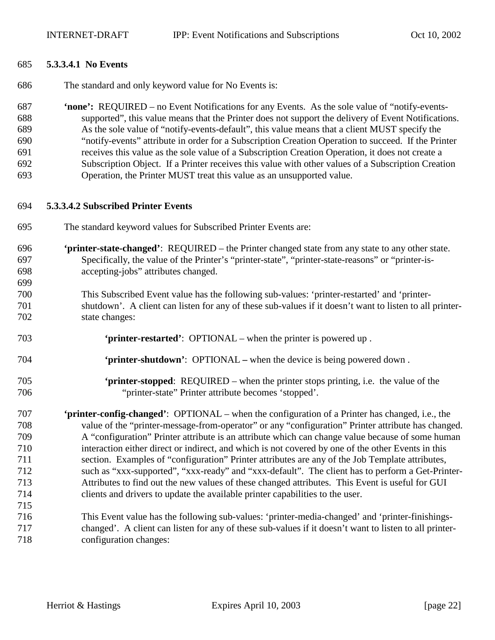<span id="page-21-0"></span>

#### **5.3.3.4.1 No Events**

The standard and only keyword value for No Events is:

 **'none':** REQUIRED – no Event Notifications for any Events. As the sole value of "notify-events- supported", this value means that the Printer does not support the delivery of Event Notifications. As the sole value of "notify-events-default", this value means that a client MUST specify the "notify-events" attribute in order for a Subscription Creation Operation to succeed. If the Printer receives this value as the sole value of a Subscription Creation Operation, it does not create a Subscription Object. If a Printer receives this value with other values of a Subscription Creation Operation, the Printer MUST treat this value as an unsupported value.

#### **5.3.3.4.2 Subscribed Printer Events**

- The standard keyword values for Subscribed Printer Events are:
- **'printer-state-changed'**: REQUIRED the Printer changed state from any state to any other state. Specifically, the value of the Printer's "printer-state", "printer-state-reasons" or "printer-is-accepting-jobs" attributes changed.
- This Subscribed Event value has the following sub-values: 'printer-restarted' and 'printer- shutdown'. A client can listen for any of these sub-values if it doesn't want to listen to all printer-state changes:
- **'printer-restarted'**: OPTIONAL when the printer is powered up .
- **'printer-shutdown'**: OPTIONALwhen the device is being powered down .
- **'printer-stopped**: REQUIRED when the printer stops printing, i.e. the value of the "printer-state" Printer attribute becomes 'stopped'.

 **'printer-config-changed'**:OPTIONAL – when the configuration of a Printer has changed, i.e., the value of the "printer-message-from-operator" or any "configuration" Printer attribute has changed. A "configuration" Printer attribute is an attribute which can change value because of some human interaction either direct or indirect, and which is not covered by one of the other Events in this section. Examples of "configuration" Printer attributes are any of the Job Template attributes, such as "xxx-supported", "xxx-ready" and "xxx-default". The client has to perform a Get-Printer- Attributes to find out the new values of these changed attributes. This Event is useful for GUI clients and drivers to update the available printer capabilities to the user. 

 This Event value has the following sub-values: 'printer-media-changed' and 'printer-finishings- changed'. A client can listen for any of these sub-values if it doesn't want to listen to all printer-configuration changes: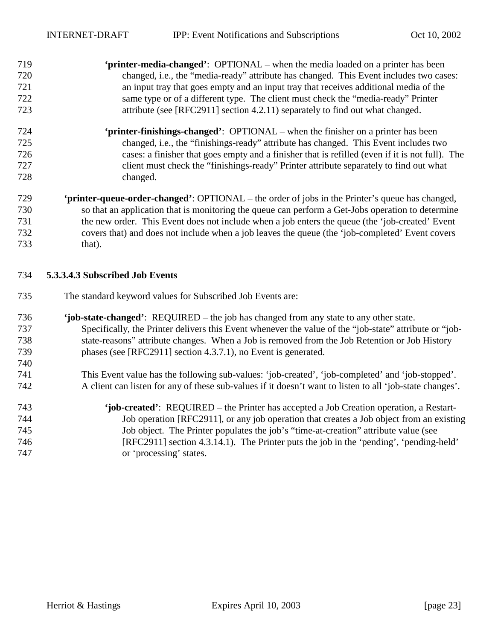- <span id="page-22-0"></span> **'printer-media-changed'**:OPTIONAL – when the media loaded on a printer has been changed, i.e., the "media-ready" attribute has changed. This Event includes two cases: an input tray that goes empty and an input tray that receives additional media of the same type or of a different type. The client must check the "media-ready" Printer attribute (see [RFC2911] section 4.2.11) separately to find out what changed.
- **'printer-finishings-changed'**:OPTIONAL when the finisher on a printer has been changed, i.e., the "finishings-ready" attribute has changed. This Event includes two cases: a finisher that goes empty and a finisher that is refilled (even if it is not full). The client must check the "finishings-ready" Printer attribute separately to find out what changed.
- **'printer-queue-order-changed'**: OPTIONAL the order of jobs in the Printer's queue has changed, so that an application that is monitoring the queue can perform a Get-Jobs operation to determine the new order. This Event does not include when a job enters the queue (the 'job-created' Event covers that) and does not include when a job leaves the queue (the 'job-completed' Event covers that).

#### **5.3.3.4.3 Subscribed Job Events**

- The standard keyword values for Subscribed Job Events are:
- **'job-state-changed'**: REQUIRED the job has changed from any state to any other state. Specifically, the Printer delivers this Event whenever the value of the "job-state" attribute or "job- state-reasons" attribute changes. When a Job is removed from the Job Retention or Job History phases (see [RFC2911] section 4.3.7.1), no Event is generated.
- This Event value has the following sub-values: 'job-created', 'job-completed' and 'job-stopped'. A client can listen for any of these sub-values if it doesn't want to listen to all 'job-state changes'.
- **'job-created'**: REQUIRED the Printer has accepted a Job Creation operation, a Restart- Job operation [RFC2911], or any job operation that creates a Job object from an existing Job object. The Printer populates the job's "time-at-creation" attribute value (see [RFC2911] section 4.3.14.1). The Printer puts the job in the 'pending', 'pending-held' or 'processing' states.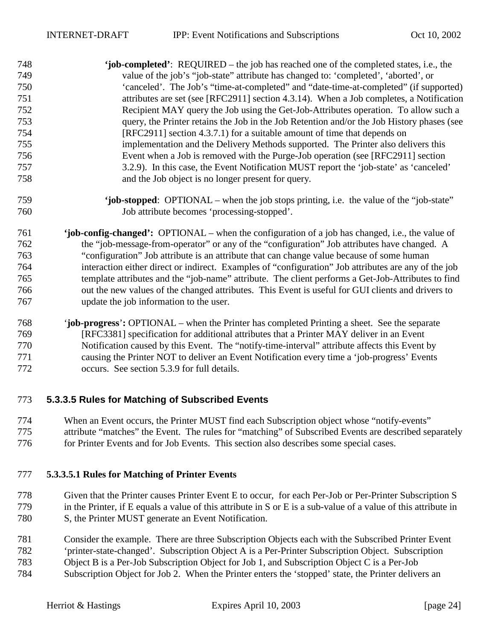- <span id="page-23-0"></span> **'job-completed'**: REQUIRED – the job has reached one of the completed states, i.e., the value of the job's "job-state" attribute has changed to: 'completed', 'aborted', or 'canceled'. The Job's "time-at-completed" and "date-time-at-completed" (if supported) attributes are set (see [RFC2911] section 4.3.14). When a Job completes, a Notification Recipient MAY query the Job using the Get-Job-Attributes operation. To allow such a query, the Printer retains the Job in the Job Retention and/or the Job History phases (see [RFC2911] section 4.3.7.1) for a suitable amount of time that depends on implementation and the Delivery Methods supported. The Printer also delivers this Event when a Job is removed with the Purge-Job operation (see [RFC2911] section 3.2.9). In this case, the Event Notification MUST report the 'job-state' as 'canceled' and the Job object is no longer present for query.
- **'job-stopped**: OPTIONAL when the job stops printing, i.e. the value of the "job-state" Job attribute becomes 'processing-stopped'.
- **'job-config-changed':** OPTIONAL when the configuration of a job has changed, i.e., the value of the "job-message-from-operator" or any of the "configuration" Job attributes have changed. A "configuration" Job attribute is an attribute that can change value because of some human interaction either direct or indirect. Examples of "configuration" Job attributes are any of the job template attributes and the "job-name" attribute. The client performs a Get-Job-Attributes to find out the new values of the changed attributes. This Event is useful for GUI clients and drivers to update the job information to the user.
- '**job-progress**'**:** OPTIONAL when the Printer has completed Printing a sheet. See the separate [RFC3381] specification for additional attributes that a Printer MAY deliver in an Event Notification caused by this Event. The "notify-time-interval" attribute affects this Event by causing the Printer NOT to deliver an Event Notification every time a 'job-progress' Events occurs. See section [5.3.9](#page-29-0) for full details.

#### **5.3.3.5 Rules for Matching of Subscribed Events**

 When an Event occurs, the Printer MUST find each Subscription object whose "notify-events" attribute "matches" the Event. The rules for "matching" of Subscribed Events are described separately for Printer Events and for Job Events. This section also describes some special cases.

#### **5.3.3.5.1 Rules for Matching of Printer Events**

- Given that the Printer causes Printer Event E to occur, for each Per-Job or Per-Printer Subscription S in the Printer, if E equals a value of this attribute in S or E is a sub-value of a value of this attribute in S, the Printer MUST generate an Event Notification.
- Consider the example. There are three Subscription Objects each with the Subscribed Printer Event 'printer-state-changed'. Subscription Object A is a Per-Printer Subscription Object. Subscription Object B is a Per-Job Subscription Object for Job 1, and Subscription Object C is a Per-Job
- Subscription Object for Job 2. When the Printer enters the 'stopped' state, the Printer delivers an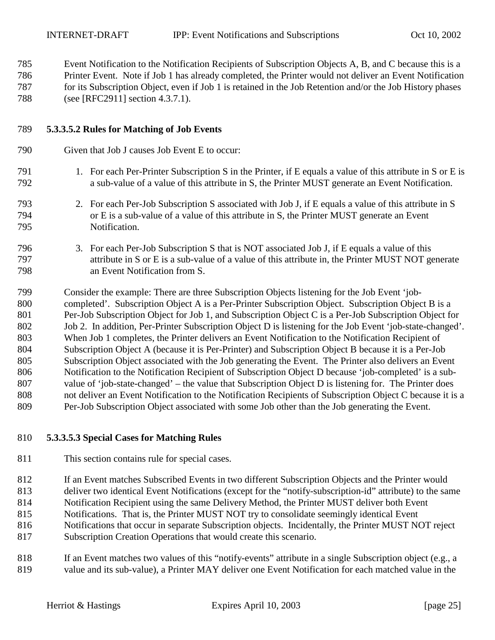<span id="page-24-0"></span> Event Notification to the Notification Recipients of Subscription Objects A, B, and C because this is a Printer Event. Note if Job 1 has already completed, the Printer would not deliver an Event Notification for its Subscription Object, even if Job 1 is retained in the Job Retention and/or the Job History phases 788 (see [RFC2911] section 4.3.7.1).

- **5.3.3.5.2 Rules for Matching of Job Events**
- Given that Job J causes Job Event E to occur:
- 1. For each Per-Printer Subscription S in the Printer, if E equals a value of this attribute in S or E is a sub-value of a value of this attribute in S, the Printer MUST generate an Event Notification.
- 2. For each Per-Job Subscription S associated with Job J, if E equals a value of this attribute in S or E is a sub-value of a value of this attribute in S, the Printer MUST generate an Event Notification.
- 3. For each Per-Job Subscription S that is NOT associated Job J, if E equals a value of this attribute in S or E is a sub-value of a value of this attribute in, the Printer MUST NOT generate an Event Notification from S.

 Consider the example: There are three Subscription Objects listening for the Job Event 'job- completed'. Subscription Object A is a Per-Printer Subscription Object. Subscription Object B is a 801 Per-Job Subscription Object for Job 1, and Subscription Object C is a Per-Job Subscription Object for Job 2. In addition, Per-Printer Subscription Object D is listening for the Job Event 'job-state-changed'. When Job 1 completes, the Printer delivers an Event Notification to the Notification Recipient of Subscription Object A (because it is Per-Printer) and Subscription Object B because it is a Per-Job Subscription Object associated with the Job generating the Event. The Printer also delivers an Event Notification to the Notification Recipient of Subscription Object D because 'job-completed' is a sub- value of 'job-state-changed' – the value that Subscription Object D is listening for. The Printer does not deliver an Event Notification to the Notification Recipients of Subscription Object C because it is a Per-Job Subscription Object associated with some Job other than the Job generating the Event.

#### **5.3.3.5.3 Special Cases for Matching Rules**

- This section contains rule for special cases.
- If an Event matches Subscribed Events in two different Subscription Objects and the Printer would
- deliver two identical Event Notifications (except for the "notify-subscription-id" attribute) to the same
- Notification Recipient using the same Delivery Method, the Printer MUST deliver both Event
- Notifications. That is, the Printer MUST NOT try to consolidate seemingly identical Event
- Notifications that occur in separate Subscription objects. Incidentally, the Printer MUST NOT reject
- Subscription Creation Operations that would create this scenario.
- If an Event matches two values of this "notify-events" attribute in a single Subscription object (e.g., a value and its sub-value), a Printer MAY deliver one Event Notification for each matched value in the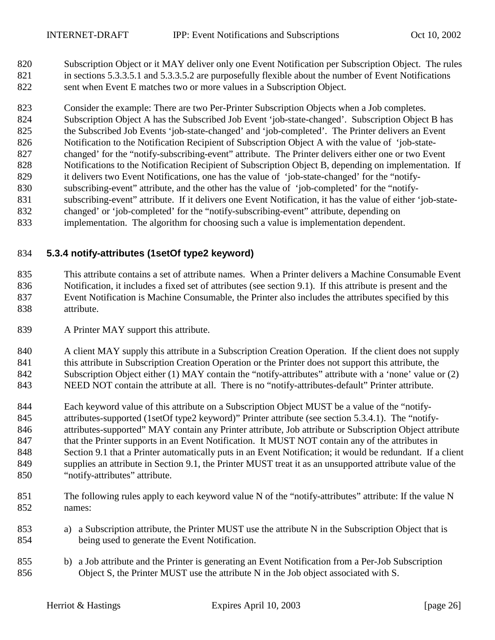<span id="page-25-0"></span> Subscription Object or it MAY deliver only one Event Notification per Subscription Object. The rules 821 in sections [5.3.3.5.1](#page-23-0) and [5.3.3.5.2](#page-24-0) are purposefully flexible about the number of Event Notifications sent when Event E matches two or more values in a Subscription Object.

 Consider the example: There are two Per-Printer Subscription Objects when a Job completes. Subscription Object A has the Subscribed Job Event 'job-state-changed'. Subscription Object B has the Subscribed Job Events 'job-state-changed' and 'job-completed'. The Printer delivers an Event Notification to the Notification Recipient of Subscription Object A with the value of 'job-state- changed' for the "notify-subscribing-event" attribute. The Printer delivers either one or two Event Notifications to the Notification Recipient of Subscription Object B, depending on implementation. If it delivers two Event Notifications, one has the value of 'job-state-changed' for the "notify- subscribing-event" attribute, and the other has the value of 'job-completed' for the "notify- subscribing-event" attribute. If it delivers one Event Notification, it has the value of either 'job-state-changed' or 'job-completed' for the "notify-subscribing-event" attribute, depending on

implementation. The algorithm for choosing such a value is implementation dependent.

## **5.3.4 notify-attributes (1setOf type2 keyword)**

 This attribute contains a set of attribute names. When a Printer delivers a Machine Consumable Event Notification, it includes a fixed set of attributes (see section [9.1\)](#page-37-0). If this attribute is present and the Event Notification is Machine Consumable, the Printer also includes the attributes specified by this attribute.

839 A Printer MAY support this attribute.

840 A client MAY supply this attribute in a Subscription Creation Operation. If the client does not supply 841 this attribute in Subscription Creation Operation or the Printer does not support this attribute, the Subscription Object either (1) MAY contain the "notify-attributes" attribute with a 'none' value or (2) NEED NOT contain the attribute at all. There is no "notify-attributes-default" Printer attribute.

 Each keyword value of this attribute on a Subscription Object MUST be a value of the "notify- attributes-supported (1setOf type2 keyword)" Printer attribute (see section [5.3.4.1\)](#page-26-0). The "notify- attributes-supported" MAY contain any Printer attribute, Job attribute or Subscription Object attribute 847 that the Printer supports in an Event Notification. It MUST NOT contain any of the attributes in Section [9.1](#page-37-0) that a Printer automatically puts in an Event Notification; it would be redundant. If a client supplies an attribute in Section [9.1,](#page-37-0) the Printer MUST treat it as an unsupported attribute value of the "notify-attributes" attribute.

- The following rules apply to each keyword value N of the "notify-attributes" attribute: If the value N names:
- a) a Subscription attribute, the Printer MUST use the attribute N in the Subscription Object that is being used to generate the Event Notification.
- b) a Job attribute and the Printer is generating an Event Notification from a Per-Job Subscription Object S, the Printer MUST use the attribute N in the Job object associated with S.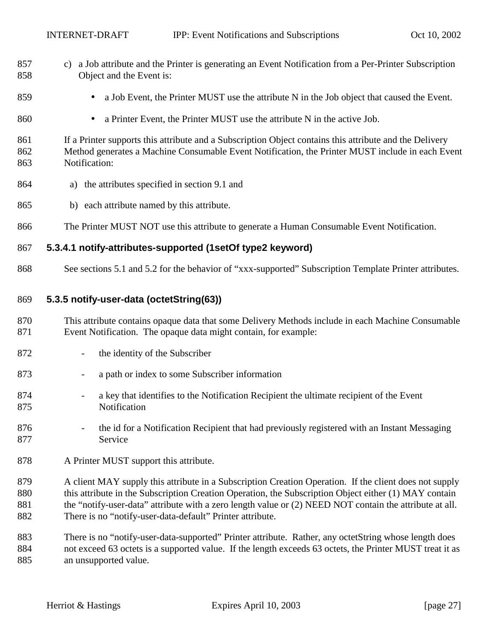- <span id="page-26-0"></span> c) a Job attribute and the Printer is generating an Event Notification from a Per-Printer Subscription Object and the Event is:
- a Job Event, the Printer MUST use the attribute N in the Job object that caused the Event.
- a Printer Event, the Printer MUST use the attribute N in the active Job.

 If a Printer supports this attribute and a Subscription Object contains this attribute and the Delivery Method generates a Machine Consumable Event Notification, the Printer MUST include in each Event Notification:

- a) the attributes specified in section [9.1](#page-37-0) and
- b) each attribute named by this attribute.
- The Printer MUST NOT use this attribute to generate a Human Consumable Event Notification.

#### **5.3.4.1 notify-attributes-supported (1setOf type2 keyword)**

868 See sections [5.1](#page-13-0) and [5.2](#page-14-0) for the behavior of "xxx-supported" Subscription Template Printer attributes.

#### **5.3.5 notify-user-data (octetString(63))**

- This attribute contains opaque data that some Delivery Methods include in each Machine Consumable Event Notification. The opaque data might contain, for example:
- the identity of the Subscriber
- a path or index to some Subscriber information
- 874 a key that identifies to the Notification Recipient the ultimate recipient of the Event Notification
- the id for a Notification Recipient that had previously registered with an Instant Messaging 877 Service
- A Printer MUST support this attribute.
- A client MAY supply this attribute in a Subscription Creation Operation. If the client does not supply 880 this attribute in the Subscription Creation Operation, the Subscription Object either (1) MAY contain 881 the "notify-user-data" attribute with a zero length value or (2) NEED NOT contain the attribute at all. There is no "notify-user-data-default" Printer attribute.
- There is no "notify-user-data-supported" Printer attribute. Rather, any octetString whose length does not exceed 63 octets is a supported value. If the length exceeds 63 octets, the Printer MUST treat it as an unsupported value.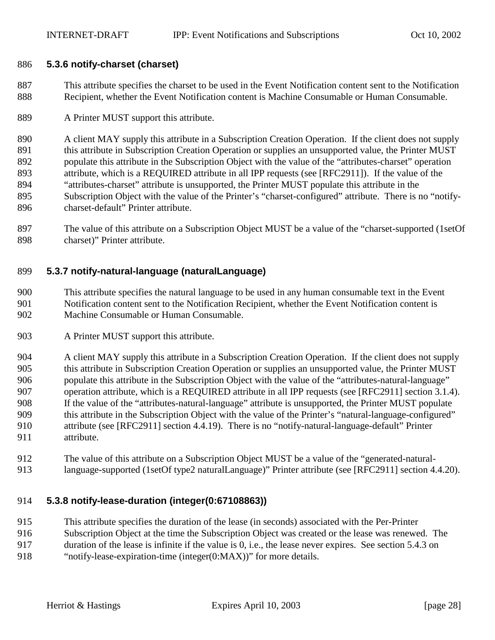#### <span id="page-27-0"></span>**5.3.6 notify-charset (charset)**

- This attribute specifies the charset to be used in the Event Notification content sent to the Notification Recipient, whether the Event Notification content is Machine Consumable or Human Consumable.
- A Printer MUST support this attribute.

890 A client MAY supply this attribute in a Subscription Creation Operation. If the client does not supply 891 this attribute in Subscription Creation Operation or supplies an unsupported value, the Printer MUST populate this attribute in the Subscription Object with the value of the "attributes-charset" operation attribute, which is a REQUIRED attribute in all IPP requests (see [RFC2911]). If the value of the "attributes-charset" attribute is unsupported, the Printer MUST populate this attribute in the Subscription Object with the value of the Printer's "charset-configured" attribute. There is no "notify-charset-default" Printer attribute.

897 The value of this attribute on a Subscription Object MUST be a value of the "charset-supported (1setOf charset)" Printer attribute.

#### **5.3.7 notify-natural-language (naturalLanguage)**

 This attribute specifies the natural language to be used in any human consumable text in the Event Notification content sent to the Notification Recipient, whether the Event Notification content is Machine Consumable or Human Consumable.

A Printer MUST support this attribute.

 A client MAY supply this attribute in a Subscription Creation Operation. If the client does not supply 905 this attribute in Subscription Creation Operation or supplies an unsupported value, the Printer MUST populate this attribute in the Subscription Object with the value of the "attributes-natural-language" operation attribute, which is a REQUIRED attribute in all IPP requests (see [RFC2911] section 3.1.4). If the value of the "attributes-natural-language" attribute is unsupported, the Printer MUST populate this attribute in the Subscription Object with the value of the Printer's "natural-language-configured" attribute (see [RFC2911] section 4.4.19). There is no "notify-natural-language-default" Printer attribute.

 The value of this attribute on a Subscription Object MUST be a value of the "generated-natural-language-supported (1setOf type2 naturalLanguage)" Printer attribute (see [RFC2911] section 4.4.20).

#### **5.3.8 notify-lease-duration (integer(0:67108863))**

- This attribute specifies the duration of the lease (in seconds) associated with the Per-Printer
- Subscription Object at the time the Subscription Object was created or the lease was renewed. The
- duration of the lease is infinite if the value is 0, i.e., the lease never expires. See section [5.4.3](#page-31-0) on
- "[notify-lease-expiration-time \(integer\(0:MAX\)\)"](#page-31-0) for more details.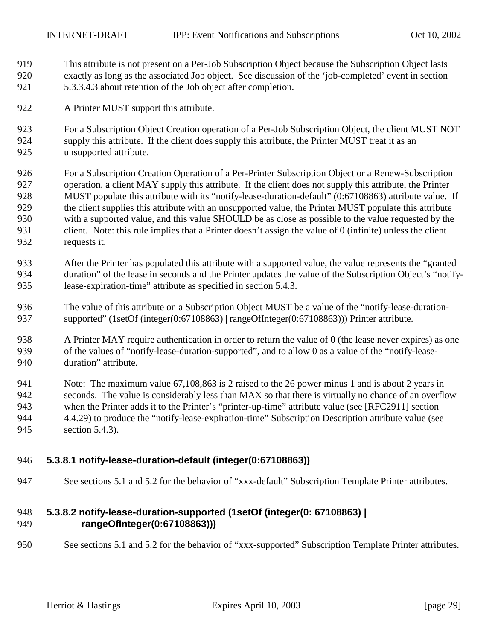<span id="page-28-0"></span> This attribute is not present on a Per-Job Subscription Object because the Subscription Object lasts exactly as long as the associated Job object. See discussion of the 'job-completed' event in section [5.3.3.4.3](#page-22-0) about retention of the Job object after completion.

- 922 A Printer MUST support this attribute.
- For a Subscription Object Creation operation of a Per-Job Subscription Object, the client MUST NOT supply this attribute. If the client does supply this attribute, the Printer MUST treat it as an unsupported attribute.
- For a Subscription Creation Operation of a Per-Printer Subscription Object or a Renew-Subscription operation, a client MAY supply this attribute. If the client does not supply this attribute, the Printer MUST populate this attribute with its "notify-lease-duration-default" (0:67108863) attribute value. If the client supplies this attribute with an unsupported value, the Printer MUST populate this attribute with a supported value, and this value SHOULD be as close as possible to the value requested by the 931 client. Note: this rule implies that a Printer doesn't assign the value of 0 (infinite) unless the client requests it.
- After the Printer has populated this attribute with a supported value, the value represents the "granted duration" of the lease in seconds and the Printer updates the value of the Subscription Object's "notify-lease-expiration-time" attribute as specified in section [5.4.3.](#page-31-0)
- The value of this attribute on a Subscription Object MUST be a value of the "notify-lease-duration-937 supported" (1setOf (integer(0:67108863) | rangeOfInteger(0:67108863))) Printer attribute.
- A Printer MAY require authentication in order to return the value of 0 (the lease never expires) as one of the values of "notify-lease-duration-supported", and to allow 0 as a value of the "notify-lease-duration" attribute.
- Note: The maximum value 67,108,863 is 2 raised to the 26 power minus 1 and is about 2 years in seconds. The value is considerably less than MAX so that there is virtually no chance of an overflow when the Printer adds it to the Printer's "printer-up-time" attribute value (see [RFC2911] section 4.4.29) to produce the "notify-lease-expiration-time" Subscription Description attribute value (see section [5.4.3\)](#page-31-0).

#### **5.3.8.1 notify-lease-duration-default (integer(0:67108863))**

See sections [5.1](#page-13-0) and [5.2](#page-14-0) for the behavior of "xxx-default" Subscription Template Printer attributes.

#### **5.3.8.2 notify-lease-duration-supported (1setOf (integer(0: 67108863) | rangeOfInteger(0:67108863)))**

See sections [5.1](#page-13-0) and [5.2](#page-14-0) for the behavior of "xxx-supported" Subscription Template Printer attributes.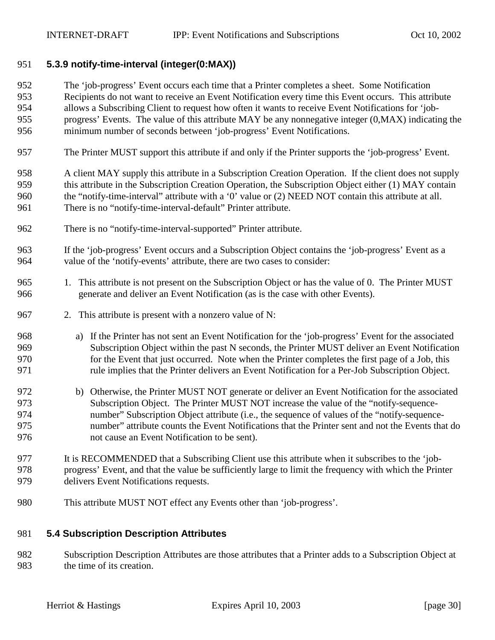#### <span id="page-29-0"></span>**5.3.9 notify-time-interval (integer(0:MAX))**

- The 'job-progress' Event occurs each time that a Printer completes a sheet. Some Notification Recipients do not want to receive an Event Notification every time this Event occurs. This attribute allows a Subscribing Client to request how often it wants to receive Event Notifications for 'job- progress' Events. The value of this attribute MAY be any nonnegative integer (0,MAX) indicating the minimum number of seconds between 'job-progress' Event Notifications.
- The Printer MUST support this attribute if and only if the Printer supports the 'job-progress' Event.
- A client MAY supply this attribute in a Subscription Creation Operation. If the client does not supply this attribute in the Subscription Creation Operation, the Subscription Object either (1) MAY contain the "notify-time-interval" attribute with a '0' value or (2) NEED NOT contain this attribute at all. There is no "notify-time-interval-default" Printer attribute.
- There is no "notify-time-interval-supported" Printer attribute.
- If the 'job-progress' Event occurs and a Subscription Object contains the 'job-progress' Event as a value of the 'notify-events' attribute, there are two cases to consider:
- 1. This attribute is not present on the Subscription Object or has the value of 0. The Printer MUST generate and deliver an Event Notification (as is the case with other Events).
- 2. This attribute is present with a nonzero value of N:
- a) If the Printer has not sent an Event Notification for the 'job-progress' Event for the associated Subscription Object within the past N seconds, the Printer MUST deliver an Event Notification for the Event that just occurred. Note when the Printer completes the first page of a Job, this rule implies that the Printer delivers an Event Notification for a Per-Job Subscription Object.
- b) Otherwise, the Printer MUST NOT generate or deliver an Event Notification for the associated Subscription Object. The Printer MUST NOT increase the value of the "notify-sequence- number" Subscription Object attribute (i.e., the sequence of values of the "notify-sequence- number" attribute counts the Event Notifications that the Printer sent and not the Events that do not cause an Event Notification to be sent).
- It is RECOMMENDED that a Subscribing Client use this attribute when it subscribes to the 'job- progress' Event, and that the value be sufficiently large to limit the frequency with which the Printer delivers Event Notifications requests.
- This attribute MUST NOT effect any Events other than 'job-progress'.

#### **5.4 Subscription Description Attributes**

 Subscription Description Attributes are those attributes that a Printer adds to a Subscription Object at the time of its creation.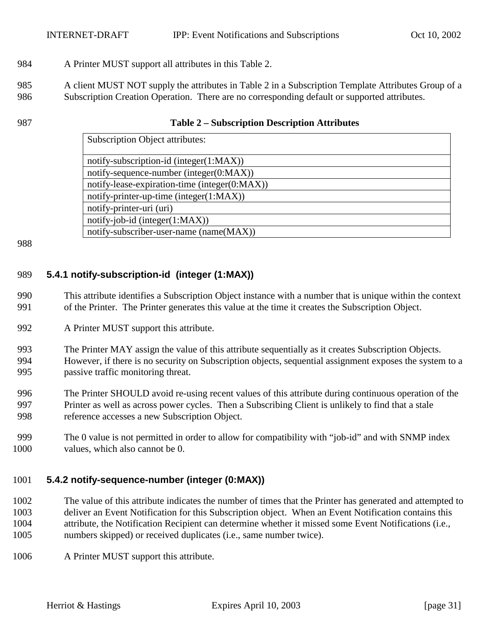### <span id="page-30-0"></span>A Printer MUST support all attributes in this Table 2.

 A client MUST NOT supply the attributes in Table 2 in a Subscription Template Attributes Group of a Subscription Creation Operation. There are no corresponding default or supported attributes.

#### **Table 2 – Subscription Description Attributes**

| <b>Subscription Object attributes:</b>        |  |
|-----------------------------------------------|--|
| notify-subscription-id (integer(1:MAX))       |  |
|                                               |  |
| notify-sequence-number (integer(0:MAX))       |  |
| notify-lease-expiration-time (integer(0:MAX)) |  |
| $notify- printer-up-time (integer(1:MAX))$    |  |
| notify-printer-uri (uri)                      |  |
| $notify-job-id (integer(1:MAX))$              |  |
| notify-subscriber-user-name (name(MAX))       |  |

## **5.4.1 notify-subscription-id (integer (1:MAX))**

 This attribute identifies a Subscription Object instance with a number that is unique within the context of the Printer. The Printer generates this value at the time it creates the Subscription Object.

A Printer MUST support this attribute.

- The Printer MAY assign the value of this attribute sequentially as it creates Subscription Objects. However, if there is no security on Subscription objects, sequential assignment exposes the system to a passive traffic monitoring threat.
- The Printer SHOULD avoid re-using recent values of this attribute during continuous operation of the Printer as well as across power cycles. Then a Subscribing Client is unlikely to find that a stale reference accesses a new Subscription Object.
- The 0 value is not permitted in order to allow for compatibility with "job-id" and with SNMP index values, which also cannot be 0.

#### **5.4.2 notify-sequence-number (integer (0:MAX))**

- The value of this attribute indicates the number of times that the Printer has generated and attempted to deliver an Event Notification for this Subscription object. When an Event Notification contains this attribute, the Notification Recipient can determine whether it missed some Event Notifications (i.e., numbers skipped) or received duplicates (i.e., same number twice).
- A Printer MUST support this attribute.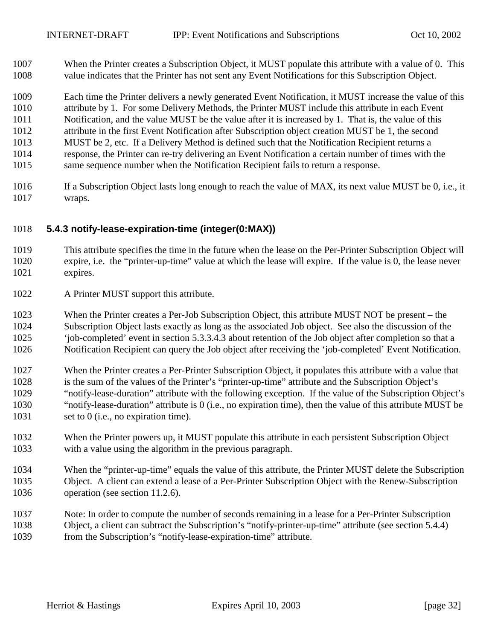<span id="page-31-0"></span> When the Printer creates a Subscription Object, it MUST populate this attribute with a value of 0. This value indicates that the Printer has not sent any Event Notifications for this Subscription Object.

 Each time the Printer delivers a newly generated Event Notification, it MUST increase the value of this attribute by 1. For some Delivery Methods, the Printer MUST include this attribute in each Event Notification, and the value MUST be the value after it is increased by 1. That is, the value of this attribute in the first Event Notification after Subscription object creation MUST be 1, the second MUST be 2, etc. If a Delivery Method is defined such that the Notification Recipient returns a response, the Printer can re-try delivering an Event Notification a certain number of times with the same sequence number when the Notification Recipient fails to return a response.

 If a Subscription Object lasts long enough to reach the value of MAX, its next value MUST be 0, i.e., it wraps.

## **5.4.3 notify-lease-expiration-time (integer(0:MAX))**

- This attribute specifies the time in the future when the lease on the Per-Printer Subscription Object will expire, i.e. the "printer-up-time" value at which the lease will expire. If the value is 0, the lease never expires.
- A Printer MUST support this attribute.

 When the Printer creates a Per-Job Subscription Object, this attribute MUST NOT be present – the Subscription Object lasts exactly as long as the associated Job object. See also the discussion of the 'job-completed' event in section [5.3.3.4.3](#page-22-0) about retention of the Job object after completion so that a Notification Recipient can query the Job object after receiving the 'job-completed' Event Notification.

- When the Printer creates a Per-Printer Subscription Object, it populates this attribute with a value that is the sum of the values of the Printer's "printer-up-time" attribute and the Subscription Object's "notify-lease-duration" attribute with the following exception. If the value of the Subscription Object's "notify-lease-duration" attribute is 0 (i.e., no expiration time), then the value of this attribute MUST be 1031 set to 0 (i.e., no expiration time).
- When the Printer powers up, it MUST populate this attribute in each persistent Subscription Object with a value using the algorithm in the previous paragraph.
- When the "printer-up-time" equals the value of this attribute, the Printer MUST delete the Subscription Object. A client can extend a lease of a Per-Printer Subscription Object with the Renew-Subscription 1036 operation (see section [11.2.6\)](#page-57-0).
- Note: In order to compute the number of seconds remaining in a lease for a Per-Printer Subscription Object, a client can subtract the Subscription's "notify-printer-up-time" attribute (see section [5.4.4\)](#page-32-0) from the Subscription's "notify-lease-expiration-time" attribute.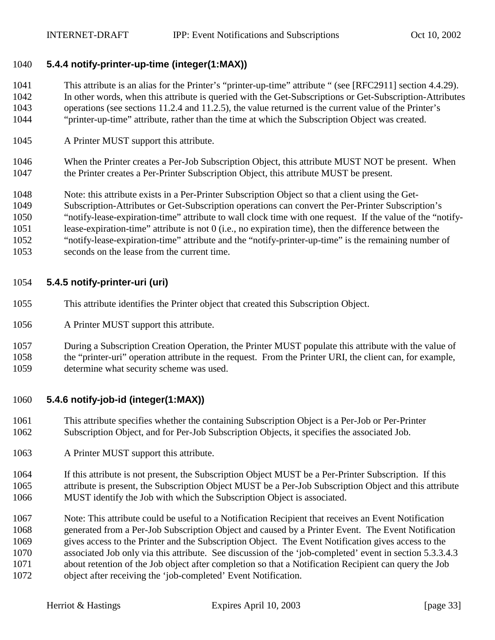#### <span id="page-32-0"></span>**5.4.4 notify-printer-up-time (integer(1:MAX))**

 This attribute is an alias for the Printer's "printer-up-time" attribute " (see [RFC2911] section 4.4.29). In other words, when this attribute is queried with the Get-Subscriptions or Get-Subscription-Attributes operations (see sections [11.2.4](#page-52-0) and [11.2.5\)](#page-54-0), the value returned is the current value of the Printer's "printer-up-time" attribute, rather than the time at which the Subscription Object was created.

- A Printer MUST support this attribute.
- When the Printer creates a Per-Job Subscription Object, this attribute MUST NOT be present. When 1047 the Printer creates a Per-Printer Subscription Object, this attribute MUST be present.
- Note: this attribute exists in a Per-Printer Subscription Object so that a client using the Get-
- Subscription-Attributes or Get-Subscription operations can convert the Per-Printer Subscription's
- "notify-lease-expiration-time" attribute to wall clock time with one request. If the value of the "notify-
- lease-expiration-time" attribute is not 0 (i.e., no expiration time), then the difference between the
- "notify-lease-expiration-time" attribute and the "notify-printer-up-time" is the remaining number of
- seconds on the lease from the current time.

## **5.4.5 notify-printer-uri (uri)**

- This attribute identifies the Printer object that created this Subscription Object.
- A Printer MUST support this attribute.
- During a Subscription Creation Operation, the Printer MUST populate this attribute with the value of the "printer-uri" operation attribute in the request. From the Printer URI, the client can, for example, determine what security scheme was used.

#### **5.4.6 notify-job-id (integer(1:MAX))**

- This attribute specifies whether the containing Subscription Object is a Per-Job or Per-Printer Subscription Object, and for Per-Job Subscription Objects, it specifies the associated Job.
- A Printer MUST support this attribute.
- If this attribute is not present, the Subscription Object MUST be a Per-Printer Subscription. If this attribute is present, the Subscription Object MUST be a Per-Job Subscription Object and this attribute MUST identify the Job with which the Subscription Object is associated.
- Note: This attribute could be useful to a Notification Recipient that receives an Event Notification generated from a Per-Job Subscription Object and caused by a Printer Event. The Event Notification gives access to the Printer and the Subscription Object. The Event Notification gives access to the associated Job only via this attribute. See discussion of the 'job-completed' event in section [5.3.3.4.3](#page-22-0)  about retention of the Job object after completion so that a Notification Recipient can query the Job object after receiving the 'job-completed' Event Notification.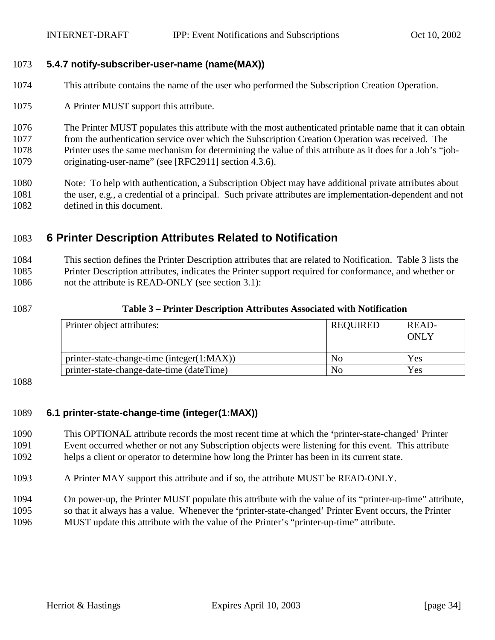#### <span id="page-33-0"></span>**5.4.7 notify-subscriber-user-name (name(MAX))**

This attribute contains the name of the user who performed the Subscription Creation Operation.

A Printer MUST support this attribute.

 The Printer MUST populates this attribute with the most authenticated printable name that it can obtain from the authentication service over which the Subscription Creation Operation was received. The Printer uses the same mechanism for determining the value of this attribute as it does for a Job's "job-originating-user-name" (see [RFC2911] section 4.3.6).

 Note: To help with authentication, a Subscription Object may have additional private attributes about the user, e.g., a credential of a principal. Such private attributes are implementation-dependent and not defined in this document.

## **6 Printer Description Attributes Related to Notification**

 This section defines the Printer Description attributes that are related to Notification. Table 3 lists the Printer Description attributes, indicates the Printer support required for conformance, and whether or 1086 not the attribute is READ-ONLY (see section [3.1\)](#page-9-0):

#### **Table 3 – Printer Description Attributes Associated with Notification**

| Printer object attributes:                 | <b>REQUIRED</b> | READ-<br>ONLY |
|--------------------------------------------|-----------------|---------------|
| printer-state-change-time (integer(1:MAX)) | No              | Yes           |
| printer-state-change-date-time (dateTime)  | No              | Yes           |

#### **6.1 printer-state-change-time (integer(1:MAX))**

 This OPTIONAL attribute records the most recent time at which the **'**printer-state-changed' Printer Event occurred whether or not any Subscription objects were listening for this event. This attribute helps a client or operator to determine how long the Printer has been in its current state.

- A Printer MAY support this attribute and if so, the attribute MUST be READ-ONLY.
- On power-up, the Printer MUST populate this attribute with the value of its "printer-up-time" attribute, so that it always has a value. Whenever the **'**printer-state-changed' Printer Event occurs, the Printer
- MUST update this attribute with the value of the Printer's "printer-up-time" attribute.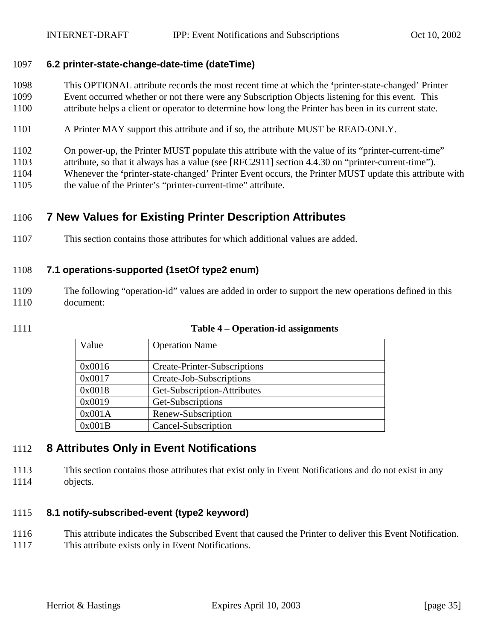#### <span id="page-34-0"></span>**6.2 printer-state-change-date-time (dateTime)**

 This OPTIONAL attribute records the most recent time at which the **'**printer-state-changed' Printer Event occurred whether or not there were any Subscription Objects listening for this event. This attribute helps a client or operator to determine how long the Printer has been in its current state.

- A Printer MAY support this attribute and if so, the attribute MUST be READ-ONLY.
- On power-up, the Printer MUST populate this attribute with the value of its "printer-current-time"
- attribute, so that it always has a value (see [RFC2911] section 4.4.30 on "printer-current-time").
- Whenever the **'**printer-state-changed' Printer Event occurs, the Printer MUST update this attribute with
- the value of the Printer's "printer-current-time" attribute.

## **7 New Values for Existing Printer Description Attributes**

This section contains those attributes for which additional values are added.

#### **7.1 operations-supported (1setOf type2 enum)**

- The following "operation-id" values are added in order to support the new operations defined in this document:
- 

| Value  | <b>Operation Name</b>        |
|--------|------------------------------|
| 0x0016 | Create-Printer-Subscriptions |
| 0x0017 | Create-Job-Subscriptions     |
| 0x0018 | Get-Subscription-Attributes  |
| 0x0019 | Get-Subscriptions            |
| 0x001A | Renew-Subscription           |
| 0x001B | Cancel-Subscription          |

## **8 Attributes Only in Event Notifications**

 This section contains those attributes that exist only in Event Notifications and do not exist in any objects.

#### **8.1 notify-subscribed-event (type2 keyword)**

- This attribute indicates the Subscribed Event that caused the Printer to deliver this Event Notification.
- This attribute exists only in Event Notifications.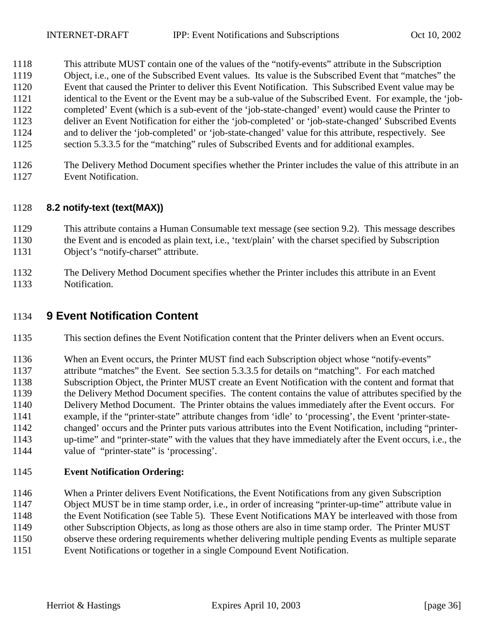<span id="page-35-0"></span>This attribute MUST contain one of the values of the "notify-events" attribute in the Subscription

- Object, i.e., one of the Subscribed Event values. Its value is the Subscribed Event that "matches" the
- Event that caused the Printer to deliver this Event Notification. This Subscribed Event value may be
- 1121 identical to the Event or the Event may be a sub-value of the Subscribed Event. For example, the 'job-
- completed' Event (which is a sub-event of the 'job-state-changed' event) would cause the Printer to deliver an Event Notification for either the 'job-completed' or 'job-state-changed' Subscribed Events
- and to deliver the 'job-completed' or 'job-state-changed' value for this attribute, respectively. See
- 1125 section [5.3.3.5](#page-23-0) for the "matching" rules of Subscribed Events and for additional examples.
- The Delivery Method Document specifies whether the Printer includes the value of this attribute in an Event Notification.

## **8.2 notify-text (text(MAX))**

This attribute contains a Human Consumable text message (see section [9.2\)](#page-40-0). This message describes

- the Event and is encoded as plain text, i.e., 'text/plain' with the charset specified by Subscription Object's "notify-charset" attribute.
- The Delivery Method Document specifies whether the Printer includes this attribute in an Event Notification.

## **9 Event Notification Content**

- This section defines the Event Notification content that the Printer delivers when an Event occurs.
- When an Event occurs, the Printer MUST find each Subscription object whose "notify-events"
- attribute "matches" the Event. See section [5.3.3.5](#page-23-0) for details on "matching". For each matched
- Subscription Object, the Printer MUST create an Event Notification with the content and format that
- the Delivery Method Document specifies. The content contains the value of attributes specified by the Delivery Method Document. The Printer obtains the values immediately after the Event occurs. For
- example, if the "printer-state" attribute changes from 'idle' to 'processing', the Event 'printer-state-
- changed' occurs and the Printer puts various attributes into the Event Notification, including "printer-
- up-time" and "printer-state" with the values that they have immediately after the Event occurs, i.e., the value of "printer-state" is 'processing'.

## **Event Notification Ordering:**

 When a Printer delivers Event Notifications, the Event Notifications from any given Subscription Object MUST be in time stamp order, i.e., in order of increasing "printer-up-time" attribute value in 1148 the Event Notification (see Table 5). These Event Notifications MAY be interleaved with those from other Subscription Objects, as long as those others are also in time stamp order. The Printer MUST observe these ordering requirements whether delivering multiple pending Events as multiple separate Event Notifications or together in a single Compound Event Notification.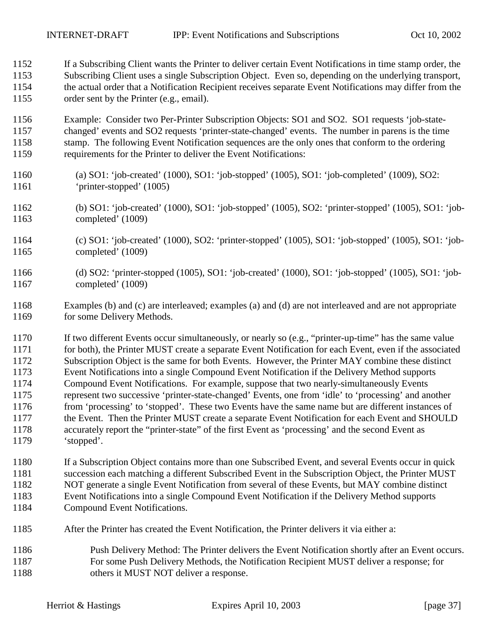If a Subscribing Client wants the Printer to deliver certain Event Notifications in time stamp order, the Subscribing Client uses a single Subscription Object. Even so, depending on the underlying transport, the actual order that a Notification Recipient receives separate Event Notifications may differ from the order sent by the Printer (e.g., email).

 Example: Consider two Per-Printer Subscription Objects: SO1 and SO2. SO1 requests 'job-state- changed' events and SO2 requests 'printer-state-changed' events. The number in parens is the time stamp. The following Event Notification sequences are the only ones that conform to the ordering requirements for the Printer to deliver the Event Notifications:

- (a) SO1: 'job-created' (1000), SO1: 'job-stopped' (1005), SO1: 'job-completed' (1009), SO2: 'printer-stopped' (1005)
- (b) SO1: 'job-created' (1000), SO1: 'job-stopped' (1005), SO2: 'printer-stopped' (1005), SO1: 'job-completed' (1009)
- (c) SO1: 'job-created' (1000), SO2: 'printer-stopped' (1005), SO1: 'job-stopped' (1005), SO1: 'job-completed' (1009)
- (d) SO2: 'printer-stopped (1005), SO1: 'job-created' (1000), SO1: 'job-stopped' (1005), SO1: 'job-completed' (1009)
- Examples (b) and (c) are interleaved; examples (a) and (d) are not interleaved and are not appropriate 1169 for some Delivery Methods.

 If two different Events occur simultaneously, or nearly so (e.g., "printer-up-time" has the same value 1171 for both), the Printer MUST create a separate Event Notification for each Event, even if the associated Subscription Object is the same for both Events. However, the Printer MAY combine these distinct Event Notifications into a single Compound Event Notification if the Delivery Method supports Compound Event Notifications. For example, suppose that two nearly-simultaneously Events represent two successive 'printer-state-changed' Events, one from 'idle' to 'processing' and another from 'processing' to 'stopped'. These two Events have the same name but are different instances of 1177 the Event. Then the Printer MUST create a separate Event Notification for each Event and SHOULD accurately report the "printer-state" of the first Event as 'processing' and the second Event as 'stopped'.

- If a Subscription Object contains more than one Subscribed Event, and several Events occur in quick succession each matching a different Subscribed Event in the Subscription Object, the Printer MUST NOT generate a single Event Notification from several of these Events, but MAY combine distinct Event Notifications into a single Compound Event Notification if the Delivery Method supports Compound Event Notifications.
- After the Printer has created the Event Notification, the Printer delivers it via either a:
- Push Delivery Method: The Printer delivers the Event Notification shortly after an Event occurs. For some Push Delivery Methods, the Notification Recipient MUST deliver a response; for 1188 others it MUST NOT deliver a response.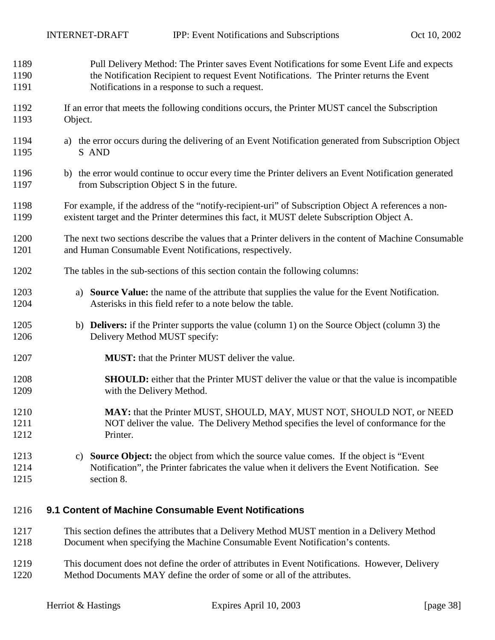<span id="page-37-0"></span>

| 1189                 | Pull Delivery Method: The Printer saves Event Notifications for some Event Life and expects                                                                                                                      |
|----------------------|------------------------------------------------------------------------------------------------------------------------------------------------------------------------------------------------------------------|
| 1190                 | the Notification Recipient to request Event Notifications. The Printer returns the Event                                                                                                                         |
| 1191                 | Notifications in a response to such a request.                                                                                                                                                                   |
| 1192                 | If an error that meets the following conditions occurs, the Printer MUST cancel the Subscription                                                                                                                 |
| 1193                 | Object.                                                                                                                                                                                                          |
| 1194                 | a) the error occurs during the delivering of an Event Notification generated from Subscription Object                                                                                                            |
| 1195                 | S AND                                                                                                                                                                                                            |
| 1196                 | b) the error would continue to occur every time the Printer delivers an Event Notification generated                                                                                                             |
| 1197                 | from Subscription Object S in the future.                                                                                                                                                                        |
| 1198                 | For example, if the address of the "notify-recipient-uri" of Subscription Object A references a non-                                                                                                             |
| 1199                 | existent target and the Printer determines this fact, it MUST delete Subscription Object A.                                                                                                                      |
| 1200                 | The next two sections describe the values that a Printer delivers in the content of Machine Consumable                                                                                                           |
| 1201                 | and Human Consumable Event Notifications, respectively.                                                                                                                                                          |
| 1202                 | The tables in the sub-sections of this section contain the following columns:                                                                                                                                    |
| 1203                 | a) Source Value: the name of the attribute that supplies the value for the Event Notification.                                                                                                                   |
| 1204                 | Asterisks in this field refer to a note below the table.                                                                                                                                                         |
| 1205                 | b) <b>Delivers:</b> if the Printer supports the value (column 1) on the Source Object (column 3) the                                                                                                             |
| 1206                 | Delivery Method MUST specify:                                                                                                                                                                                    |
| 1207                 | <b>MUST:</b> that the Printer MUST deliver the value.                                                                                                                                                            |
| 1208                 | <b>SHOULD:</b> either that the Printer MUST deliver the value or that the value is incompatible                                                                                                                  |
| 1209                 | with the Delivery Method.                                                                                                                                                                                        |
| 1210                 | MAY: that the Printer MUST, SHOULD, MAY, MUST NOT, SHOULD NOT, or NEED                                                                                                                                           |
| 1211                 | NOT deliver the value. The Delivery Method specifies the level of conformance for the                                                                                                                            |
| 1212                 | Printer.                                                                                                                                                                                                         |
| 1213<br>1214<br>1215 | <b>Source Object:</b> the object from which the source value comes. If the object is "Event"<br>C)<br>Notification", the Printer fabricates the value when it delivers the Event Notification. See<br>section 8. |
| 1216                 | 9.1 Content of Machine Consumable Event Notifications                                                                                                                                                            |

- This section defines the attributes that a Delivery Method MUST mention in a Delivery Method Document when specifying the Machine Consumable Event Notification's contents.
- This document does not define the order of attributes in Event Notifications. However, Delivery Method Documents MAY define the order of some or all of the attributes.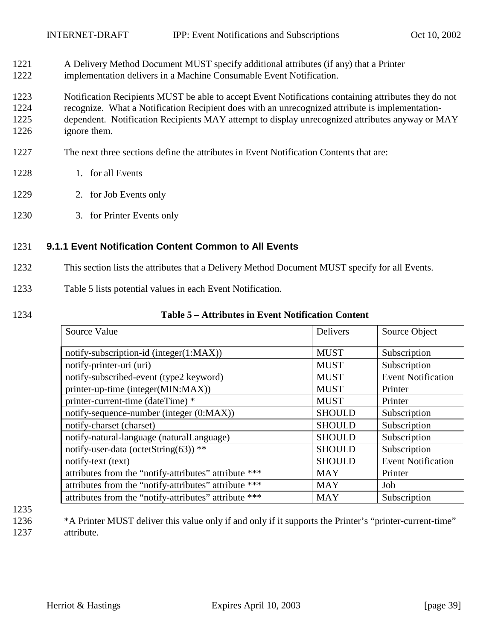- 1221 A Delivery Method Document MUST specify additional attributes (if any) that a Printer 1222 implementation delivers in a Machine Consumable Event Notification.
- 1223 Notification Recipients MUST be able to accept Event Notifications containing attributes they do not 1224 recognize. What a Notification Recipient does with an unrecognized attribute is implementation-1225 dependent. Notification Recipients MAY attempt to display unrecognized attributes anyway or MAY 1226 ignore them.
- 1227 The next three sections define the attributes in Event Notification Contents that are:
- 1228 1. for all Events
- 1229 2. for Job Events only
- 1230 3. for Printer Events only

#### 1231 **9.1.1 Event Notification Content Common to All Events**

- 1232 This section lists the attributes that a Delivery Method Document MUST specify for all Events.
- 1233 Table 5 lists potential values in each Event Notification.
- 

#### 1234 **Table 5 – Attributes in Event Notification Content**

| Source Value                                          | <b>Delivers</b> | Source Object             |
|-------------------------------------------------------|-----------------|---------------------------|
| notify-subscription-id (integer(1:MAX))               | <b>MUST</b>     | Subscription              |
| notify-printer-uri (uri)                              | <b>MUST</b>     | Subscription              |
| notify-subscribed-event (type2 keyword)               | <b>MUST</b>     | <b>Event Notification</b> |
| printer-up-time (integer(MIN:MAX))                    | <b>MUST</b>     | Printer                   |
| printer-current-time (dateTime) *                     | <b>MUST</b>     | Printer                   |
| notify-sequence-number (integer (0:MAX))              | <b>SHOULD</b>   | Subscription              |
| notify-charset (charset)                              | <b>SHOULD</b>   | Subscription              |
| notify-natural-language (naturalLanguage)             | <b>SHOULD</b>   | Subscription              |
| notify-user-data (octetString(63)) **                 | <b>SHOULD</b>   | Subscription              |
| notify-text (text)                                    | <b>SHOULD</b>   | <b>Event Notification</b> |
| attributes from the "notify-attributes" attribute *** | <b>MAY</b>      | Printer                   |
| attributes from the "notify-attributes" attribute *** | <b>MAY</b>      | Job                       |
| attributes from the "notify-attributes" attribute *** | <b>MAY</b>      | Subscription              |

- 1235
- 1236 \*A Printer MUST deliver this value only if and only if it supports the Printer's "printer-current-time" 1237 attribute.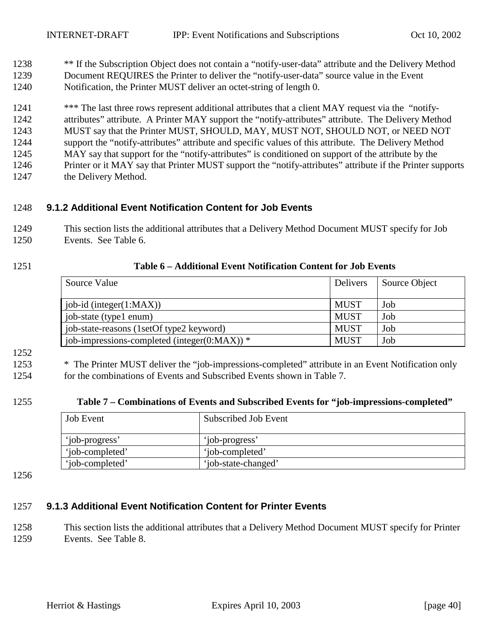- \*\* If the Subscription Object does not contain a "notify-user-data" attribute and the Delivery Method
- Document REQUIRES the Printer to deliver the "notify-user-data" source value in the Event Notification, the Printer MUST deliver an octet-string of length 0.

1241 \*\*\* The last three rows represent additional attributes that a client MAY request via the "notify- attributes" attribute. A Printer MAY support the "notify-attributes" attribute. The Delivery Method MUST say that the Printer MUST, SHOULD, MAY, MUST NOT, SHOULD NOT, or NEED NOT support the "notify-attributes" attribute and specific values of this attribute. The Delivery Method MAY say that support for the "notify-attributes" is conditioned on support of the attribute by the Printer or it MAY say that Printer MUST support the "notify-attributes" attribute if the Printer supports 1247 the Delivery Method.

#### **9.1.2 Additional Event Notification Content for Job Events**

 This section lists the additional attributes that a Delivery Method Document MUST specify for Job Events. See Table 6.

#### **Table 6 – Additional Event Notification Content for Job Events**

| Source Value                                     | <b>Delivers</b> | Source Object |
|--------------------------------------------------|-----------------|---------------|
| job-id (integer $(1:MAX)$ )                      | <b>MUST</b>     | Job           |
| job-state (type1 enum)                           | <b>MUST</b>     | Job           |
| job-state-reasons (1setOf type2 keyword)         | <b>MUST</b>     | Job           |
| job-impressions-completed (integer( $0:MAX$ )) * | <b>MUST</b>     | Job           |

#### 

 \* The Printer MUST deliver the "job-impressions-completed" attribute in an Event Notification only for the combinations of Events and Subscribed Events shown in Table 7.

#### **Table 7 – Combinations of Events and Subscribed Events for "job-impressions-completed"**

| <b>Job</b> Event | Subscribed Job Event |
|------------------|----------------------|
| 'job-progress'   | 'iob-progress'       |
| 'iob-completed'  | 'iob-completed'      |
| 'iob-completed'  | 'job-state-changed'  |

#### **9.1.3 Additional Event Notification Content for Printer Events**

 This section lists the additional attributes that a Delivery Method Document MUST specify for Printer Events. See [Table 8.](#page-40-0)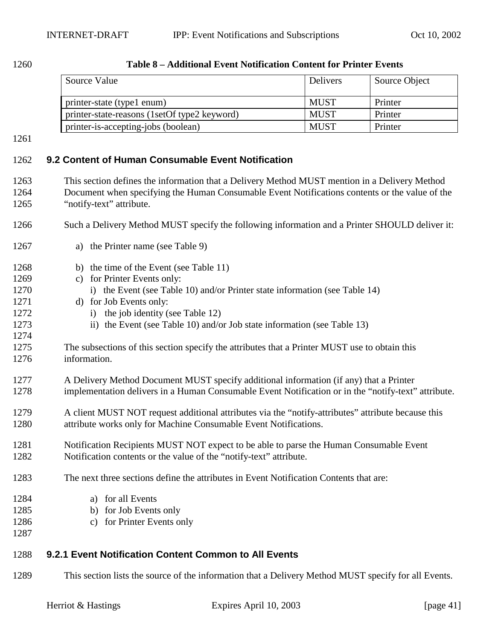<span id="page-40-0"></span>

| 1260 |
|------|
|------|

#### **Table 8 – Additional Event Notification Content for Printer Events**

| Source Value                                 | Delivers    | Source Object |
|----------------------------------------------|-------------|---------------|
| printer-state (type1 enum)                   | <b>MUST</b> | Printer       |
| printer-state-reasons (1setOf type2 keyword) | <b>MUST</b> | Printer       |
| printer-is-accepting-jobs (boolean)          | <b>MUST</b> | Printer       |

### **9.2 Content of Human Consumable Event Notification**

- This section defines the information that a Delivery Method MUST mention in a Delivery Method Document when specifying the Human Consumable Event Notifications contents or the value of the "notify-text" attribute.
- Such a Delivery Method MUST specify the following information and a Printer SHOULD deliver it:
- a) the Printer name (see [Table 9\)](#page-41-0)
- b) the time of the Event (see [Table 11\)](#page-41-0)
- c) for Printer Events only:
- 1270 i) the Event (see [Table 10\)](#page-41-0) and/or Printer state information (see [Table 14\)](#page-43-0)
- d) for Job Events only:
- 1272 i) the job identity (see [Table 12\)](#page-42-0)
- 1273 ii) the Event (see [Table 10\)](#page-41-0) and/or Job state information (see [Table 13\)](#page-42-0)
- The subsections of this section specify the attributes that a Printer MUST use to obtain this information.
- A Delivery Method Document MUST specify additional information (if any) that a Printer implementation delivers in a Human Consumable Event Notification or in the "notify-text" attribute.
- A client MUST NOT request additional attributes via the "notify-attributes" attribute because this attribute works only for Machine Consumable Event Notifications.
- Notification Recipients MUST NOT expect to be able to parse the Human Consumable Event Notification contents or the value of the "notify-text" attribute.
- The next three sections define the attributes in Event Notification Contents that are:
- a) for all Events
- b) for Job Events only
- c) for Printer Events only
- **9.2.1 Event Notification Content Common to All Events**
- This section lists the source of the information that a Delivery Method MUST specify for all Events.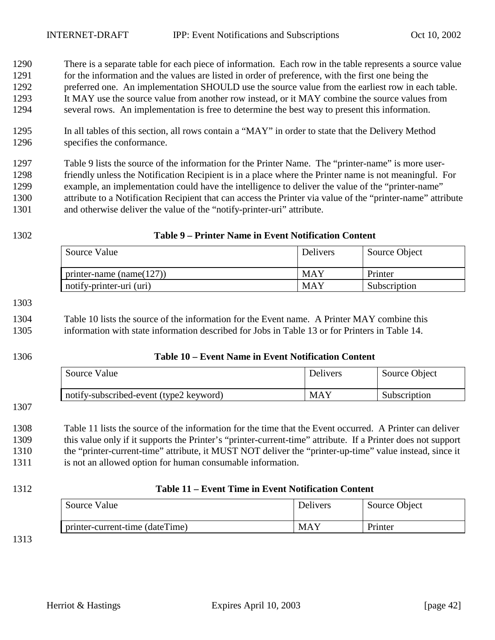<span id="page-41-0"></span> There is a separate table for each piece of information. Each row in the table represents a source value for the information and the values are listed in order of preference, with the first one being the preferred one. An implementation SHOULD use the source value from the earliest row in each table. It MAY use the source value from another row instead, or it MAY combine the source values from

several rows. An implementation is free to determine the best way to present this information.

 In all tables of this section, all rows contain a "MAY" in order to state that the Delivery Method specifies the conformance.

 Table 9 lists the source of the information for the Printer Name. The "printer-name" is more user- friendly unless the Notification Recipient is in a place where the Printer name is not meaningful. For example, an implementation could have the intelligence to deliver the value of the "printer-name" attribute to a Notification Recipient that can access the Printer via value of the "printer-name" attribute and otherwise deliver the value of the "notify-printer-uri" attribute.

#### **Table 9 – Printer Name in Event Notification Content**

| Source Value                 | <b>Delivers</b> | Source Object |
|------------------------------|-----------------|---------------|
| printer-name (name $(127)$ ) | MAY             | Printer       |
| notify-printer-uri (uri)     | <b>MAY</b>      | Subscription  |

#### 

 Table 10 lists the source of the information for the Event name. A Printer MAY combine this information with state information described for Jobs in [Table 13](#page-42-0) or for Printers in [Table 14.](#page-43-0)

#### **Table 10 – Event Name in Event Notification Content**

| Source Value                            | <b>Delivers</b> | Source Object |
|-----------------------------------------|-----------------|---------------|
| notify-subscribed-event (type2 keyword) | MAY             | Subscription  |

 Table 11 lists the source of the information for the time that the Event occurred. A Printer can deliver this value only if it supports the Printer's "printer-current-time" attribute. If a Printer does not support the "printer-current-time" attribute, it MUST NOT deliver the "printer-up-time" value instead, since it is not an allowed option for human consumable information.

#### **Table 11 – Event Time in Event Notification Content**

| Source Value                    | Delivers   | Source Object |
|---------------------------------|------------|---------------|
| printer-current-time (dateTime) | <b>MAY</b> | Printer       |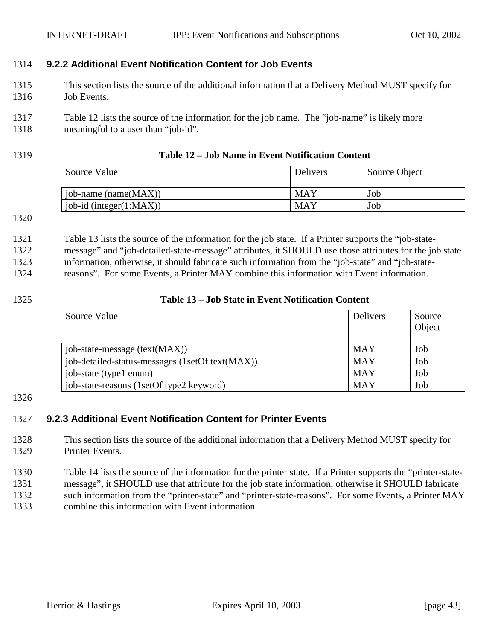<span id="page-42-0"></span>**9.2.2 Additional Event Notification Content for Job Events** 

- This section lists the source of the additional information that a Delivery Method MUST specify for Job Events.
- Table 12 lists the source of the information for the job name. The "job-name" is likely more
- meaningful to a user than "job-id".
- 

### **Table 12 – Job Name in Event Notification Content**

| Source Value                | <b>Delivers</b> | Source Object |
|-----------------------------|-----------------|---------------|
| job-name (name $(MAX)$ )    | <b>MAY</b>      | Job           |
| job-id (integer $(1:MAX)$ ) | <b>MAY</b>      | Job           |

#### 

# Table 13 lists the source of the information for the job state. If a Printer supports the "job-state- message" and "job-detailed-state-message" attributes, it SHOULD use those attributes for the job state information, otherwise, it should fabricate such information from the "job-state" and "job-state-

reasons". For some Events, a Printer MAY combine this information with Event information.

## **Table 13 – Job State in Event Notification Content**

| Source Value                                    | Delivers   | Source |
|-------------------------------------------------|------------|--------|
|                                                 |            | Object |
| job-state-message $(text(MAX))$                 | <b>MAY</b> | Job    |
| job-detailed-status-messages (1setOf text(MAX)) | <b>MAY</b> | Job    |
| job-state (type1 enum)                          | <b>MAY</b> | Job    |
| job-state-reasons (1setOf type2 keyword)        | <b>MAY</b> | Job    |

# **9.2.3 Additional Event Notification Content for Printer Events**

 This section lists the source of the additional information that a Delivery Method MUST specify for Printer Events.

 [Table 14](#page-43-0) lists the source of the information for the printer state. If a Printer supports the "printer-state- message", it SHOULD use that attribute for the job state information, otherwise it SHOULD fabricate 1332 such information from the "printer-state" and "printer-state-reasons". For some Events, a Printer MAY combine this information with Event information.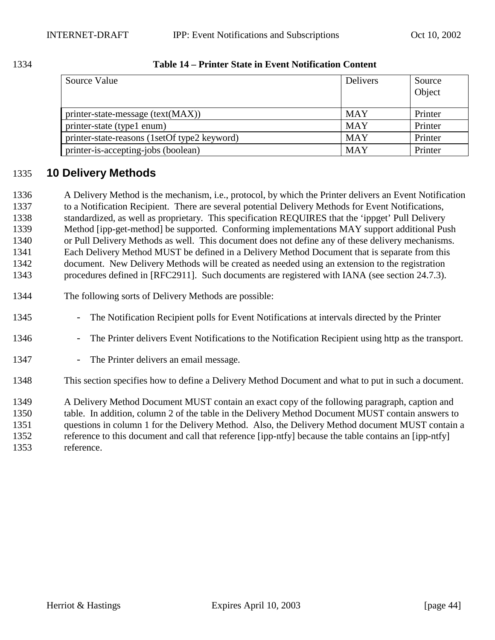<span id="page-43-0"></span>

| 1334 | Table 14 – Printer State in Event Notification Content |
|------|--------------------------------------------------------|
|      |                                                        |

| Source Value                                 | <b>Delivers</b> | Source<br>Object |
|----------------------------------------------|-----------------|------------------|
| printer-state-message (text(MAX))            | <b>MAY</b>      | Printer          |
| printer-state (type1 enum)                   | <b>MAY</b>      | Printer          |
| printer-state-reasons (1setOf type2 keyword) | <b>MAY</b>      | Printer          |
| printer-is-accepting-jobs (boolean)          | <b>MAY</b>      | Printer          |

# **10 Delivery Methods**

 A Delivery Method is the mechanism, i.e., protocol, by which the Printer delivers an Event Notification to a Notification Recipient. There are several potential Delivery Methods for Event Notifications, standardized, as well as proprietary. This specification REQUIRES that the 'ippget' Pull Delivery Method [ipp-get-method] be supported. Conforming implementations MAY support additional Push or Pull Delivery Methods as well. This document does not define any of these delivery mechanisms. Each Delivery Method MUST be defined in a Delivery Method Document that is separate from this document. New Delivery Methods will be created as needed using an extension to the registration procedures defined in [RFC2911]. Such documents are registered with IANA (see section [24.7.3\)](#page-76-0).

- The following sorts of Delivery Methods are possible:
- 1345 The Notification Recipient polls for Event Notifications at intervals directed by the Printer
- 1346 The Printer delivers Event Notifications to the Notification Recipient using http as the transport.
- 1347 The Printer delivers an email message.
- This section specifies how to define a Delivery Method Document and what to put in such a document.

 A Delivery Method Document MUST contain an exact copy of the following paragraph, caption and table. In addition, column 2 of the table in the Delivery Method Document MUST contain answers to questions in column 1 for the Delivery Method. Also, the Delivery Method document MUST contain a reference to this document and call that reference [ipp-ntfy] because the table contains an [ipp-ntfy] reference.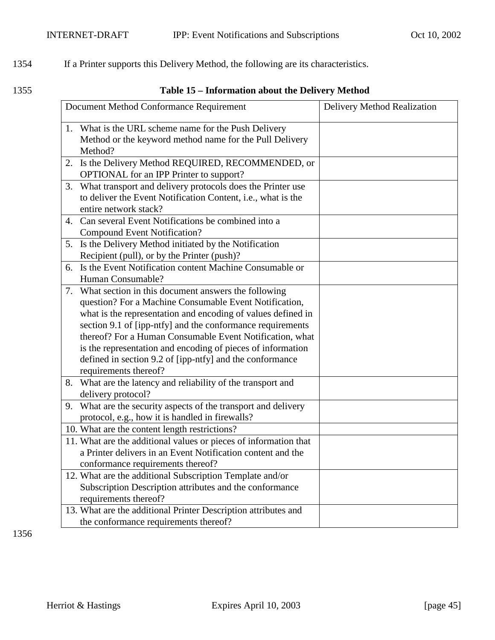# 1354 If a Printer supports this Delivery Method, the following are its characteristics.

### 1355 **Table 15 – Information about the Delivery Method**

|    | Document Method Conformance Requirement                                                                                    | <b>Delivery Method Realization</b> |
|----|----------------------------------------------------------------------------------------------------------------------------|------------------------------------|
|    | 1. What is the URL scheme name for the Push Delivery<br>Method or the keyword method name for the Pull Delivery<br>Method? |                                    |
| 2. | Is the Delivery Method REQUIRED, RECOMMENDED, or<br>OPTIONAL for an IPP Printer to support?                                |                                    |
| 3. | What transport and delivery protocols does the Printer use                                                                 |                                    |
|    | to deliver the Event Notification Content, i.e., what is the                                                               |                                    |
|    | entire network stack?                                                                                                      |                                    |
|    | 4. Can several Event Notifications be combined into a                                                                      |                                    |
|    | <b>Compound Event Notification?</b>                                                                                        |                                    |
| 5. | Is the Delivery Method initiated by the Notification<br>Recipient (pull), or by the Printer (push)?                        |                                    |
| 6. | Is the Event Notification content Machine Consumable or                                                                    |                                    |
|    | Human Consumable?                                                                                                          |                                    |
| 7. | What section in this document answers the following                                                                        |                                    |
|    | question? For a Machine Consumable Event Notification,                                                                     |                                    |
|    | what is the representation and encoding of values defined in                                                               |                                    |
|    | section 9.1 of [ipp-ntfy] and the conformance requirements                                                                 |                                    |
|    | thereof? For a Human Consumable Event Notification, what                                                                   |                                    |
|    | is the representation and encoding of pieces of information                                                                |                                    |
|    | defined in section 9.2 of [ipp-ntfy] and the conformance                                                                   |                                    |
|    | requirements thereof?                                                                                                      |                                    |
| 8. | What are the latency and reliability of the transport and<br>delivery protocol?                                            |                                    |
|    | 9. What are the security aspects of the transport and delivery                                                             |                                    |
|    | protocol, e.g., how it is handled in firewalls?                                                                            |                                    |
|    | 10. What are the content length restrictions?                                                                              |                                    |
|    | 11. What are the additional values or pieces of information that                                                           |                                    |
|    | a Printer delivers in an Event Notification content and the                                                                |                                    |
|    | conformance requirements thereof?                                                                                          |                                    |
|    | 12. What are the additional Subscription Template and/or                                                                   |                                    |
|    | Subscription Description attributes and the conformance                                                                    |                                    |
|    | requirements thereof?                                                                                                      |                                    |
|    | 13. What are the additional Printer Description attributes and                                                             |                                    |
|    | the conformance requirements thereof?                                                                                      |                                    |

1356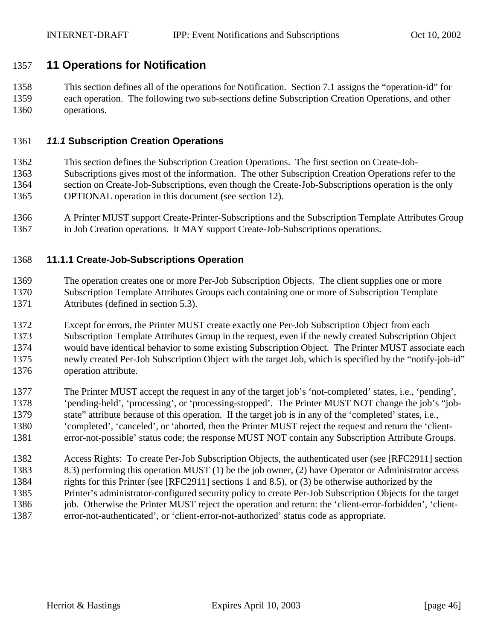# <span id="page-45-0"></span>**11 Operations for Notification**

 This section defines all of the operations for Notification. Section [7.1](#page-34-0) assigns the "operation-id" for each operation. The following two sub-sections define Subscription Creation Operations, and other operations.

#### *11.1* **Subscription Creation Operations**

 This section defines the Subscription Creation Operations. The first section on Create-Job- Subscriptions gives most of the information. The other Subscription Creation Operations refer to the section on Create-Job-Subscriptions, even though the Create-Job-Subscriptions operation is the only OPTIONAL operation in this document (see section [12\)](#page-62-0).

 A Printer MUST support Create-Printer-Subscriptions and the Subscription Template Attributes Group in Job Creation operations. It MAY support Create-Job-Subscriptions operations.

#### **11.1.1 Create-Job-Subscriptions Operation**

 The operation creates one or more Per-Job Subscription Objects. The client supplies one or more Subscription Template Attributes Groups each containing one or more of Subscription Template Attributes (defined in section [5.3\)](#page-17-0).

 Except for errors, the Printer MUST create exactly one Per-Job Subscription Object from each Subscription Template Attributes Group in the request, even if the newly created Subscription Object would have identical behavior to some existing Subscription Object. The Printer MUST associate each newly created Per-Job Subscription Object with the target Job, which is specified by the "notify-job-id" operation attribute.

 The Printer MUST accept the request in any of the target job's 'not-completed' states, i.e., 'pending', 'pending-held', 'processing', or 'processing-stopped'. The Printer MUST NOT change the job's "job- state" attribute because of this operation. If the target job is in any of the 'completed' states, i.e., 'completed', 'canceled', or 'aborted, then the Printer MUST reject the request and return the 'client-error-not-possible' status code; the response MUST NOT contain any Subscription Attribute Groups.

 Access Rights: To create Per-Job Subscription Objects, the authenticated user (see [RFC2911] section 1383 8.3) performing this operation MUST (1) be the job owner, (2) have Operator or Administrator access rights for this Printer (see [RFC2911] sections 1 and 8.5), or (3) be otherwise authorized by the Printer's administrator-configured security policy to create Per-Job Subscription Objects for the target 1386 job. Otherwise the Printer MUST reject the operation and return: the 'client-error-forbidden', 'client-error-not-authenticated', or 'client-error-not-authorized' status code as appropriate.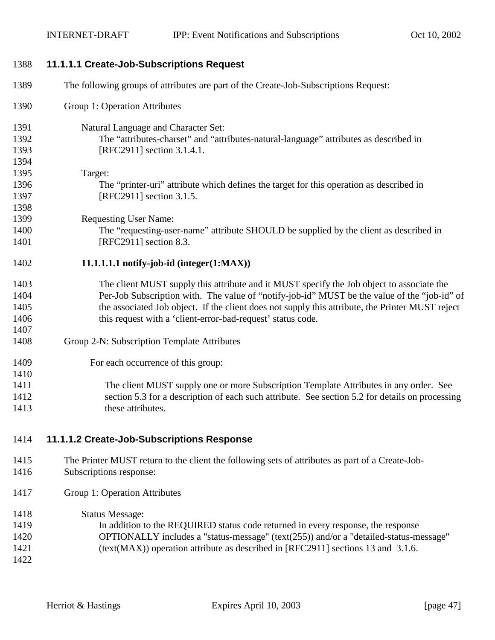<span id="page-46-0"></span>**11.1.1.1 Create-Job-Subscriptions Request** 

| 1389  | The following groups of attributes are part of the Create-Job-Subscriptions Request:                                   |
|-------|------------------------------------------------------------------------------------------------------------------------|
| 1390  | Group 1: Operation Attributes                                                                                          |
| 1391  | Natural Language and Character Set:                                                                                    |
| 1392  | The "attributes-charset" and "attributes-natural-language" attributes as described in                                  |
| 1393  | [RFC2911] section 3.1.4.1.                                                                                             |
| 1394  |                                                                                                                        |
| 1395  | Target:                                                                                                                |
| 1396  | The "printer-uri" attribute which defines the target for this operation as described in                                |
| 1397  | [RFC2911] section 3.1.5.                                                                                               |
| 1398  |                                                                                                                        |
| 1399  | <b>Requesting User Name:</b>                                                                                           |
| 1400  | The "requesting-user-name" attribute SHOULD be supplied by the client as described in                                  |
| 1401  | [RFC2911] section 8.3.                                                                                                 |
| 1402  | $11.1.1.1.1$ notify-job-id (integer $(1:MAX)$ )                                                                        |
| 1403  | The client MUST supply this attribute and it MUST specify the Job object to associate the                              |
| 1404  | Per-Job Subscription with. The value of "notify-job-id" MUST be the value of the "job-id" of                           |
| 1405  | the associated Job object. If the client does not supply this attribute, the Printer MUST reject                       |
| 1406  | this request with a 'client-error-bad-request' status code.                                                            |
| 1407  |                                                                                                                        |
| 1408  | Group 2-N: Subscription Template Attributes                                                                            |
| 1409  | For each occurrence of this group:                                                                                     |
| 1410  |                                                                                                                        |
| 1411  | The client MUST supply one or more Subscription Template Attributes in any order. See                                  |
| 1412  | section 5.3 for a description of each such attribute. See section 5.2 for details on processing                        |
| 1413  | these attributes.                                                                                                      |
| 1414  | 11.1.1.2 Create-Job-Subscriptions Response                                                                             |
| 1415  | The Printer MUST return to the client the following sets of attributes as part of a Create-Job-                        |
| 1416  | Subscriptions response:                                                                                                |
| 1417  | Group 1: Operation Attributes                                                                                          |
| 1418  | <b>Status Message:</b>                                                                                                 |
| 1419  | In addition to the REQUIRED status code returned in every response, the response                                       |
| 1.420 | $OPTIONATEV$ is already a "atotro mage<br>$\mu$ ( <i>tamb</i> ( $\Delta$ $\epsilon$ $\epsilon$ )) and (and $\mu$ data) |

- OPTIONALLY includes a "status-message" (text(255)) and/or a "detailed-status-message" (text(MAX)) operation attribute as described in [RFC2911] sections 13 and 3.1.6.
-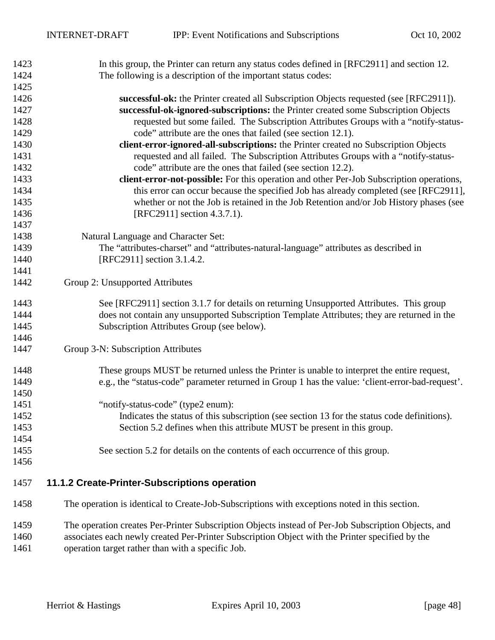<span id="page-47-0"></span>

| 1423 | In this group, the Printer can return any status codes defined in [RFC2911] and section 12.         |
|------|-----------------------------------------------------------------------------------------------------|
| 1424 | The following is a description of the important status codes:                                       |
| 1425 |                                                                                                     |
| 1426 | successful-ok: the Printer created all Subscription Objects requested (see [RFC2911]).              |
| 1427 | successful-ok-ignored-subscriptions: the Printer created some Subscription Objects                  |
| 1428 | requested but some failed. The Subscription Attributes Groups with a "notify-status-                |
| 1429 | code" attribute are the ones that failed (see section 12.1).                                        |
| 1430 | client-error-ignored-all-subscriptions: the Printer created no Subscription Objects                 |
| 1431 | requested and all failed. The Subscription Attributes Groups with a "notify-status-                 |
| 1432 | code" attribute are the ones that failed (see section 12.2).                                        |
| 1433 | client-error-not-possible: For this operation and other Per-Job Subscription operations,            |
| 1434 | this error can occur because the specified Job has already completed (see [RFC2911],                |
| 1435 | whether or not the Job is retained in the Job Retention and/or Job History phases (see              |
| 1436 | [RFC2911] section 4.3.7.1).                                                                         |
| 1437 |                                                                                                     |
| 1438 | Natural Language and Character Set:                                                                 |
| 1439 | The "attributes-charset" and "attributes-natural-language" attributes as described in               |
| 1440 | [RFC2911] section 3.1.4.2.                                                                          |
| 1441 |                                                                                                     |
| 1442 | Group 2: Unsupported Attributes                                                                     |
| 1443 | See [RFC2911] section 3.1.7 for details on returning Unsupported Attributes. This group             |
| 1444 | does not contain any unsupported Subscription Template Attributes; they are returned in the         |
| 1445 | Subscription Attributes Group (see below).                                                          |
| 1446 |                                                                                                     |
| 1447 | Group 3-N: Subscription Attributes                                                                  |
| 1448 | These groups MUST be returned unless the Printer is unable to interpret the entire request,         |
| 1449 | e.g., the "status-code" parameter returned in Group 1 has the value: 'client-error-bad-request'.    |
| 1450 |                                                                                                     |
| 1451 | "notify-status-code" (type2 enum):                                                                  |
| 1452 | Indicates the status of this subscription (see section 13 for the status code definitions).         |
| 1453 | Section 5.2 defines when this attribute MUST be present in this group.                              |
| 1454 |                                                                                                     |
| 1455 | See section 5.2 for details on the contents of each occurrence of this group.                       |
| 1456 |                                                                                                     |
| 1457 | 11.1.2 Create-Printer-Subscriptions operation                                                       |
| 1458 | The operation is identical to Create-Job-Subscriptions with exceptions noted in this section.       |
| 1459 | The operation creates Per-Printer Subscription Objects instead of Per-Job Subscription Objects, and |
| 1460 | associates each newly created Per-Printer Subscription Object with the Printer specified by the     |
| 1461 | operation target rather than with a specific Job.                                                   |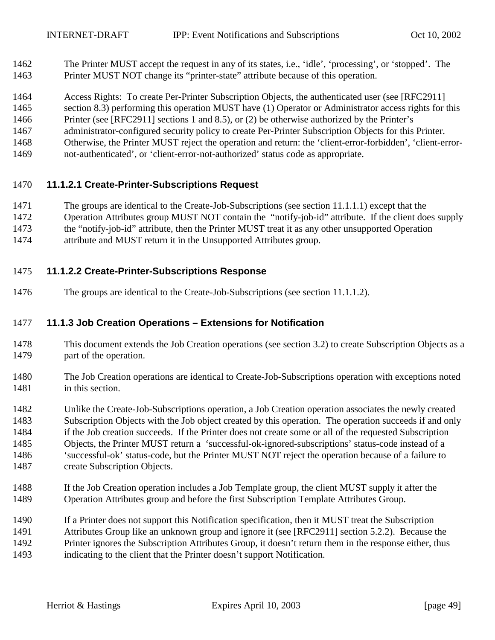- <span id="page-48-0"></span> The Printer MUST accept the request in any of its states, i.e., 'idle', 'processing', or 'stopped'. The Printer MUST NOT change its "printer-state" attribute because of this operation.
- Access Rights: To create Per-Printer Subscription Objects, the authenticated user (see [RFC2911]
- 1465 section 8.3) performing this operation MUST have (1) Operator or Administrator access rights for this
- Printer (see [RFC2911] sections 1 and 8.5), or (2) be otherwise authorized by the Printer's
- administrator-configured security policy to create Per-Printer Subscription Objects for this Printer.
- Otherwise, the Printer MUST reject the operation and return: the 'client-error-forbidden', 'client-error-
- not-authenticated', or 'client-error-not-authorized' status code as appropriate.

#### **11.1.2.1 Create-Printer-Subscriptions Request**

- The groups are identical to the Create-Job-Subscriptions (see section [11.1.1.1\)](#page-46-0) except that the
- Operation Attributes group MUST NOT contain the "notify-job-id" attribute. If the client does supply
- the "notify-job-id" attribute, then the Printer MUST treat it as any other unsupported Operation
- attribute and MUST return it in the Unsupported Attributes group.

#### **11.1.2.2 Create-Printer-Subscriptions Response**

The groups are identical to the Create-Job-Subscriptions (see section [11.1.1.2\)](#page-46-0).

# **11.1.3 Job Creation Operations – Extensions for Notification**

- This document extends the Job Creation operations (see section [3.2\)](#page-10-0) to create Subscription Objects as a part of the operation.
- The Job Creation operations are identical to Create-Job-Subscriptions operation with exceptions noted 1481 in this section.
- Unlike the Create-Job-Subscriptions operation, a Job Creation operation associates the newly created Subscription Objects with the Job object created by this operation. The operation succeeds if and only if the Job creation succeeds. If the Printer does not create some or all of the requested Subscription Objects, the Printer MUST return a 'successful-ok-ignored-subscriptions' status-code instead of a 'successful-ok' status-code, but the Printer MUST NOT reject the operation because of a failure to create Subscription Objects.
- If the Job Creation operation includes a Job Template group, the client MUST supply it after the Operation Attributes group and before the first Subscription Template Attributes Group.
- If a Printer does not support this Notification specification, then it MUST treat the Subscription
- Attributes Group like an unknown group and ignore it (see [RFC2911] section 5.2.2). Because the
- Printer ignores the Subscription Attributes Group, it doesn't return them in the response either, thus
- indicating to the client that the Printer doesn't support Notification.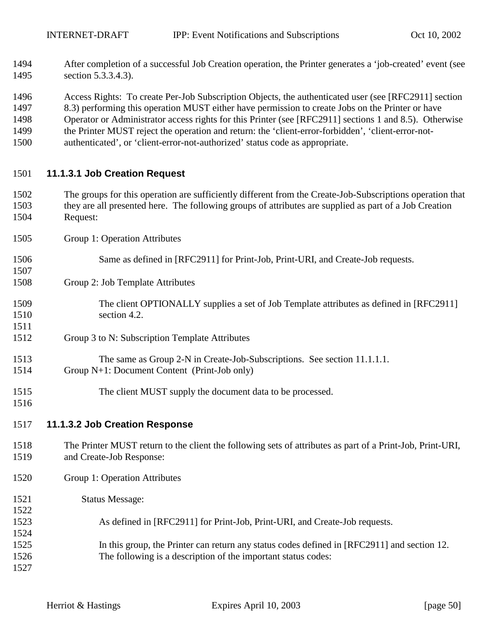<span id="page-49-0"></span> After completion of a successful Job Creation operation, the Printer generates a 'job-created' event (see section [5.3.3.4.3\)](#page-22-0).

Access Rights: To create Per-Job Subscription Objects, the authenticated user (see [RFC2911] section

8.3) performing this operation MUST either have permission to create Jobs on the Printer or have

 Operator or Administrator access rights for this Printer (see [RFC2911] sections 1 and 8.5). Otherwise the Printer MUST reject the operation and return: the 'client-error-forbidden', 'client-error-not-

authenticated', or 'client-error-not-authorized' status code as appropriate.

#### **11.1.3.1 Job Creation Request**

- The groups for this operation are sufficiently different from the Create-Job-Subscriptions operation that they are all presented here. The following groups of attributes are supplied as part of a Job Creation Request:
- Group 1: Operation Attributes
- Same as defined in [RFC2911] for Print-Job, Print-URI, and Create-Job requests.
- Group 2: Job Template Attributes
- 1509 The client OPTIONALLY supplies a set of Job Template attributes as defined in [RFC2911] section 4.2.
- Group 3 to N: Subscription Template Attributes
- The same as Group 2-N in Create-Job-Subscriptions. See section [11.1.1.1.](#page-46-0) Group N+1: Document Content (Print-Job only)
- The client MUST supply the document data to be processed.
- 

#### **11.1.3.2 Job Creation Response**

- The Printer MUST return to the client the following sets of attributes as part of a Print-Job, Print-URI, and Create-Job Response:
- Group 1: Operation Attributes
- Status Message:
- As defined in [RFC2911] for Print-Job, Print-URI, and Create-Job requests.
- In this group, the Printer can return any status codes defined in [RFC2911] and section [12.](#page-61-0) The following is a description of the important status codes:
-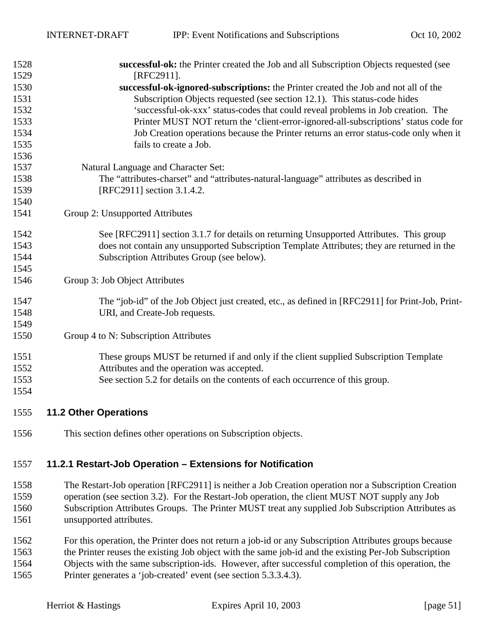| 1528 | successful-ok: the Printer created the Job and all Subscription Objects requested (see                 |
|------|--------------------------------------------------------------------------------------------------------|
| 1529 | [RFC2911].                                                                                             |
| 1530 | successful-ok-ignored-subscriptions: the Printer created the Job and not all of the                    |
| 1531 | Subscription Objects requested (see section 12.1). This status-code hides                              |
| 1532 | 'successful-ok-xxx' status-codes that could reveal problems in Job creation. The                       |
| 1533 | Printer MUST NOT return the 'client-error-ignored-all-subscriptions' status code for                   |
| 1534 | Job Creation operations because the Printer returns an error status-code only when it                  |
| 1535 | fails to create a Job.                                                                                 |
| 1536 |                                                                                                        |
| 1537 | Natural Language and Character Set:                                                                    |
| 1538 | The "attributes-charset" and "attributes-natural-language" attributes as described in                  |
| 1539 | [RFC2911] section 3.1.4.2.                                                                             |
| 1540 |                                                                                                        |
| 1541 | Group 2: Unsupported Attributes                                                                        |
| 1542 | See [RFC2911] section 3.1.7 for details on returning Unsupported Attributes. This group                |
| 1543 | does not contain any unsupported Subscription Template Attributes; they are returned in the            |
| 1544 | Subscription Attributes Group (see below).                                                             |
| 1545 |                                                                                                        |
| 1546 | Group 3: Job Object Attributes                                                                         |
| 1547 | The "job-id" of the Job Object just created, etc., as defined in [RFC2911] for Print-Job, Print-       |
| 1548 | URI, and Create-Job requests.                                                                          |
| 1549 |                                                                                                        |
| 1550 | Group 4 to N: Subscription Attributes                                                                  |
| 1551 | These groups MUST be returned if and only if the client supplied Subscription Template                 |
| 1552 | Attributes and the operation was accepted.                                                             |
| 1553 | See section 5.2 for details on the contents of each occurrence of this group.                          |
| 1554 |                                                                                                        |
| 1555 | <b>11.2 Other Operations</b>                                                                           |
| 1556 | This section defines other operations on Subscription objects.                                         |
| 1557 | 11.2.1 Restart-Job Operation – Extensions for Notification                                             |
| 1558 | The Restart-Job operation [RFC2911] is neither a Job Creation operation nor a Subscription Creation    |
| 1559 | operation (see section 3.2). For the Restart-Job operation, the client MUST NOT supply any Job         |
| 1560 | Subscription Attributes Groups. The Printer MUST treat any supplied Job Subscription Attributes as     |
| 1561 | unsupported attributes.                                                                                |
| 1562 | For this operation, the Printer does not return a job-id or any Subscription Attributes groups because |
| 1563 | the Printer reuses the existing Job object with the same job-id and the existing Per-Job Subscription  |
| 1564 | Objects with the same subscription-ids. However, after successful completion of this operation, the    |
| 1565 | Printer generates a 'job-created' event (see section 5.3.3.4.3).                                       |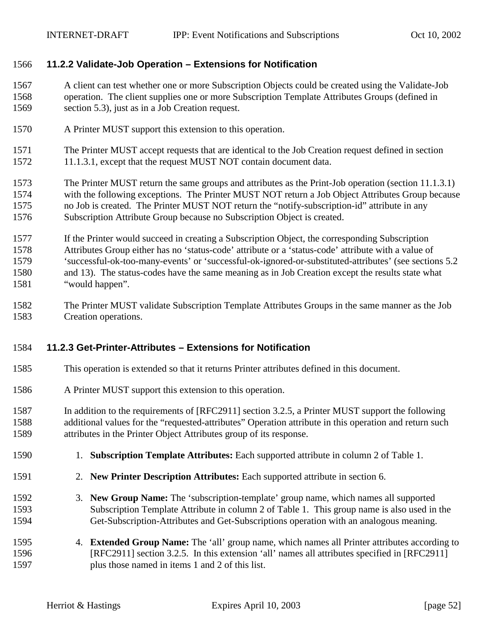#### **11.2.2 Validate-Job Operation – Extensions for Notification**

- A client can test whether one or more Subscription Objects could be created using the Validate-Job operation. The client supplies one or more Subscription Template Attributes Groups (defined in section [5.3\)](#page-17-0), just as in a Job Creation request.
- A Printer MUST support this extension to this operation.
- The Printer MUST accept requests that are identical to the Job Creation request defined in section [11.1.3.1,](#page-49-0) except that the request MUST NOT contain document data.
- The Printer MUST return the same groups and attributes as the Print-Job operation (section [11.1.3.1\)](#page-49-0) with the following exceptions. The Printer MUST NOT return a Job Object Attributes Group because no Job is created. The Printer MUST NOT return the "notify-subscription-id" attribute in any Subscription Attribute Group because no Subscription Object is created.
- If the Printer would succeed in creating a Subscription Object, the corresponding Subscription Attributes Group either has no 'status-code' attribute or a 'status-code' attribute with a value of 'successful-ok-too-many-events' or 'successful-ok-ignored-or-substituted-attributes' (see sections [5.2](#page-14-0)  and [13\)](#page-61-0). The status-codes have the same meaning as in Job Creation except the results state what "would happen".
- The Printer MUST validate Subscription Template Attributes Groups in the same manner as the Job Creation operations.

#### **11.2.3 Get-Printer-Attributes – Extensions for Notification**

- This operation is extended so that it returns Printer attributes defined in this document.
- A Printer MUST support this extension to this operation.
- In addition to the requirements of [RFC2911] section 3.2.5, a Printer MUST support the following additional values for the "requested-attributes" Operation attribute in this operation and return such attributes in the Printer Object Attributes group of its response.
- 1. **Subscription Template Attributes:** Each supported attribute in column 2 of [Table 1.](#page-18-0)
- 2. **New Printer Description Attributes:** Each supported attribute in section [6.](#page-33-0)
- 3. **New Group Name:** The 'subscription-template' group name, which names all supported Subscription Template Attribute in column 2 of [Table 1.](#page-18-0) This group name is also used in the Get-Subscription-Attributes and Get-Subscriptions operation with an analogous meaning.
- 4. **Extended Group Name:** The 'all' group name, which names all Printer attributes according to [RFC2911] section 3.2.5. In this extension 'all' names all attributes specified in [RFC2911] plus those named in items 1 and 2 of this list.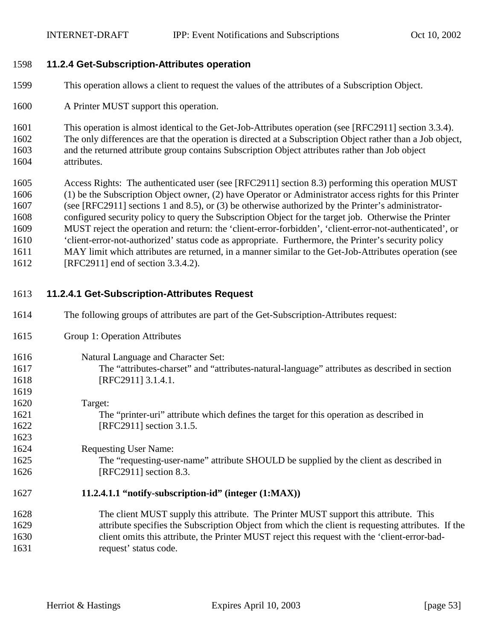#### <span id="page-52-0"></span>**11.2.4 Get-Subscription-Attributes operation**

- This operation allows a client to request the values of the attributes of a Subscription Object.
- A Printer MUST support this operation.
- This operation is almost identical to the Get-Job-Attributes operation (see [RFC2911] section 3.3.4).
- The only differences are that the operation is directed at a Subscription Object rather than a Job object, and the returned attribute group contains Subscription Object attributes rather than Job object attributes.
- Access Rights: The authenticated user (see [RFC2911] section 8.3) performing this operation MUST (1) be the Subscription Object owner, (2) have Operator or Administrator access rights for this Printer (see [RFC2911] sections 1 and 8.5), or (3) be otherwise authorized by the Printer's administrator- configured security policy to query the Subscription Object for the target job. Otherwise the Printer MUST reject the operation and return: the 'client-error-forbidden', 'client-error-not-authenticated', or 'client-error-not-authorized' status code as appropriate. Furthermore, the Printer's security policy MAY limit which attributes are returned, in a manner similar to the Get-Job-Attributes operation (see **[RFC2911]** end of section 3.3.4.2).

#### **11.2.4.1 Get-Subscription-Attributes Request**

- The following groups of attributes are part of the Get-Subscription-Attributes request:
- Group 1: Operation Attributes

#### Natural Language and Character Set:

 The "attributes-charset" and "attributes-natural-language" attributes as described in section 1618 [RFC2911] 3.1.4.1.

### Target: The "printer-uri" attribute which defines the target for this operation as described in **[RFC2911]** section 3.1.5.

 Requesting User Name: The "requesting-user-name" attribute SHOULD be supplied by the client as described in 1626 [RFC2911] section 8.3.

#### **11.2.4.1.1 "notify-subscription-id" (integer (1:MAX))**

 The client MUST supply this attribute. The Printer MUST support this attribute. This attribute specifies the Subscription Object from which the client is requesting attributes. If the client omits this attribute, the Printer MUST reject this request with the 'client-error-bad-request' status code.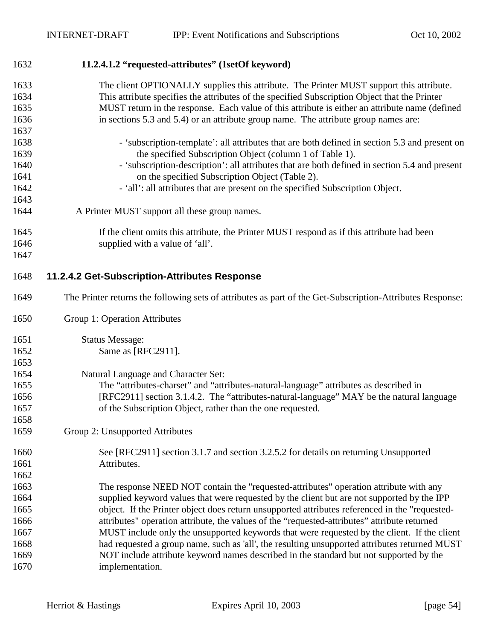<span id="page-53-0"></span>

| 1632 | 11.2.4.1.2 "requested-attributes" (1setOf keyword)                                                        |
|------|-----------------------------------------------------------------------------------------------------------|
| 1633 | The client OPTIONALLY supplies this attribute. The Printer MUST support this attribute.                   |
| 1634 | This attribute specifies the attributes of the specified Subscription Object that the Printer             |
| 1635 | MUST return in the response. Each value of this attribute is either an attribute name (defined            |
| 1636 | in sections 5.3 and 5.4) or an attribute group name. The attribute group names are:                       |
| 1637 |                                                                                                           |
| 1638 | - 'subscription-template': all attributes that are both defined in section 5.3 and present on             |
| 1639 | the specified Subscription Object (column 1 of Table 1).                                                  |
| 1640 | - 'subscription-description': all attributes that are both defined in section 5.4 and present             |
| 1641 | on the specified Subscription Object (Table 2).                                                           |
| 1642 | - 'all': all attributes that are present on the specified Subscription Object.                            |
| 1643 |                                                                                                           |
| 1644 | A Printer MUST support all these group names.                                                             |
| 1645 | If the client omits this attribute, the Printer MUST respond as if this attribute had been                |
| 1646 | supplied with a value of 'all'.                                                                           |
| 1647 |                                                                                                           |
| 1648 | 11.2.4.2 Get-Subscription-Attributes Response                                                             |
| 1649 | The Printer returns the following sets of attributes as part of the Get-Subscription-Attributes Response: |
| 1650 | Group 1: Operation Attributes                                                                             |
| 1651 | <b>Status Message:</b>                                                                                    |
| 1652 | Same as [RFC2911].                                                                                        |
| 1653 |                                                                                                           |
| 1654 | Natural Language and Character Set:                                                                       |
| 1655 | The "attributes-charset" and "attributes-natural-language" attributes as described in                     |
| 1656 | [RFC2911] section 3.1.4.2. The "attributes-natural-language" MAY be the natural language                  |
| 1657 | of the Subscription Object, rather than the one requested.                                                |
| 1658 |                                                                                                           |
| 1659 | Group 2: Unsupported Attributes                                                                           |
| 1660 | See [RFC2911] section 3.1.7 and section 3.2.5.2 for details on returning Unsupported                      |
| 1661 | Attributes.                                                                                               |
| 1662 |                                                                                                           |
| 1663 | The response NEED NOT contain the "requested-attributes" operation attribute with any                     |
| 1664 | supplied keyword values that were requested by the client but are not supported by the IPP                |
| 1665 | object. If the Printer object does return unsupported attributes referenced in the "requested-            |
| 1666 | attributes" operation attribute, the values of the "requested-attributes" attribute returned              |
| 1667 | MUST include only the unsupported keywords that were requested by the client. If the client               |
| 1668 | had requested a group name, such as 'all', the resulting unsupported attributes returned MUST             |
| 1669 | NOT include attribute keyword names described in the standard but not supported by the                    |
| 1670 | implementation.                                                                                           |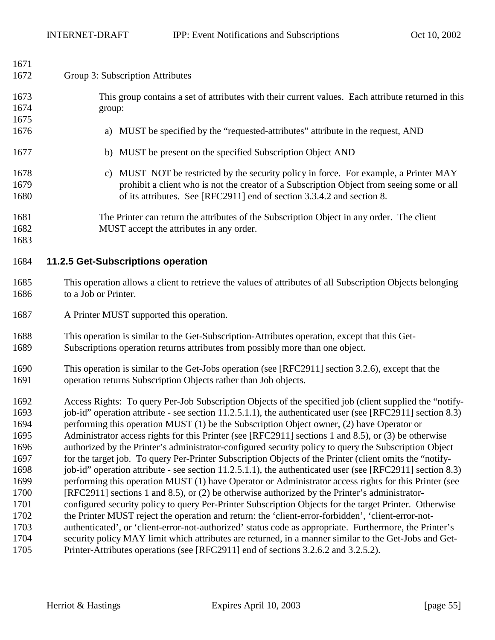<span id="page-54-0"></span>

| 1671 |                                                                                                           |
|------|-----------------------------------------------------------------------------------------------------------|
| 1672 | Group 3: Subscription Attributes                                                                          |
| 1673 | This group contains a set of attributes with their current values. Each attribute returned in this        |
| 1674 | group:                                                                                                    |
| 1675 |                                                                                                           |
| 1676 | MUST be specified by the "requested-attributes" attribute in the request, AND<br>a)                       |
| 1677 | b) MUST be present on the specified Subscription Object AND                                               |
| 1678 | MUST NOT be restricted by the security policy in force. For example, a Printer MAY<br>C)                  |
| 1679 | prohibit a client who is not the creator of a Subscription Object from seeing some or all                 |
| 1680 | of its attributes. See [RFC2911] end of section 3.3.4.2 and section 8.                                    |
| 1681 | The Printer can return the attributes of the Subscription Object in any order. The client                 |
| 1682 | MUST accept the attributes in any order.                                                                  |
| 1683 |                                                                                                           |
| 1684 | 11.2.5 Get-Subscriptions operation                                                                        |
| 1685 | This operation allows a client to retrieve the values of attributes of all Subscription Objects belonging |

- 1686 to a Job or Printer.
- A Printer MUST supported this operation.

#### This operation is similar to the Get-Subscription-Attributes operation, except that this Get-Subscriptions operation returns attributes from possibly more than one object.

 This operation is similar to the Get-Jobs operation (see [RFC2911] section 3.2.6), except that the operation returns Subscription Objects rather than Job objects.

 Access Rights: To query Per-Job Subscription Objects of the specified job (client supplied the "notify-1693 job-id" operation attribute - see section [11.2.5.1.1\)](#page-55-0), the authenticated user (see [RFC2911] section 8.3) performing this operation MUST (1) be the Subscription Object owner, (2) have Operator or Administrator access rights for this Printer (see [RFC2911] sections 1 and 8.5), or (3) be otherwise authorized by the Printer's administrator-configured security policy to query the Subscription Object 1697 for the target job. To query Per-Printer Subscription Objects of the Printer (client omits the "notify-1698 job-id" operation attribute - see section [11.2.5.1.1\)](#page-55-0), the authenticated user (see [RFC2911] section 8.3) performing this operation MUST (1) have Operator or Administrator access rights for this Printer (see 1700 [RFC2911] sections 1 and 8.5), or (2) be otherwise authorized by the Printer's administrator- configured security policy to query Per-Printer Subscription Objects for the target Printer. Otherwise the Printer MUST reject the operation and return: the 'client-error-forbidden', 'client-error-not- authenticated', or 'client-error-not-authorized' status code as appropriate. Furthermore, the Printer's security policy MAY limit which attributes are returned, in a manner similar to the Get-Jobs and Get-Printer-Attributes operations (see [RFC2911] end of sections 3.2.6.2 and 3.2.5.2).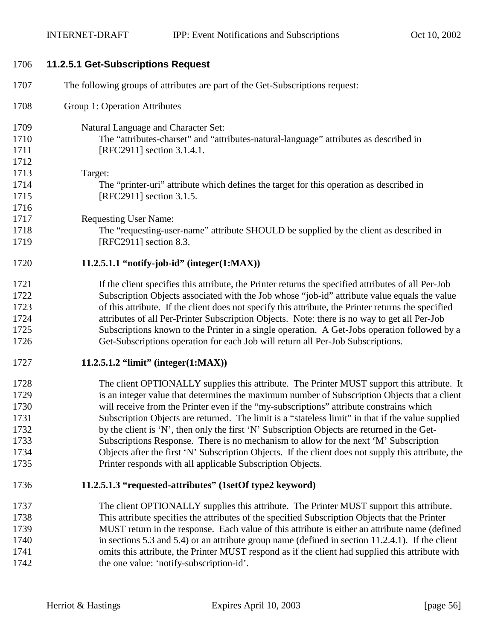<span id="page-55-0"></span>

| 1706 | 11.2.5.1 Get-Subscriptions Request                                                                  |
|------|-----------------------------------------------------------------------------------------------------|
| 1707 | The following groups of attributes are part of the Get-Subscriptions request:                       |
| 1708 | Group 1: Operation Attributes                                                                       |
| 1709 | Natural Language and Character Set:                                                                 |
| 1710 | The "attributes-charset" and "attributes-natural-language" attributes as described in               |
| 1711 | [RFC2911] section 3.1.4.1.                                                                          |
| 1712 |                                                                                                     |
| 1713 | Target:                                                                                             |
| 1714 | The "printer-uri" attribute which defines the target for this operation as described in             |
| 1715 | [RFC2911] section 3.1.5.                                                                            |
| 1716 |                                                                                                     |
| 1717 | <b>Requesting User Name:</b>                                                                        |
| 1718 | The "requesting-user-name" attribute SHOULD be supplied by the client as described in               |
| 1719 | [RFC2911] section 8.3.                                                                              |
| 1720 | $11.2.5.1.1$ "notify-job-id" (integer $(1:MAX)$ )                                                   |
| 1721 | If the client specifies this attribute, the Printer returns the specified attributes of all Per-Job |
| 1722 | Subscription Objects associated with the Job whose "job-id" attribute value equals the value        |
| 1723 | of this attribute. If the client does not specify this attribute, the Printer returns the specified |
| 1724 | attributes of all Per-Printer Subscription Objects. Note: there is no way to get all Per-Job        |
| 1725 | Subscriptions known to the Printer in a single operation. A Get-Jobs operation followed by a        |
| 1726 | Get-Subscriptions operation for each Job will return all Per-Job Subscriptions.                     |
| 1727 | $11.2.5.1.2$ "limit" (integer $(1:MAX)$ )                                                           |
| 1728 | The client OPTIONALLY supplies this attribute. The Printer MUST support this attribute. It          |
| 1729 | is an integer value that determines the maximum number of Subscription Objects that a client        |
| 1730 | will receive from the Printer even if the "my-subscriptions" attribute constrains which             |
| 1731 | Subscription Objects are returned. The limit is a "stateless limit" in that if the value supplied   |
| 1732 | by the client is 'N', then only the first 'N' Subscription Objects are returned in the Get-         |
| 1733 | Subscriptions Response. There is no mechanism to allow for the next 'M' Subscription                |
| 1734 | Objects after the first 'N' Subscription Objects. If the client does not supply this attribute, the |
| 1735 | Printer responds with all applicable Subscription Objects.                                          |
| 1736 | 11.2.5.1.3 "requested-attributes" (1setOf type2 keyword)                                            |
| 1737 | The client OPTIONALLY supplies this attribute. The Printer MUST support this attribute.             |
| 1738 | This attribute specifies the attributes of the specified Subscription Objects that the Printer      |
| 1739 | MUST return in the response. Each value of this attribute is either an attribute name (defined      |
| 1740 | in sections 5.3 and 5.4) or an attribute group name (defined in section 11.2.4.1). If the client    |
| 1741 | omits this attribute, the Printer MUST respond as if the client had supplied this attribute with    |
| 1742 | the one value: 'notify-subscription-id'.                                                            |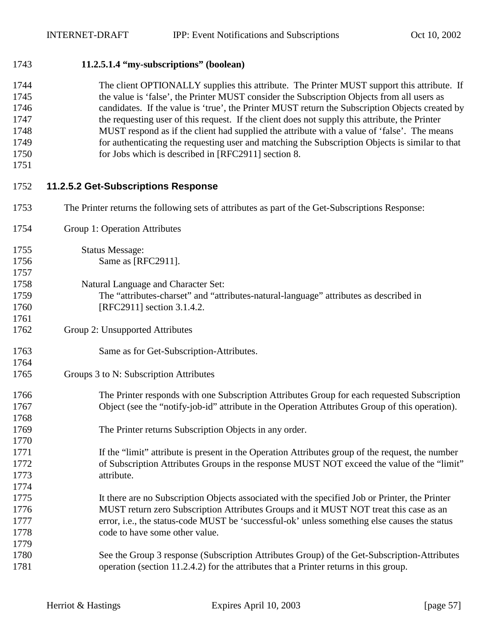#### **11.2.5.1.4 "my-subscriptions" (boolean)**

- The client OPTIONALLY supplies this attribute. The Printer MUST support this attribute. If the value is 'false', the Printer MUST consider the Subscription Objects from all users as candidates. If the value is 'true', the Printer MUST return the Subscription Objects created by 1747 the requesting user of this request. If the client does not supply this attribute, the Printer MUST respond as if the client had supplied the attribute with a value of 'false'. The means for authenticating the requesting user and matching the Subscription Objects is similar to that 1750 for Jobs which is described in [RFC2911] section 8.
- 

#### **11.2.5.2 Get-Subscriptions Response**

- The Printer returns the following sets of attributes as part of the Get-Subscriptions Response:
- Group 1: Operation Attributes
- Status Message: **Same as [RFC2911]**.
- Natural Language and Character Set:
- The "attributes-charset" and "attributes-natural-language" attributes as described in 1760 [RFC2911] section 3.1.4.2.
- Group 2: Unsupported Attributes
- Same as for Get-Subscription-Attributes.
- Groups 3 to N: Subscription Attributes
- The Printer responds with one Subscription Attributes Group for each requested Subscription Object (see the "notify-job-id" attribute in the Operation Attributes Group of this operation).
- The Printer returns Subscription Objects in any order.
- 1771 If the "limit" attribute is present in the Operation Attributes group of the request, the number of Subscription Attributes Groups in the response MUST NOT exceed the value of the "limit" attribute.
- It there are no Subscription Objects associated with the specified Job or Printer, the Printer MUST return zero Subscription Attributes Groups and it MUST NOT treat this case as an error, i.e., the status-code MUST be 'successful-ok' unless something else causes the status code to have some other value.
- See the Group 3 response (Subscription Attributes Group) of the Get-Subscription-Attributes 1781 operation (section [11.2.4.2\)](#page-53-0) for the attributes that a Printer returns in this group.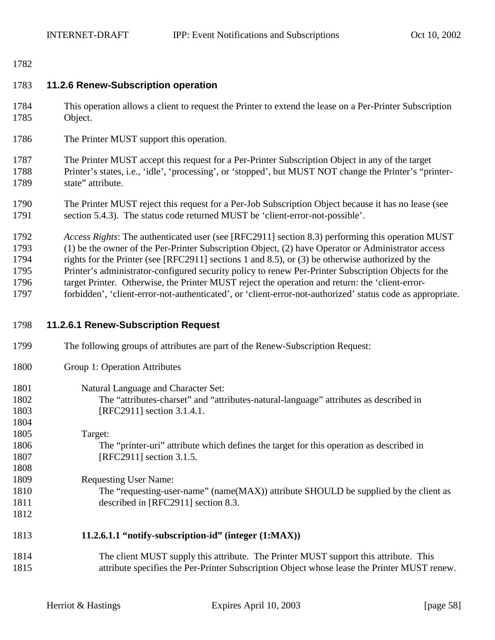#### <span id="page-57-0"></span>

#### **11.2.6 Renew-Subscription operation**

- This operation allows a client to request the Printer to extend the lease on a Per-Printer Subscription Object.
- The Printer MUST support this operation.

 The Printer MUST accept this request for a Per-Printer Subscription Object in any of the target Printer's states, i.e., 'idle', 'processing', or 'stopped', but MUST NOT change the Printer's "printer-1789 state" attribute.

 The Printer MUST reject this request for a Per-Job Subscription Object because it has no lease (see section [5.4.3\)](#page-31-0). The status code returned MUST be 'client-error-not-possible'.

 *Access Rights*: The authenticated user (see [RFC2911] section 8.3) performing this operation MUST (1) be the owner of the Per-Printer Subscription Object, (2) have Operator or Administrator access rights for the Printer (see [RFC2911] sections 1 and 8.5), or (3) be otherwise authorized by the Printer's administrator-configured security policy to renew Per-Printer Subscription Objects for the target Printer. Otherwise, the Printer MUST reject the operation and return: the 'client-error-

- forbidden', 'client-error-not-authenticated', or 'client-error-not-authorized' status code as appropriate.
- **11.2.6.1 Renew-Subscription Request**
- The following groups of attributes are part of the Renew-Subscription Request:
- Group 1: Operation Attributes
- Natural Language and Character Set: The "attributes-charset" and "attributes-natural-language" attributes as described in 1803 [RFC2911] section 3.1.4.1.
- Target: The "printer-uri" attribute which defines the target for this operation as described in 1807 [RFC2911] section 3.1.5.
- Requesting User Name: The "requesting-user-name" (name(MAX)) attribute SHOULD be supplied by the client as 1811 described in [RFC2911] section 8.3.
- 

**11.2.6.1.1 "notify-subscription-id" (integer (1:MAX))** 

 The client MUST supply this attribute. The Printer MUST support this attribute. This attribute specifies the Per-Printer Subscription Object whose lease the Printer MUST renew.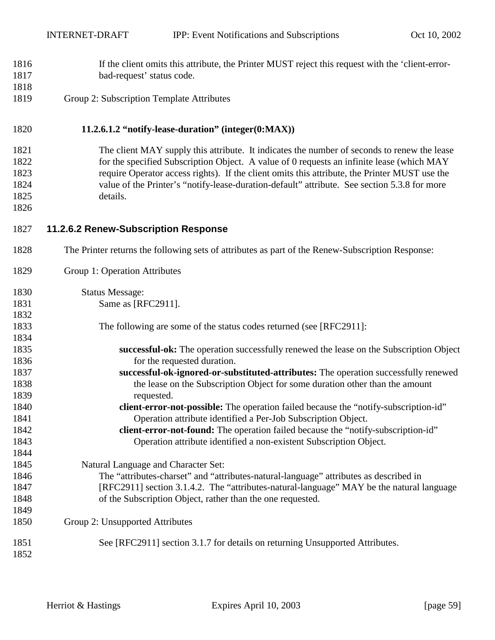- If the client omits this attribute, the Printer MUST reject this request with the 'client-error-1817 bad-request' status code.
- Group 2: Subscription Template Attributes

#### **11.2.6.1.2 "notify-lease-duration" (integer(0:MAX))**

 The client MAY supply this attribute. It indicates the number of seconds to renew the lease 1822 for the specified Subscription Object. A value of 0 requests an infinite lease (which MAY require Operator access rights). If the client omits this attribute, the Printer MUST use the 1824 value of the Printer's "notify-lease-duration-default" attribute. See section [5.3.8](#page-27-0) for more details.

#### **11.2.6.2 Renew-Subscription Response**

- The Printer returns the following sets of attributes as part of the Renew-Subscription Response:
- Group 1: Operation Attributes

| 1830 | <b>Status Message:</b>                                                                      |
|------|---------------------------------------------------------------------------------------------|
| 1831 | Same as [RFC2911].                                                                          |
| 1832 |                                                                                             |
| 1833 | The following are some of the status codes returned (see [RFC2911]:                         |
| 1834 |                                                                                             |
| 1835 | successful-ok: The operation successfully renewed the lease on the Subscription Object      |
| 1836 | for the requested duration.                                                                 |
| 1837 | successful-ok-ignored-or-substituted-attributes: The operation successfully renewed         |
| 1838 | the lease on the Subscription Object for some duration other than the amount                |
| 1839 | requested.                                                                                  |
| 1840 | <b>client-error-not-possible:</b> The operation failed because the "notify-subscription-id" |
| 1841 | Operation attribute identified a Per-Job Subscription Object.                               |
| 1842 | client-error-not-found: The operation failed because the "notify-subscription-id"           |
| 1843 | Operation attribute identified a non-existent Subscription Object.                          |
| 1844 |                                                                                             |
| 1845 | Natural Language and Character Set:                                                         |
| 1846 | The "attributes-charset" and "attributes-natural-language" attributes as described in       |
| 1847 | [RFC2911] section 3.1.4.2. The "attributes-natural-language" MAY be the natural language    |
| 1848 | of the Subscription Object, rather than the one requested.                                  |
| 1849 |                                                                                             |
| 1850 | Group 2: Unsupported Attributes                                                             |
| 1851 | See [RFC2911] section 3.1.7 for details on returning Unsupported Attributes.                |
| 1852 |                                                                                             |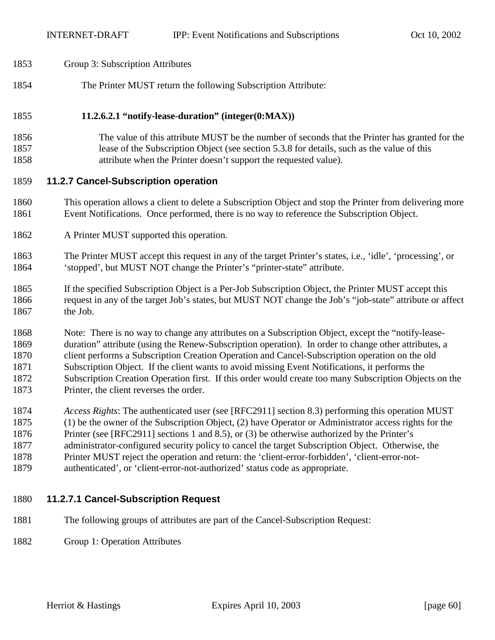<span id="page-59-0"></span>

| 1853 | Group 3: Subscription Attributes                                                                         |
|------|----------------------------------------------------------------------------------------------------------|
| 1854 | The Printer MUST return the following Subscription Attribute:                                            |
| 1855 | $11.2.6.2.1$ "notify-lease-duration" (integer $(0:MAX)$ )                                                |
| 1856 | The value of this attribute MUST be the number of seconds that the Printer has granted for the           |
| 1857 | lease of the Subscription Object (see section 5.3.8 for details, such as the value of this               |
| 1858 | attribute when the Printer doesn't support the requested value).                                         |
| 1859 | 11.2.7 Cancel-Subscription operation                                                                     |
| 1860 | This operation allows a client to delete a Subscription Object and stop the Printer from delivering more |

- Event Notifications. Once performed, there is no way to reference the Subscription Object.
- A Printer MUST supported this operation.
- The Printer MUST accept this request in any of the target Printer's states, i.e., 'idle', 'processing', or 'stopped', but MUST NOT change the Printer's "printer-state" attribute.
- If the specified Subscription Object is a Per-Job Subscription Object, the Printer MUST accept this request in any of the target Job's states, but MUST NOT change the Job's "job-state" attribute or affect the Job.
- Note: There is no way to change any attributes on a Subscription Object, except the "notify-lease- duration" attribute (using the Renew-Subscription operation). In order to change other attributes, a client performs a Subscription Creation Operation and Cancel-Subscription operation on the old Subscription Object. If the client wants to avoid missing Event Notifications, it performs the Subscription Creation Operation first. If this order would create too many Subscription Objects on the Printer, the client reverses the order.
- *Access Rights*: The authenticated user (see [RFC2911] section 8.3) performing this operation MUST (1) be the owner of the Subscription Object, (2) have Operator or Administrator access rights for the Printer (see [RFC2911] sections 1 and 8.5), or (3) be otherwise authorized by the Printer's administrator-configured security policy to cancel the target Subscription Object. Otherwise, the Printer MUST reject the operation and return: the 'client-error-forbidden', 'client-error-not-
- authenticated', or 'client-error-not-authorized' status code as appropriate.

# **11.2.7.1 Cancel-Subscription Request**

- The following groups of attributes are part of the Cancel-Subscription Request:
- Group 1: Operation Attributes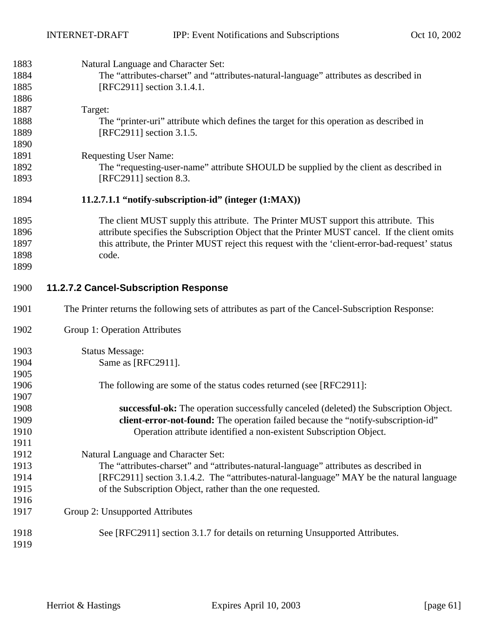| 1883 | Natural Language and Character Set:                                                               |
|------|---------------------------------------------------------------------------------------------------|
| 1884 | The "attributes-charset" and "attributes-natural-language" attributes as described in             |
| 1885 | [RFC2911] section 3.1.4.1.                                                                        |
| 1886 |                                                                                                   |
| 1887 | Target:                                                                                           |
| 1888 | The "printer-uri" attribute which defines the target for this operation as described in           |
| 1889 | [RFC2911] section 3.1.5.                                                                          |
| 1890 |                                                                                                   |
| 1891 | <b>Requesting User Name:</b>                                                                      |
| 1892 | The "requesting-user-name" attribute SHOULD be supplied by the client as described in             |
| 1893 | [RFC2911] section 8.3.                                                                            |
| 1894 | $11.2.7.1.1$ "notify-subscription-id" (integer $(1:MAX)$ )                                        |
| 1895 | The client MUST supply this attribute. The Printer MUST support this attribute. This              |
| 1896 | attribute specifies the Subscription Object that the Printer MUST cancel. If the client omits     |
| 1897 | this attribute, the Printer MUST reject this request with the 'client-error-bad-request' status   |
| 1898 | code.                                                                                             |
| 1899 |                                                                                                   |
| 1900 | 11.2.7.2 Cancel-Subscription Response                                                             |
| 1901 | The Printer returns the following sets of attributes as part of the Cancel-Subscription Response: |
| 1902 | Group 1: Operation Attributes                                                                     |
| 1903 | <b>Status Message:</b>                                                                            |
| 1904 | Same as [RFC2911].                                                                                |
| 1905 |                                                                                                   |
| 1906 | The following are some of the status codes returned (see [RFC2911]:                               |
| 1907 |                                                                                                   |
| 1908 | successful-ok: The operation successfully canceled (deleted) the Subscription Object.             |
| 1909 | client-error-not-found: The operation failed because the "notify-subscription-id"                 |
| 1910 | Operation attribute identified a non-existent Subscription Object.                                |
| 1911 |                                                                                                   |
| 1912 | Natural Language and Character Set:                                                               |
| 1913 | The "attributes-charset" and "attributes-natural-language" attributes as described in             |
| 1914 | [RFC2911] section 3.1.4.2. The "attributes-natural-language" MAY be the natural language          |
| 1915 | of the Subscription Object, rather than the one requested.                                        |
| 1916 |                                                                                                   |
| 1917 | Group 2: Unsupported Attributes                                                                   |
| 1918 | See [RFC2911] section 3.1.7 for details on returning Unsupported Attributes.                      |
| 1919 |                                                                                                   |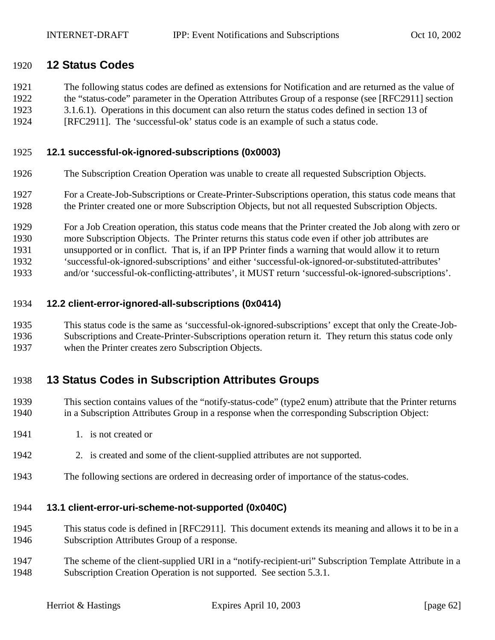### <span id="page-61-0"></span>**12 Status Codes**

 The following status codes are defined as extensions for Notification and are returned as the value of the "status-code" parameter in the Operation Attributes Group of a response (see [RFC2911] section 3.1.6.1). Operations in this document can also return the status codes defined in section 13 of

[RFC2911]. The 'successful-ok' status code is an example of such a status code.

### **12.1 successful-ok-ignored-subscriptions (0x0003)**

- The Subscription Creation Operation was unable to create all requested Subscription Objects.
- For a Create-Job-Subscriptions or Create-Printer-Subscriptions operation, this status code means that the Printer created one or more Subscription Objects, but not all requested Subscription Objects.
- For a Job Creation operation, this status code means that the Printer created the Job along with zero or
- more Subscription Objects. The Printer returns this status code even if other job attributes are
- unsupported or in conflict. That is, if an IPP Printer finds a warning that would allow it to return
- 'successful-ok-ignored-subscriptions' and either 'successful-ok-ignored-or-substituted-attributes'
- and/or 'successful-ok-conflicting-attributes', it MUST return 'successful-ok-ignored-subscriptions'.

#### **12.2 client-error-ignored-all-subscriptions (0x0414)**

 This status code is the same as 'successful-ok-ignored-subscriptions' except that only the Create-Job- Subscriptions and Create-Printer-Subscriptions operation return it. They return this status code only when the Printer creates zero Subscription Objects.

# **13 Status Codes in Subscription Attributes Groups**

- This section contains values of the "notify-status-code" (type2 enum) attribute that the Printer returns in a Subscription Attributes Group in a response when the corresponding Subscription Object:
- 1941 1. is not created or
- 2. is created and some of the client-supplied attributes are not supported.
- The following sections are ordered in decreasing order of importance of the status-codes.

#### **13.1 client-error-uri-scheme-not-supported (0x040C)**

- This status code is defined in [RFC2911]. This document extends its meaning and allows it to be in a Subscription Attributes Group of a response.
- The scheme of the client-supplied URI in a "notify-recipient-uri" Subscription Template Attribute in a Subscription Creation Operation is not supported. See section [5.3.1.](#page-18-0)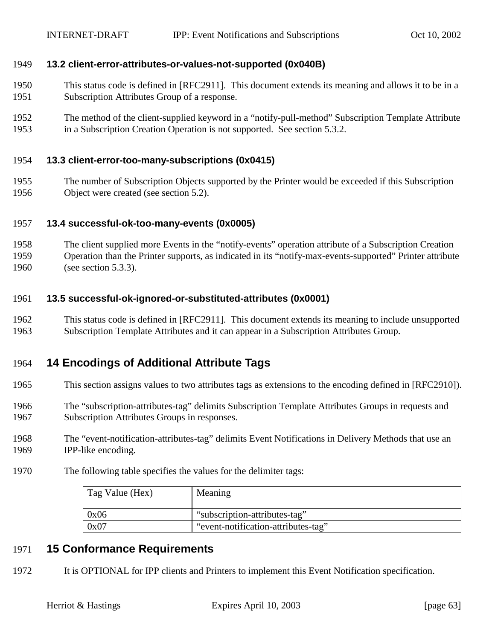#### <span id="page-62-0"></span>**13.2 client-error-attributes-or-values-not-supported (0x040B)**

- This status code is defined in [RFC2911]. This document extends its meaning and allows it to be in a Subscription Attributes Group of a response.
- The method of the client-supplied keyword in a "notify-pull-method" Subscription Template Attribute in a Subscription Creation Operation is not supported. See section [5.3.2.](#page-19-0)

#### **13.3 client-error-too-many-subscriptions (0x0415)**

 The number of Subscription Objects supported by the Printer would be exceeded if this Subscription Object were created (see section [5.2\)](#page-14-0).

#### **13.4 successful-ok-too-many-events (0x0005)**

 The client supplied more Events in the "notify-events" operation attribute of a Subscription Creation Operation than the Printer supports, as indicated in its "notify-max-events-supported" Printer attribute (see section [5.3.3\)](#page-19-0).

#### **13.5 successful-ok-ignored-or-substituted-attributes (0x0001)**

 This status code is defined in [RFC2911]. This document extends its meaning to include unsupported Subscription Template Attributes and it can appear in a Subscription Attributes Group.

# **14 Encodings of Additional Attribute Tags**

- This section assigns values to two attributes tags as extensions to the encoding defined in [RFC2910]).
- The "subscription-attributes-tag" delimits Subscription Template Attributes Groups in requests and Subscription Attributes Groups in responses.
- The "event-notification-attributes-tag" delimits Event Notifications in Delivery Methods that use an IPP-like encoding.
- The following table specifies the values for the delimiter tags:

| Tag Value (Hex) | Meaning                             |
|-----------------|-------------------------------------|
| 0x06            | "subscription-attributes-tag"       |
| 0x07            | "event-notification-attributes-tag" |

#### **15 Conformance Requirements**

It is OPTIONAL for IPP clients and Printers to implement this Event Notification specification.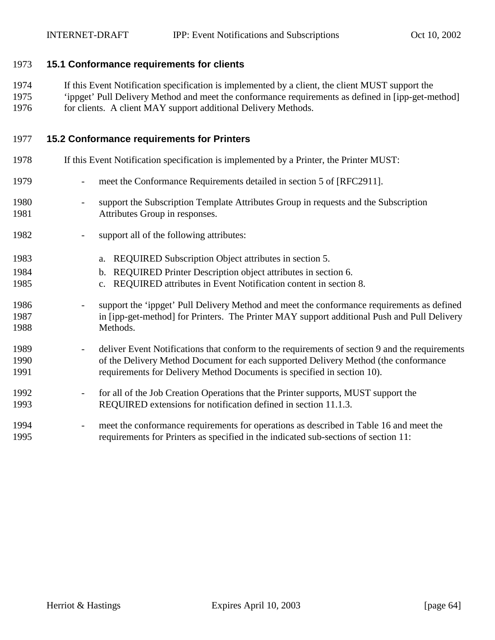#### **15.1 Conformance requirements for clients**

If this Event Notification specification is implemented by a client, the client MUST support the

 'ippget' Pull Delivery Method and meet the conformance requirements as defined in [ipp-get-method] 1976 for clients. A client MAY support additional Delivery Methods.

#### **15.2 Conformance requirements for Printers**

- If this Event Notification specification is implemented by a Printer, the Printer MUST:
- meet the Conformance Requirements detailed in section 5 of [RFC2911].
- support the Subscription Template Attributes Group in requests and the Subscription Attributes Group in responses.
- support all of the following attributes:
- a. REQUIRED Subscription Object attributes in section [5.](#page-12-0)
- b. REQUIRED Printer Description object attributes in section [6.](#page-33-0)
- c. REQUIRED attributes in Event Notification content in section [8.](#page-34-0)
- support the 'ippget' Pull Delivery Method and meet the conformance requirements as defined in [ipp-get-method] for Printers. The Printer MAY support additional Push and Pull Delivery Methods.
- deliver Event Notifications that conform to the requirements of section [9](#page-35-0) and the requirements of the Delivery Method Document for each supported Delivery Method (the conformance requirements for Delivery Method Documents is specified in section [10\)](#page-43-0).
- for all of the Job Creation Operations that the Printer supports, MUST support the REQUIRED extensions for notification defined in section [11.1.3.](#page-48-0)
- 1994 meet the conformance requirements for operations as described in [Table 16](#page-64-0) and meet the requirements for Printers as specified in the indicated sub-sections of section [11:](#page-45-0)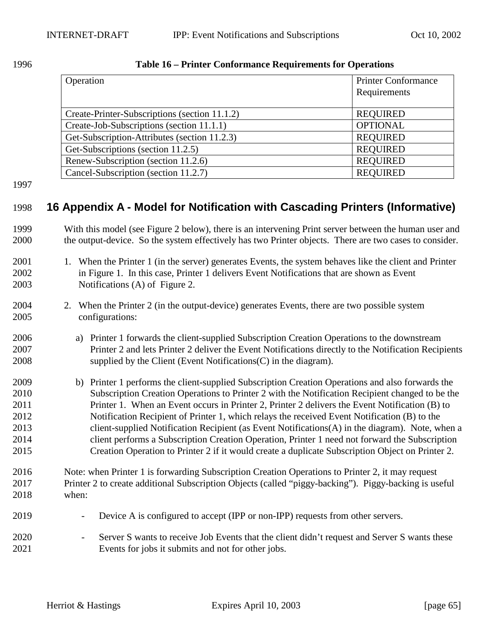| Operation                                     | <b>Printer Conformance</b><br>Requirements |
|-----------------------------------------------|--------------------------------------------|
| Create-Printer-Subscriptions (section 11.1.2) | <b>REQUIRED</b>                            |
| Create-Job-Subscriptions (section 11.1.1)     | <b>OPTIONAL</b>                            |
| Get-Subscription-Attributes (section 11.2.3)  | <b>REQUIRED</b>                            |
| Get-Subscriptions (section 11.2.5)            | <b>REQUIRED</b>                            |
| Renew-Subscription (section 11.2.6)           | <b>REQUIRED</b>                            |
| Cancel-Subscription (section 11.2.7)          | <b>REQUIRED</b>                            |

#### <span id="page-64-0"></span>**Table 16 – Printer Conformance Requirements for Operations**

# **16 Appendix A - Model for Notification with Cascading Printers (Informative)**

 With this model (see [Figure 2 below\)](#page-65-0), there is an intervening Print server between the human user and the output-device. So the system effectively has two Printer objects. There are two cases to consider.

- 2. When the Printer 2 (in the output-device) generates Events, there are two possible system configurations:
- a) Printer 1 forwards the client-supplied Subscription Creation Operations to the downstream Printer 2 and lets Printer 2 deliver the Event Notifications directly to the Notification Recipients supplied by the Client (Event Notifications(C) in the diagram).
- b) Printer 1 performs the client-supplied Subscription Creation Operations and also forwards the Subscription Creation Operations to Printer 2 with the Notification Recipient changed to be the Printer 1. When an Event occurs in Printer 2, Printer 2 delivers the Event Notification (B) to Notification Recipient of Printer 1, which relays the received Event Notification (B) to the client-supplied Notification Recipient (as Event Notifications(A) in the diagram). Note, when a client performs a Subscription Creation Operation, Printer 1 need not forward the Subscription Creation Operation to Printer 2 if it would create a duplicate Subscription Object on Printer 2.
- Note: when Printer 1 is forwarding Subscription Creation Operations to Printer 2, it may request Printer 2 to create additional Subscription Objects (called "piggy-backing"). Piggy-backing is useful when:
- Device A is configured to accept (IPP or non-IPP) requests from other servers.
- Server S wants to receive Job Events that the client didn't request and Server S wants these Events for jobs it submits and not for other jobs.

 1. When the Printer 1 (in the server) generates Events, the system behaves like the client and Printer in [Figure 1.](#page-9-0) In this case, Printer 1 delivers Event Notifications that are shown as Event Notifications (A) of [Figure 2.](#page-65-0)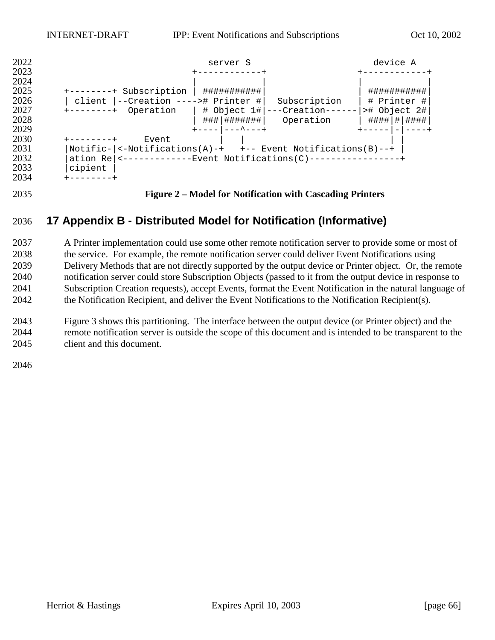<span id="page-65-0"></span>

#### **Figure 2 – Model for Notification with Cascading Printers**

# **17 Appendix B - Distributed Model for Notification (Informative)**

 A Printer implementation could use some other remote notification server to provide some or most of the service. For example, the remote notification server could deliver Event Notifications using Delivery Methods that are not directly supported by the output device or Printer object. Or, the remote notification server could store Subscription Objects (passed to it from the output device in response to Subscription Creation requests), accept Events, format the Event Notification in the natural language of the Notification Recipient, and deliver the Event Notifications to the Notification Recipient(s).

 [Figure 3](#page-66-0) shows this partitioning. The interface between the output device (or Printer object) and the remote notification server is outside the scope of this document and is intended to be transparent to the client and this document.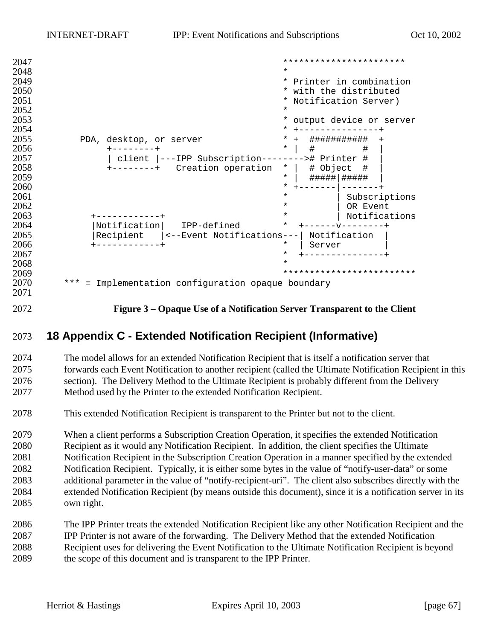<span id="page-66-0"></span>

| 2047 |                                                    | **********************              |
|------|----------------------------------------------------|-------------------------------------|
| 2048 |                                                    | $\star$                             |
| 2049 |                                                    | * Printer in combination            |
| 2050 |                                                    | * with the distributed              |
| 2051 |                                                    | Notification Server)<br>$\star$     |
| 2052 |                                                    | $\star$                             |
| 2053 |                                                    | $^\star$<br>output device or server |
| 2054 |                                                    | $^\star$                            |
| 2055 | PDA, desktop, or server                            | $\ast$<br>$+$<br>###########        |
| 2056 | ----+                                              | $\star$<br>#<br>#                   |
| 2057 | client  ---IPP Subscription----                    | ># Printer #                        |
| 2058 | Creation operation<br>$+ - - - - - - - +$          | # Object<br>$^\star$<br>#           |
| 2059 |                                                    | $\star$<br>#####   #####            |
| 2060 |                                                    | *                                   |
| 2061 |                                                    | $\star$<br>Subscriptions            |
| 2062 |                                                    | $\star$<br>OR Event                 |
| 2063 |                                                    | $\star$<br>Notifications            |
| 2064 | Notification<br>IPP-defined                        | $\ast$                              |
| 2065 | Recipient<br><--Event Notifications---             | Notification                        |
| 2066 |                                                    | $\star$<br>Server                   |
| 2067 |                                                    | $\star$                             |
| 2068 |                                                    | $\star$                             |
| 2069 |                                                    | *************************           |
| 2070 | *** = Implementation configuration opaque boundary |                                     |
| 2071 |                                                    |                                     |
|      |                                                    |                                     |

**Figure 3 – Opaque Use of a Notification Server Transparent to the Client** 

# **18 Appendix C - Extended Notification Recipient (Informative)**

 The model allows for an extended Notification Recipient that is itself a notification server that forwards each Event Notification to another recipient (called the Ultimate Notification Recipient in this section). The Delivery Method to the Ultimate Recipient is probably different from the Delivery Method used by the Printer to the extended Notification Recipient.

This extended Notification Recipient is transparent to the Printer but not to the client.

 When a client performs a Subscription Creation Operation, it specifies the extended Notification Recipient as it would any Notification Recipient. In addition, the client specifies the Ultimate Notification Recipient in the Subscription Creation Operation in a manner specified by the extended Notification Recipient. Typically, it is either some bytes in the value of "notify-user-data" or some additional parameter in the value of "notify-recipient-uri". The client also subscribes directly with the extended Notification Recipient (by means outside this document), since it is a notification server in its own right.

 The IPP Printer treats the extended Notification Recipient like any other Notification Recipient and the IPP Printer is not aware of the forwarding. The Delivery Method that the extended Notification Recipient uses for delivering the Event Notification to the Ultimate Notification Recipient is beyond the scope of this document and is transparent to the IPP Printer.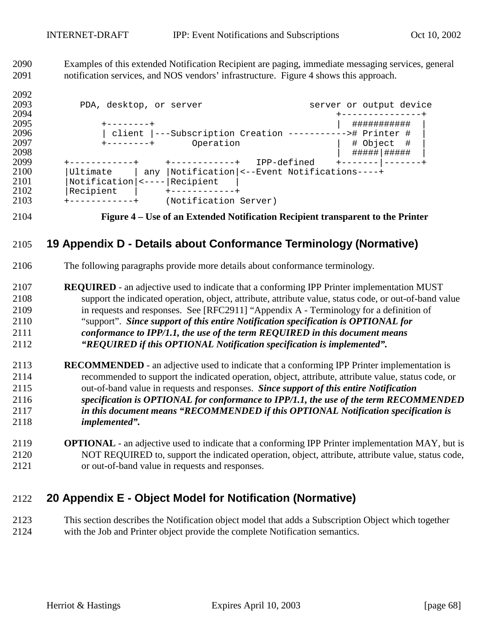Examples of this extended Notification Recipient are paging, immediate messaging services, general notification services, and NOS vendors' infrastructure. Figure 4 shows this approach.

 2093 PDA, desktop, or server server server or output device +---------------+ 2095 +--------+<br>2096 | client |---Subscription Creation ----------># Printer # | client |---Subscription Creation ----------># Printer #<br>+--------+ Operation  $|$  # Object # 2097 +---------+ Operation | # Object #<br>2098 +--------+ Operation | #####|####|#### | #####|##### | +------------+ +------------+ IPP-defined +-------|-------+ |Ultimate | any |Notification|<--Event Notifications----+ 2101 | Notification | <---- | Recipient | 2102 | Recipient | |Recipient | +------------+ +------------+ (Notification Server)

#### **Figure 4 – Use of an Extended Notification Recipient transparent to the Printer**

# **19 Appendix D - Details about Conformance Terminology (Normative)**

The following paragraphs provide more details about conformance terminology.

- **REQUIRED**  an adjective used to indicate that a conforming IPP Printer implementation MUST support the indicated operation, object, attribute, attribute value, status code, or out-of-band value in requests and responses. See [RFC2911] "Appendix A - Terminology for a definition of "support". *Since support of this entire Notification specification is OPTIONAL for conformance to IPP/1.1, the use of the term REQUIRED in this document means "REQUIRED if this OPTIONAL Notification specification is implemented".*
- **RECOMMENDED**  an adjective used to indicate that a conforming IPP Printer implementation is recommended to support the indicated operation, object, attribute, attribute value, status code, or out-of-band value in requests and responses. *Since support of this entire Notification specification is OPTIONAL for conformance to IPP/1.1, the use of the term RECOMMENDED in this document means "RECOMMENDED if this OPTIONAL Notification specification is implemented".*
- **OPTIONAL**  an adjective used to indicate that a conforming IPP Printer implementation MAY, but is NOT REQUIRED to, support the indicated operation, object, attribute, attribute value, status code, or out-of-band value in requests and responses.

# **20 Appendix E - Object Model for Notification (Normative)**

- This section describes the Notification object model that adds a Subscription Object which together
- with the Job and Printer object provide the complete Notification semantics.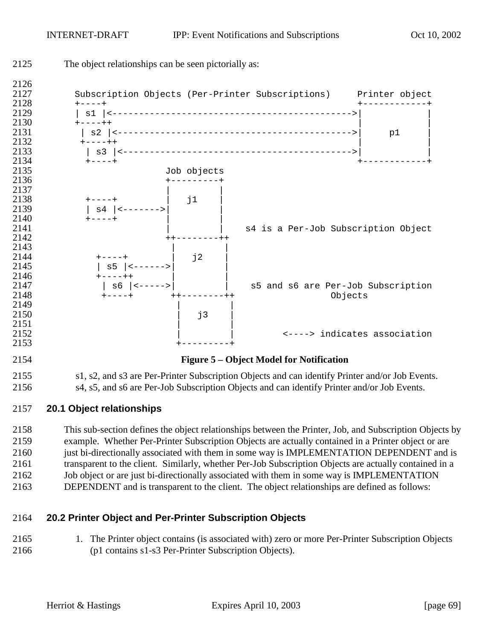

#### DEPENDENT and is transparent to the client. The object relationships are defined as follows:

#### **20.2 Printer Object and Per-Printer Subscription Objects**

 1. The Printer object contains (is associated with) zero or more Per-Printer Subscription Objects (p1 contains s1-s3 Per-Printer Subscription Objects).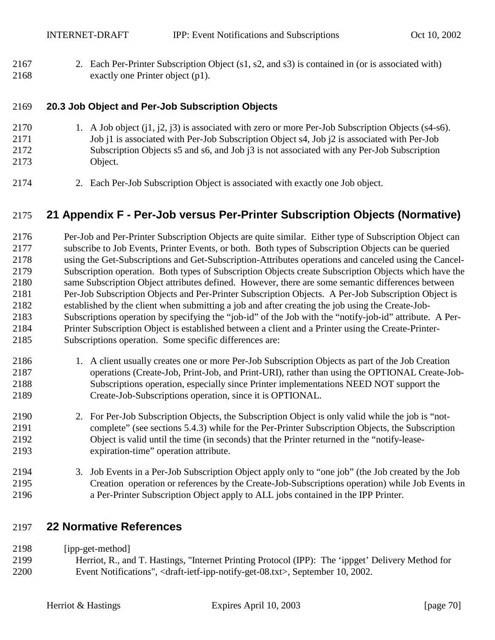2. Each Per-Printer Subscription Object (s1, s2, and s3) is contained in (or is associated with) exactly one Printer object (p1).

#### **20.3 Job Object and Per-Job Subscription Objects**

- 1. A Job object (j1, j2, j3) is associated with zero or more Per-Job Subscription Objects (s4-s6). 2171 Job j1 is associated with Per-Job Subscription Object s4, Job j2 is associated with Per-Job Subscription Objects s5 and s6, and Job j3 is not associated with any Per-Job Subscription Object.
- 2. Each Per-Job Subscription Object is associated with exactly one Job object.

# **21 Appendix F - Per-Job versus Per-Printer Subscription Objects (Normative)**

 Per-Job and Per-Printer Subscription Objects are quite similar. Either type of Subscription Object can subscribe to Job Events, Printer Events, or both. Both types of Subscription Objects can be queried using the Get-Subscriptions and Get-Subscription-Attributes operations and canceled using the Cancel- Subscription operation. Both types of Subscription Objects create Subscription Objects which have the same Subscription Object attributes defined. However, there are some semantic differences between Per-Job Subscription Objects and Per-Printer Subscription Objects. A Per-Job Subscription Object is established by the client when submitting a job and after creating the job using the Create-Job- Subscriptions operation by specifying the "job-id" of the Job with the "notify-job-id" attribute. A Per- Printer Subscription Object is established between a client and a Printer using the Create-Printer-Subscriptions operation. Some specific differences are:

- 1. A client usually creates one or more Per-Job Subscription Objects as part of the Job Creation operations (Create-Job, Print-Job, and Print-URI), rather than using the OPTIONAL Create-Job- Subscriptions operation, especially since Printer implementations NEED NOT support the Create-Job-Subscriptions operation, since it is OPTIONAL.
- 2. For Per-Job Subscription Objects, the Subscription Object is only valid while the job is "not- complete" (see sections [5.4.3\)](#page-31-0) while for the Per-Printer Subscription Objects, the Subscription Object is valid until the time (in seconds) that the Printer returned in the "notify-lease-expiration-time" operation attribute.
- 3. Job Events in a Per-Job Subscription Object apply only to "one job" (the Job created by the Job Creation operation or references by the Create-Job-Subscriptions operation) while Job Events in a Per-Printer Subscription Object apply to ALL jobs contained in the IPP Printer.

# **22 Normative References**

[ipp-get-method]

2199 Herriot, R., and T. Hastings, "Internet Printing Protocol (IPP): The 'ippget' Delivery Method for Event Notifications", <draft-ietf-ipp-notify-get-08.txt>, September 10, 2002.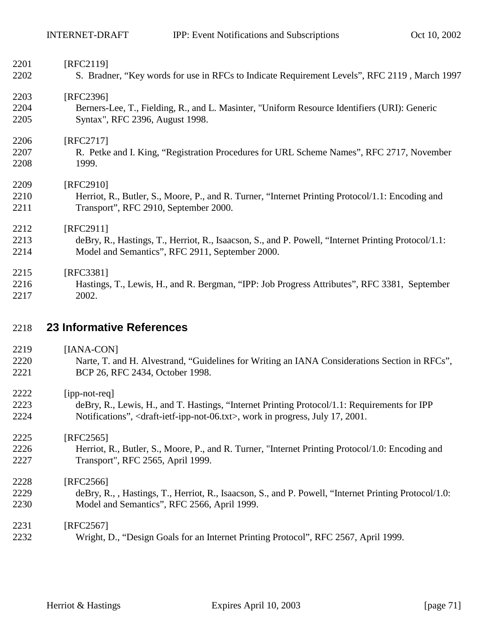| 2201 | [RFC2119]                                                                                                 |
|------|-----------------------------------------------------------------------------------------------------------|
| 2202 | S. Bradner, "Key words for use in RFCs to Indicate Requirement Levels", RFC 2119, March 1997              |
| 2203 | [RFC2396]                                                                                                 |
| 2204 | Berners-Lee, T., Fielding, R., and L. Masinter, "Uniform Resource Identifiers (URI): Generic              |
| 2205 | Syntax", RFC 2396, August 1998.                                                                           |
| 2206 | [RFC2717]                                                                                                 |
| 2207 | R. Petke and I. King, "Registration Procedures for URL Scheme Names", RFC 2717, November                  |
| 2208 | 1999.                                                                                                     |
| 2209 | [RFC2910]                                                                                                 |
| 2210 | Herriot, R., Butler, S., Moore, P., and R. Turner, "Internet Printing Protocol/1.1: Encoding and          |
| 2211 | Transport", RFC 2910, September 2000.                                                                     |
| 2212 | [RFC2911]                                                                                                 |
| 2213 | deBry, R., Hastings, T., Herriot, R., Isaacson, S., and P. Powell, "Internet Printing Protocol/1.1:       |
| 2214 | Model and Semantics", RFC 2911, September 2000.                                                           |
| 2215 | [RFC3381]                                                                                                 |
| 2216 | Hastings, T., Lewis, H., and R. Bergman, "IPP: Job Progress Attributes", RFC 3381, September              |
| 2217 | 2002.                                                                                                     |
| 2218 | <b>23 Informative References</b>                                                                          |
| 2219 | [IANA-CON]                                                                                                |
| 2220 | Narte, T. and H. Alvestrand, "Guidelines for Writing an IANA Considerations Section in RFCs",             |
| 2221 | BCP 26, RFC 2434, October 1998.                                                                           |
| 2222 | [ipp-not-req]                                                                                             |
| 2223 | deBry, R., Lewis, H., and T. Hastings, "Internet Printing Protocol/1.1: Requirements for IPP              |
| 2224 | Notifications", <draft-ietf-ipp-not-06.txt>, work in progress, July 17, 2001.</draft-ietf-ipp-not-06.txt> |
| 2225 | $[RFC2565]$                                                                                               |
| 2226 | Herriot, R., Butler, S., Moore, P., and R. Turner, "Internet Printing Protocol/1.0: Encoding and          |
| 2227 | Transport", RFC 2565, April 1999.                                                                         |

# [RFC2566] 2229 deBry, R., , Hastings, T., Herriot, R., Isaacson, S., and P. Powell, "Internet Printing Protocol/1.0: Model and Semantics", RFC 2566, April 1999.

| 2231 | [RFC2567]                                                                           |
|------|-------------------------------------------------------------------------------------|
| 2232 | Wright, D., "Design Goals for an Internet Printing Protocol", RFC 2567, April 1999. |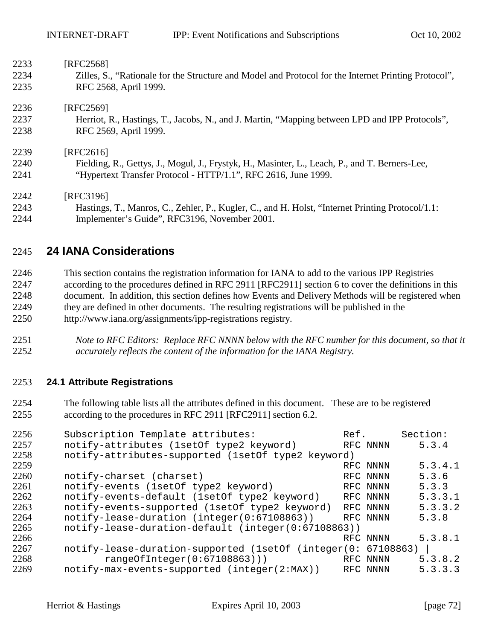| 2233 | [RFC2568]                                                                                            |
|------|------------------------------------------------------------------------------------------------------|
| 2234 | Zilles, S., "Rationale for the Structure and Model and Protocol for the Internet Printing Protocol", |
| 2235 | RFC 2568, April 1999.                                                                                |
| 2236 | [RFC2569]                                                                                            |
| 2237 | Herriot, R., Hastings, T., Jacobs, N., and J. Martin, "Mapping between LPD and IPP Protocols",       |
| 2238 | RFC 2569, April 1999.                                                                                |
| 2239 | [RFC2616]                                                                                            |
| 2240 | Fielding, R., Gettys, J., Mogul, J., Frystyk, H., Masinter, L., Leach, P., and T. Berners-Lee,       |
| 2241 | "Hypertext Transfer Protocol - HTTP/1.1", RFC 2616, June 1999.                                       |
| 2242 | [RFC3196]                                                                                            |
| 2243 | Hastings, T., Manros, C., Zehler, P., Kugler, C., and H. Holst, "Internet Printing Protocol/1.1:     |
| 2244 | Implementer's Guide", RFC3196, November 2001.                                                        |

# **24 IANA Considerations**

 This section contains the registration information for IANA to add to the various IPP Registries according to the procedures defined in RFC 2911 [RFC2911] section 6 to cover the definitions in this document. In addition, this section defines how Events and Delivery Methods will be registered when they are defined in other documents. The resulting registrations will be published in the http://www.iana.org/assignments/ipp-registrations registry.

 *Note to RFC Editors: Replace RFC NNNN below with the RFC number for this document, so that it accurately reflects the content of the information for the IANA Registry.* 

#### **24.1 Attribute Registrations**

 The following table lists all the attributes defined in this document. These are to be registered according to the procedures in RFC 2911 [RFC2911] section 6.2.

| 2256 | Subscription Template attributes:                             | Ref. |          | Section: |
|------|---------------------------------------------------------------|------|----------|----------|
| 2257 | notify-attributes (1setOf type2 keyword)                      |      | RFC NNNN | 5.3.4    |
| 2258 | notify-attributes-supported (1setOf type2 keyword)            |      |          |          |
| 2259 |                                                               |      | RFC NNNN | 5.3.4.1  |
| 2260 | notify-charset (charset)                                      |      | RFC NNNN | 5.3.6    |
| 2261 | notify-events (1setOf type2 keyword)                          |      | RFC NNNN | 5.3.3    |
| 2262 | notify-events-default (1setOf type2 keyword)                  |      | RFC NNNN | 5.3.3.1  |
| 2263 | notify-events-supported (1set of type2 keyword)               |      | RFC NNNN | 5.3.3.2  |
| 2264 | notify-lease-duration (integer(0:67108863))                   |      | RFC NNNN | 5.3.8    |
| 2265 | notify-lease-duration-default (integer(0:67108863))           |      |          |          |
| 2266 |                                                               |      | RFC NNNN | 5.3.8.1  |
| 2267 | notify-lease-duration-supported (1setOf (integer(0: 67108863) |      |          |          |
| 2268 | rangeOfInteger(0:67108863))                                   |      | RFC NNNN | 5.3.8.2  |
| 2269 | notify-max-events-supported (integer(2:MAX))                  |      | RFC NNNN | 5.3.3.3  |
|      |                                                               |      |          |          |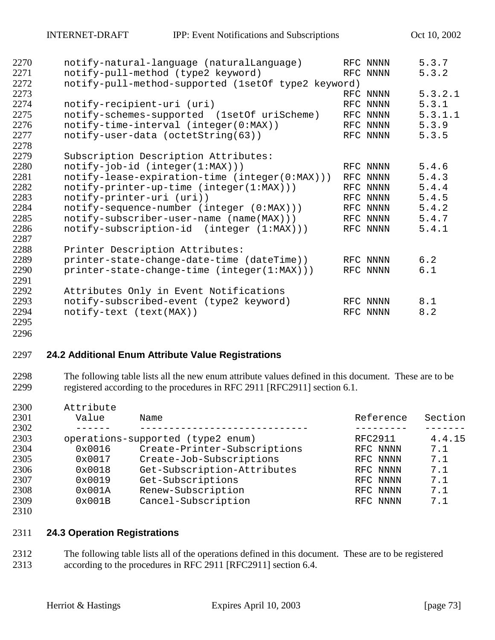| 2270 | notify-natural-language (naturalLanguage)           | RFC NNNN | 5.3.7   |
|------|-----------------------------------------------------|----------|---------|
| 2271 | notify-pull-method (type2 keyword)                  | RFC NNNN | 5.3.2   |
| 2272 | notify-pull-method-supported (1setOf type2 keyword) |          |         |
| 2273 |                                                     | RFC NNNN | 5.3.2.1 |
| 2274 | notify-recipient-uri (uri)                          | RFC NNNN | 5.3.1   |
| 2275 | notify-schemes-supported (1setOf uriScheme)         | RFC NNNN | 5.3.1.1 |
| 2276 | notify-time-interval (integer(0:MAX))               | RFC NNNN | 5.3.9   |
| 2277 | notify-user-data (octetString(63))                  | RFC NNNN | 5.3.5   |
| 2278 |                                                     |          |         |
| 2279 | Subscription Description Attributes:                |          |         |
| 2280 | $notify-job-id (integer(1:MAX)))$                   | RFC NNNN | 5.4.6   |
| 2281 | notify-lease-expiration-time (integer(0:MAX)))      | RFC NNNN | 5.4.3   |
| 2282 | $notify-printer-up-time (integer(1:MAX)))$          | RFC NNNN | 5.4.4   |
| 2283 | notify-printer-uri (uri))                           | RFC NNNN | 5.4.5   |
| 2284 | notify-sequence-number (integer (0:MAX)))           | RFC NNNN | 5.4.2   |
| 2285 | notify-subscriber-user-name (name(MAX)))            | RFC NNNN | 5.4.7   |
| 2286 | notify-subscription-id (integer (1:MAX)))           | RFC NNNN | 5.4.1   |
| 2287 |                                                     |          |         |
| 2288 | Printer Description Attributes:                     |          |         |
| 2289 | printer-state-change-date-time (dateTime))          | RFC NNNN | 6.2     |
| 2290 | printer-state-change-time (integer(1:MAX)))         | RFC NNNN | 6.1     |
| 2291 |                                                     |          |         |
| 2292 | Attributes Only in Event Notifications              |          |         |
| 2293 | notify-subscribed-event (type2 keyword)             | RFC NNNN | 8.1     |
| 2294 | notify-text (text(MAX))                             | RFC NNNN | 8.2     |
| 2295 |                                                     |          |         |

## **24.2 Additional Enum Attribute Value Registrations**

 The following table lists all the new enum attribute values defined in this document. These are to be registered according to the procedures in RFC 2911 [RFC2911] section 6.1.

| 2300 | Attribute |                                   |                |         |
|------|-----------|-----------------------------------|----------------|---------|
| 2301 | Value     | Name                              | Reference      | Section |
| 2302 |           |                                   |                |         |
| 2303 |           | operations-supported (type2 enum) | <b>RFC2911</b> | 4.4.15  |
| 2304 | 0x0016    | Create-Printer-Subscriptions      | RFC NNNN       | 7.1     |
| 2305 | 0x0017    | Create-Job-Subscriptions          | RFC NNNN       | 7.1     |
| 2306 | 0x0018    | Get-Subscription-Attributes       | RFC NNNN       | 7.1     |
| 2307 | 0x0019    | Get-Subscriptions                 | RFC NNNN       | 7.1     |
| 2308 | 0x001A    | Renew-Subscription                | RFC NNNN       | 7.1     |
| 2309 | 0x001B    | Cancel-Subscription               | RFC NNNN       | 7.1     |
|      |           |                                   |                |         |

### **24.3 Operation Registrations**

 The following table lists all of the operations defined in this document. These are to be registered according to the procedures in RFC 2911 [RFC2911] section 6.4.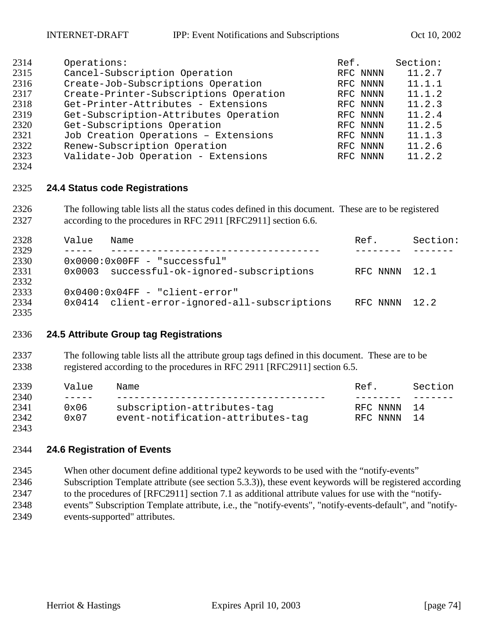| 2314 | Operations:                            | Ref.     | Section: |
|------|----------------------------------------|----------|----------|
| 2315 | Cancel-Subscription Operation          | RFC NNNN | 11.2.7   |
| 2316 | Create-Job-Subscriptions Operation     | RFC NNNN | 11.1.1   |
| 2317 | Create-Printer-Subscriptions Operation | RFC NNNN | 11.1.2   |
| 2318 | Get-Printer-Attributes - Extensions    | RFC NNNN | 11.2.3   |
| 2319 | Get-Subscription-Attributes Operation  | RFC NNNN | 11.2.4   |
| 2320 | Get-Subscriptions Operation            | RFC NNNN | 11.2.5   |
| 2321 | Job Creation Operations - Extensions   | RFC NNNN | 11.1.3   |
| 2322 | Renew-Subscription Operation           | RFC NNNN | 11.2.6   |
| 2323 | Validate-Job Operation - Extensions    | RFC NNNN | 11.2.2   |
|      |                                        |          |          |

### **24.4 Status code Registrations**

 The following table lists all the status codes defined in this document. These are to be registered according to the procedures in RFC 2911 [RFC2911] section 6.6.

| 2328 | Value<br>Name                                 | Ref.     | Section: |
|------|-----------------------------------------------|----------|----------|
| 2329 |                                               |          |          |
| 2330 | $0x0000:0x00FF - "successful"$                |          |          |
| 2331 | 0x0003 successful-ok-ignored-subscriptions    | RFC NNNN | 12.1     |
| 2332 |                                               |          |          |
| 2333 | $0x0400:0x04FF - "client-error"$              |          |          |
| 2334 | 0x0414 client-error-ignored-all-subscriptions | RFC NNNN | 12.2     |
| 2335 |                                               |          |          |

### **24.5 Attribute Group tag Registrations**

 The following table lists all the attribute group tags defined in this document. These are to be registered according to the procedures in RFC 2911 [RFC2911] section 6.5.

| 2339 | Value         | Name                              | Ref         | Section |
|------|---------------|-----------------------------------|-------------|---------|
| 2340 | $   -$        |                                   |             |         |
| 2341 | $0 \times 06$ | subscription-attributes-tag       | RFC NNNN 14 |         |
| 2342 | $0 \times 07$ | event-notification-attributes-tag | RFC NNNN 14 |         |
| 2343 |               |                                   |             |         |

### **24.6 Registration of Events**

 When other document define additional type2 keywords to be used with the "notify-events" Subscription Template attribute (see section [5.3.3\)](#page-19-0)), these event keywords will be registered according to the procedures of [RFC2911] section 7.1 as additional attribute values for use with the "notify- events" Subscription Template attribute, i.e., the "notify-events", "notify-events-default", and "notify-events-supported" attributes.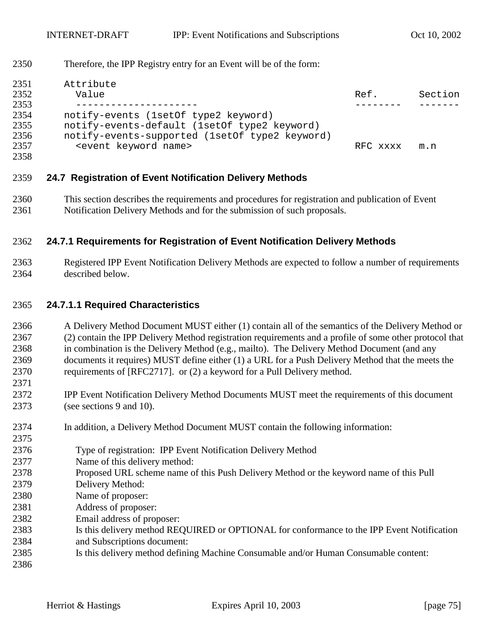### Therefore, the IPP Registry entry for an Event will be of the form:

| 2351 | Attribute                                      |          |         |
|------|------------------------------------------------|----------|---------|
| 2352 | Value                                          | Ref.     | Section |
| 2353 |                                                |          |         |
| 2354 | notify-events (1setOf type2 keyword)           |          |         |
| 2355 | notify-events-default (1setOf type2 keyword)   |          |         |
| 2356 | notify-events-supported (1set0f type2 keyword) |          |         |
| 2357 | <event keyword="" name=""></event>             | RFC xxxx | m.n     |
| 2358 |                                                |          |         |

## **24.7 Registration of Event Notification Delivery Methods**

 This section describes the requirements and procedures for registration and publication of Event Notification Delivery Methods and for the submission of such proposals.

## **24.7.1 Requirements for Registration of Event Notification Delivery Methods**

 Registered IPP Event Notification Delivery Methods are expected to follow a number of requirements described below.

### **24.7.1.1 Required Characteristics**

- A Delivery Method Document MUST either (1) contain all of the semantics of the Delivery Method or (2) contain the IPP Delivery Method registration requirements and a profile of some other protocol that in combination is the Delivery Method (e.g., mailto). The Delivery Method Document (and any documents it requires) MUST define either (1) a URL for a Push Delivery Method that the meets the requirements of [RFC2717]. or (2) a keyword for a Pull Delivery method.
- IPP Event Notification Delivery Method Documents MUST meet the requirements of this document (see sections [9](#page-35-0) and [10\)](#page-43-0).
- In addition, a Delivery Method Document MUST contain the following information:
- Type of registration: IPP Event Notification Delivery Method
- Name of this delivery method:
- Proposed URL scheme name of this Push Delivery Method or the keyword name of this Pull
- Delivery Method:
- Name of proposer:
- Address of proposer:
- Email address of proposer:
- Is this delivery method REQUIRED or OPTIONAL for conformance to the IPP Event Notification
- and Subscriptions document:
- Is this delivery method defining Machine Consumable and/or Human Consumable content:
-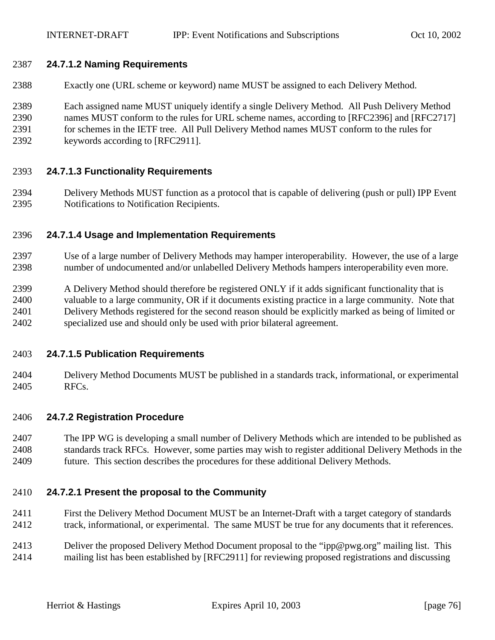## **24.7.1.2 Naming Requirements**

- Exactly one (URL scheme or keyword) name MUST be assigned to each Delivery Method.
- Each assigned name MUST uniquely identify a single Delivery Method. All Push Delivery Method names MUST conform to the rules for URL scheme names, according to [RFC2396] and [RFC2717] for schemes in the IETF tree. All Pull Delivery Method names MUST conform to the rules for keywords according to [RFC2911].

## **24.7.1.3 Functionality Requirements**

 Delivery Methods MUST function as a protocol that is capable of delivering (push or pull) IPP Event Notifications to Notification Recipients.

## **24.7.1.4 Usage and Implementation Requirements**

- Use of a large number of Delivery Methods may hamper interoperability. However, the use of a large number of undocumented and/or unlabelled Delivery Methods hampers interoperability even more.
- A Delivery Method should therefore be registered ONLY if it adds significant functionality that is valuable to a large community, OR if it documents existing practice in a large community. Note that Delivery Methods registered for the second reason should be explicitly marked as being of limited or specialized use and should only be used with prior bilateral agreement.

### **24.7.1.5 Publication Requirements**

 Delivery Method Documents MUST be published in a standards track, informational, or experimental RFCs.

### **24.7.2 Registration Procedure**

 The IPP WG is developing a small number of Delivery Methods which are intended to be published as standards track RFCs. However, some parties may wish to register additional Delivery Methods in the future. This section describes the procedures for these additional Delivery Methods.

## **24.7.2.1 Present the proposal to the Community**

- First the Delivery Method Document MUST be an Internet-Draft with a target category of standards track, informational, or experimental. The same MUST be true for any documents that it references.
- Deliver the proposed Delivery Method Document proposal to the "ipp@pwg.org" mailing list. This mailing list has been established by [RFC2911] for reviewing proposed registrations and discussing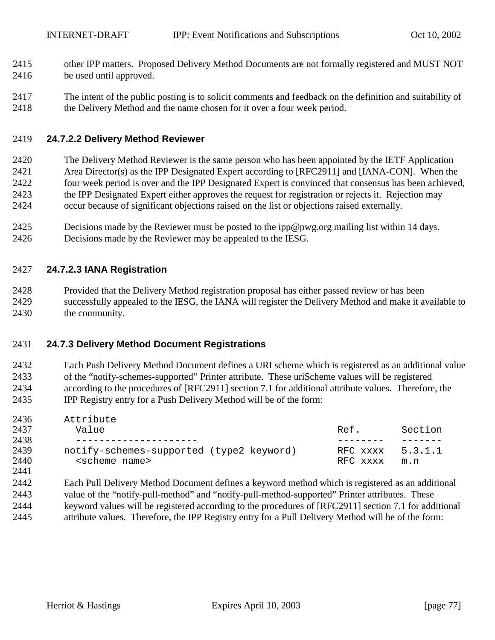- other IPP matters. Proposed Delivery Method Documents are not formally registered and MUST NOT be used until approved.
- The intent of the public posting is to solicit comments and feedback on the definition and suitability of the Delivery Method and the name chosen for it over a four week period.

## **24.7.2.2 Delivery Method Reviewer**

- The Delivery Method Reviewer is the same person who has been appointed by the IETF Application Area Director(s) as the IPP Designated Expert according to [RFC2911] and [IANA-CON]. When the four week period is over and the IPP Designated Expert is convinced that consensus has been achieved, the IPP Designated Expert either approves the request for registration or rejects it. Rejection may occur because of significant objections raised on the list or objections raised externally.
- Decisions made by the Reviewer must be posted to the ipp@pwg.org mailing list within 14 days. Decisions made by the Reviewer may be appealed to the IESG.

## **24.7.2.3 IANA Registration**

 Provided that the Delivery Method registration proposal has either passed review or has been successfully appealed to the IESG, the IANA will register the Delivery Method and make it available to the community.

## **24.7.3 Delivery Method Document Registrations**

 Each Push Delivery Method Document defines a URI scheme which is registered as an additional value of the "notify-schemes-supported" Printer attribute. These uriScheme values will be registered according to the procedures of [RFC2911] section 7.1 for additional attribute values. Therefore, the IPP Registry entry for a Push Delivery Method will be of the form:

| 2436 | Attribute                                |                  |         |
|------|------------------------------------------|------------------|---------|
| 2437 | Value                                    | Ref.             | Section |
| 2438 |                                          |                  |         |
| 2439 | notify-schemes-supported (type2 keyword) | RFC xxxx 5.3.1.1 |         |
| 2440 | <scheme name=""></scheme>                | RFC xxxx         | m.n     |
| 2441 |                                          |                  |         |

 Each Pull Delivery Method Document defines a keyword method which is registered as an additional value of the "notify-pull-method" and "notify-pull-method-supported" Printer attributes. These keyword values will be registered according to the procedures of [RFC2911] section 7.1 for additional attribute values. Therefore, the IPP Registry entry for a Pull Delivery Method will be of the form: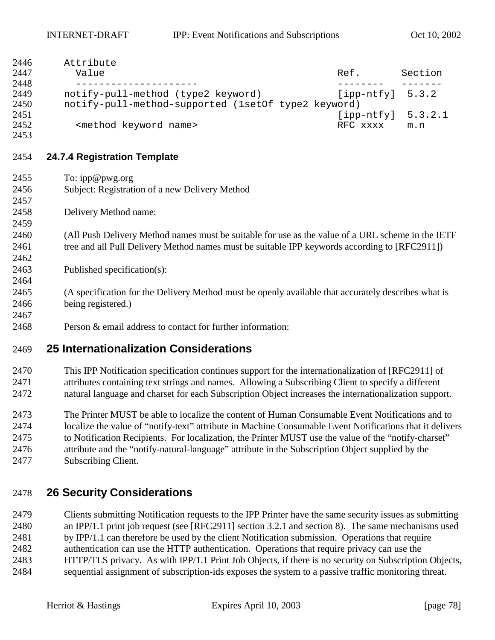| 2446<br>2447 | Attribute<br>Value                                                                                  | Ref.                 | Section |
|--------------|-----------------------------------------------------------------------------------------------------|----------------------|---------|
| 2448<br>2449 | notify-pull-method (type2 keyword)                                                                  | $[ipp-ntfy]$ 5.3.2   |         |
| 2450         | notify-pull-method-supported (1setOf type2 keyword)                                                 |                      |         |
| 2451         |                                                                                                     | $[ipp-ntfy] 5.3.2.1$ |         |
| 2452         | <method keyword="" name=""></method>                                                                | RFC xxxx             | m.n     |
| 2453         |                                                                                                     |                      |         |
| 2454         | 24.7.4 Registration Template                                                                        |                      |         |
| 2455         | To: ipp@pwg.org                                                                                     |                      |         |
| 2456         | Subject: Registration of a new Delivery Method                                                      |                      |         |
| 2457         |                                                                                                     |                      |         |
| 2458         | Delivery Method name:                                                                               |                      |         |
| 2459         |                                                                                                     |                      |         |
| 2460         | (All Push Delivery Method names must be suitable for use as the value of a URL scheme in the IETF   |                      |         |
| 2461         | tree and all Pull Delivery Method names must be suitable IPP keywords according to [RFC2911])       |                      |         |
| 2462         |                                                                                                     |                      |         |
| 2463         | Published specification(s):                                                                         |                      |         |
| 2464         |                                                                                                     |                      |         |
| 2465         | (A specification for the Delivery Method must be openly available that accurately describes what is |                      |         |
| 2466         | being registered.)                                                                                  |                      |         |
| 2467         |                                                                                                     |                      |         |
| 2468         | Person & email address to contact for further information:                                          |                      |         |
| 2469         | 25 Internationalization Considerations                                                              |                      |         |

## **25 Internationalization Considerations**

 This IPP Notification specification continues support for the internationalization of [RFC2911] of attributes containing text strings and names. Allowing a Subscribing Client to specify a different natural language and charset for each Subscription Object increases the internationalization support.

 The Printer MUST be able to localize the content of Human Consumable Event Notifications and to localize the value of "notify-text" attribute in Machine Consumable Event Notifications that it delivers to Notification Recipients. For localization, the Printer MUST use the value of the "notify-charset" attribute and the "notify-natural-language" attribute in the Subscription Object supplied by the Subscribing Client.

# **26 Security Considerations**

 Clients submitting Notification requests to the IPP Printer have the same security issues as submitting an IPP/1.1 print job request (see [RFC2911] section 3.2.1 and section 8). The same mechanisms used by IPP/1.1 can therefore be used by the client Notification submission. Operations that require authentication can use the HTTP authentication. Operations that require privacy can use the HTTP/TLS privacy. As with IPP/1.1 Print Job Objects, if there is no security on Subscription Objects, sequential assignment of subscription-ids exposes the system to a passive traffic monitoring threat.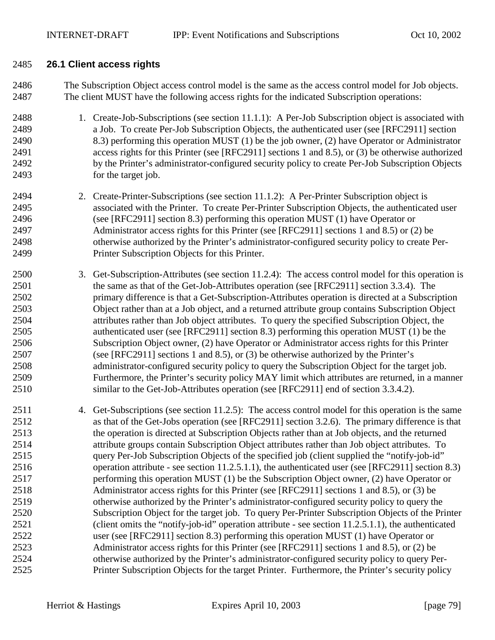### **26.1 Client access rights**

 The Subscription Object access control model is the same as the access control model for Job objects. The client MUST have the following access rights for the indicated Subscription operations:

- 1. Create-Job-Subscriptions (see section [11.1.1\)](#page-45-0): A Per-Job Subscription object is associated with a Job. To create Per-Job Subscription Objects, the authenticated user (see [RFC2911] section 8.3) performing this operation MUST (1) be the job owner, (2) have Operator or Administrator access rights for this Printer (see [RFC2911] sections 1 and 8.5), or (3) be otherwise authorized by the Printer's administrator-configured security policy to create Per-Job Subscription Objects for the target job.
- 2. Create-Printer-Subscriptions (see section [11.1.2\)](#page-47-0): A Per-Printer Subscription object is associated with the Printer. To create Per-Printer Subscription Objects, the authenticated user (see [RFC2911] section 8.3) performing this operation MUST (1) have Operator or Administrator access rights for this Printer (see [RFC2911] sections 1 and 8.5) or (2) be otherwise authorized by the Printer's administrator-configured security policy to create Per-Printer Subscription Objects for this Printer.
- 3. Get-Subscription-Attributes (see section [11.2.4\)](#page-52-0): The access control model for this operation is the same as that of the Get-Job-Attributes operation (see [RFC2911] section 3.3.4). The primary difference is that a Get-Subscription-Attributes operation is directed at a Subscription Object rather than at a Job object, and a returned attribute group contains Subscription Object attributes rather than Job object attributes. To query the specified Subscription Object, the authenticated user (see [RFC2911] section 8.3) performing this operation MUST (1) be the Subscription Object owner, (2) have Operator or Administrator access rights for this Printer (see [RFC2911] sections 1 and 8.5), or (3) be otherwise authorized by the Printer's administrator-configured security policy to query the Subscription Object for the target job. Furthermore, the Printer's security policy MAY limit which attributes are returned, in a manner similar to the Get-Job-Attributes operation (see [RFC2911] end of section 3.3.4.2).
- 4. Get-Subscriptions (see section [11.2.5\)](#page-54-0): The access control model for this operation is the same as that of the Get-Jobs operation (see [RFC2911] section 3.2.6). The primary difference is that the operation is directed at Subscription Objects rather than at Job objects, and the returned attribute groups contain Subscription Object attributes rather than Job object attributes. To query Per-Job Subscription Objects of the specified job (client supplied the "notify-job-id" operation attribute - see section [11.2.5.1.1\)](#page-55-0), the authenticated user (see [RFC2911] section 8.3) performing this operation MUST (1) be the Subscription Object owner, (2) have Operator or Administrator access rights for this Printer (see [RFC2911] sections 1 and 8.5), or (3) be otherwise authorized by the Printer's administrator-configured security policy to query the Subscription Object for the target job. To query Per-Printer Subscription Objects of the Printer (client omits the "notify-job-id" operation attribute - see section [11.2.5.1.1\)](#page-55-0), the authenticated user (see [RFC2911] section 8.3) performing this operation MUST (1) have Operator or Administrator access rights for this Printer (see [RFC2911] sections 1 and 8.5), or (2) be otherwise authorized by the Printer's administrator-configured security policy to query Per-Printer Subscription Objects for the target Printer. Furthermore, the Printer's security policy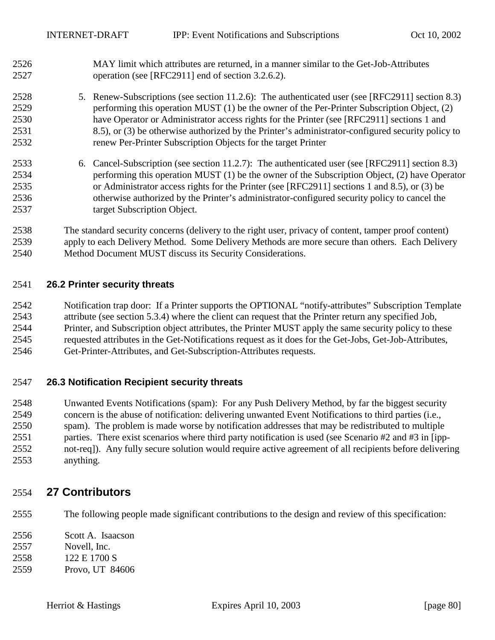- MAY limit which attributes are returned, in a manner similar to the Get-Job-Attributes operation (see [RFC2911] end of section 3.2.6.2).
- 5. Renew-Subscriptions (see section [11.2.6\)](#page-57-0): The authenticated user (see [RFC2911] section 8.3) performing this operation MUST (1) be the owner of the Per-Printer Subscription Object, (2) have Operator or Administrator access rights for the Printer (see [RFC2911] sections 1 and 8.5), or (3) be otherwise authorized by the Printer's administrator-configured security policy to renew Per-Printer Subscription Objects for the target Printer
- 6. Cancel-Subscription (see section [11.2.7\)](#page-59-0): The authenticated user (see [RFC2911] section 8.3) performing this operation MUST (1) be the owner of the Subscription Object, (2) have Operator or Administrator access rights for the Printer (see [RFC2911] sections 1 and 8.5), or (3) be otherwise authorized by the Printer's administrator-configured security policy to cancel the target Subscription Object.
- The standard security concerns (delivery to the right user, privacy of content, tamper proof content) apply to each Delivery Method. Some Delivery Methods are more secure than others. Each Delivery Method Document MUST discuss its Security Considerations.

## **26.2 Printer security threats**

 Notification trap door: If a Printer supports the OPTIONAL "notify-attributes" Subscription Template attribute (see section [5.3.4\)](#page-25-0) where the client can request that the Printer return any specified Job, Printer, and Subscription object attributes, the Printer MUST apply the same security policy to these requested attributes in the Get-Notifications request as it does for the Get-Jobs, Get-Job-Attributes, Get-Printer-Attributes, and Get-Subscription-Attributes requests.

## **26.3 Notification Recipient security threats**

 Unwanted Events Notifications (spam): For any Push Delivery Method, by far the biggest security concern is the abuse of notification: delivering unwanted Event Notifications to third parties (i.e., spam). The problem is made worse by notification addresses that may be redistributed to multiple parties. There exist scenarios where third party notification is used (see Scenario #2 and #3 in [ipp- not-req]). Any fully secure solution would require active agreement of all recipients before delivering anything.

## **27 Contributors**

- The following people made significant contributions to the design and review of this specification:
- Scott A. Isaacson
- Novell, Inc.
- 122 E 1700 S
- Provo, UT 84606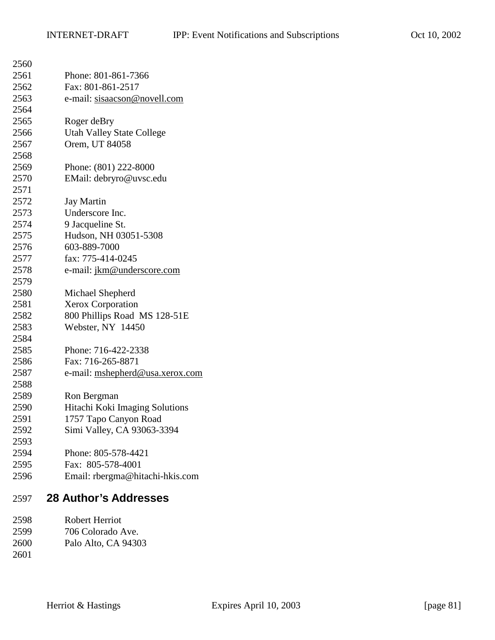| 2560 |                                  |
|------|----------------------------------|
| 2561 | Phone: 801-861-7366              |
| 2562 | Fax: 801-861-2517                |
| 2563 | e-mail: sisaacson@novell.com     |
| 2564 |                                  |
| 2565 | Roger deBry                      |
| 2566 | <b>Utah Valley State College</b> |
| 2567 | Orem, UT 84058                   |
| 2568 |                                  |
| 2569 | Phone: (801) 222-8000            |
| 2570 | EMail: debryro@uvsc.edu          |
| 2571 |                                  |
| 2572 | <b>Jay Martin</b>                |
| 2573 | Underscore Inc.                  |
| 2574 | 9 Jacqueline St.                 |
| 2575 | Hudson, NH 03051-5308            |
| 2576 | 603-889-7000                     |
| 2577 | fax: 775-414-0245                |
| 2578 | e-mail: jkm@underscore.com       |
| 2579 |                                  |
| 2580 | Michael Shepherd                 |
| 2581 | <b>Xerox Corporation</b>         |
| 2582 | 800 Phillips Road MS 128-51E     |
| 2583 | Webster, NY 14450                |
| 2584 |                                  |
| 2585 | Phone: 716-422-2338              |
| 2586 | Fax: 716-265-8871                |
| 2587 | e-mail: mshepherd@usa.xerox.com  |
| 2588 |                                  |
| 2589 | Ron Bergman                      |
| 2590 | Hitachi Koki Imaging Solutions   |
| 2591 | 1757 Tapo Canyon Road            |
| 2592 | Simi Valley, CA 93063-3394       |
| 2593 |                                  |
| 2594 | Phone: 805-578-4421              |
| 2595 | Fax: 805-578-4001                |
| 2596 | Email: rbergma@hitachi-hkis.com  |
| 2597 | <b>28 Author's Addresses</b>     |
| 2598 | <b>Robert Herriot</b>            |

- 2599 706 Colorado Ave.<br>2600 Palo Alto, CA 9430
- Palo Alto, CA 94303
-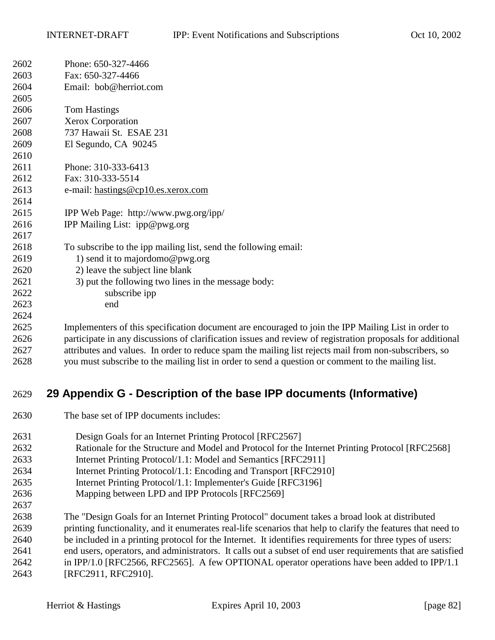| 2602 | Phone: 650-327-4466                                                                                        |
|------|------------------------------------------------------------------------------------------------------------|
| 2603 | Fax: 650-327-4466                                                                                          |
| 2604 | Email: bob@herriot.com                                                                                     |
| 2605 |                                                                                                            |
| 2606 | <b>Tom Hastings</b>                                                                                        |
| 2607 | Xerox Corporation                                                                                          |
| 2608 | 737 Hawaii St. ESAE 231                                                                                    |
| 2609 | El Segundo, CA 90245                                                                                       |
| 2610 |                                                                                                            |
| 2611 | Phone: 310-333-6413                                                                                        |
| 2612 | Fax: 310-333-5514                                                                                          |
| 2613 | e-mail: hastings@cp10.es.xerox.com                                                                         |
| 2614 |                                                                                                            |
| 2615 | IPP Web Page: http://www.pwg.org/ipp/                                                                      |
| 2616 | IPP Mailing List: ipp@pwg.org                                                                              |
| 2617 |                                                                                                            |
| 2618 | To subscribe to the ipp mailing list, send the following email:                                            |
| 2619 | 1) send it to majordomo@pwg.org                                                                            |
| 2620 | 2) leave the subject line blank                                                                            |
| 2621 | 3) put the following two lines in the message body:                                                        |
| 2622 | subscribe ipp                                                                                              |
| 2623 | end                                                                                                        |
| 2624 |                                                                                                            |
| 2625 | Implementers of this specification document are encouraged to join the IPP Mailing List in order to        |
| 2626 | participate in any discussions of clarification issues and review of registration proposals for additional |
| 2627 | attributes and values. In order to reduce spam the mailing list rejects mail from non-subscribers, so      |

you must subscribe to the mailing list in order to send a question or comment to the mailing list.

## **29 Appendix G - Description of the base IPP documents (Informative)**

- The base set of IPP documents includes:
- Design Goals for an Internet Printing Protocol [RFC2567]
- Rationale for the Structure and Model and Protocol for the Internet Printing Protocol [RFC2568]
- Internet Printing Protocol/1.1: Model and Semantics [RFC2911]
- Internet Printing Protocol/1.1: Encoding and Transport [RFC2910]
- Internet Printing Protocol/1.1: Implementer's Guide [RFC3196]
- Mapping between LPD and IPP Protocols [RFC2569]
- The "Design Goals for an Internet Printing Protocol" document takes a broad look at distributed printing functionality, and it enumerates real-life scenarios that help to clarify the features that need to be included in a printing protocol for the Internet. It identifies requirements for three types of users: end users, operators, and administrators. It calls out a subset of end user requirements that are satisfied in IPP/1.0 [RFC2566, RFC2565]. A few OPTIONAL operator operations have been added to IPP/1.1 [RFC2911, RFC2910].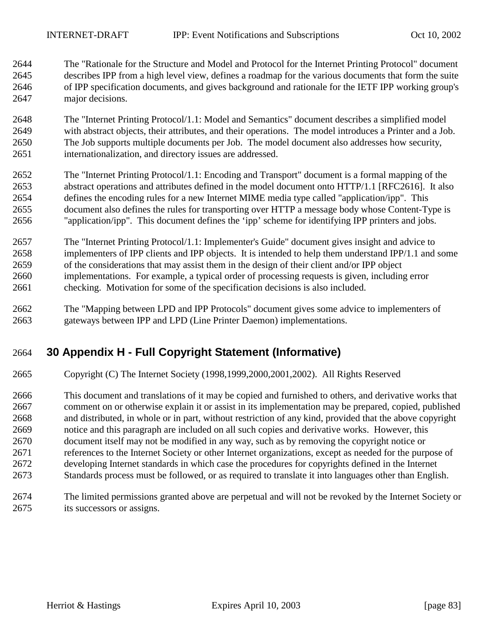The "Rationale for the Structure and Model and Protocol for the Internet Printing Protocol" document describes IPP from a high level view, defines a roadmap for the various documents that form the suite of IPP specification documents, and gives background and rationale for the IETF IPP working group's major decisions.

 The "Internet Printing Protocol/1.1: Model and Semantics" document describes a simplified model with abstract objects, their attributes, and their operations. The model introduces a Printer and a Job. The Job supports multiple documents per Job. The model document also addresses how security, internationalization, and directory issues are addressed.

 The "Internet Printing Protocol/1.1: Encoding and Transport" document is a formal mapping of the abstract operations and attributes defined in the model document onto HTTP/1.1 [RFC2616]. It also defines the encoding rules for a new Internet MIME media type called "application/ipp". This document also defines the rules for transporting over HTTP a message body whose Content-Type is "application/ipp". This document defines the 'ipp' scheme for identifying IPP printers and jobs.

 The "Internet Printing Protocol/1.1: Implementer's Guide" document gives insight and advice to implementers of IPP clients and IPP objects. It is intended to help them understand IPP/1.1 and some of the considerations that may assist them in the design of their client and/or IPP object implementations. For example, a typical order of processing requests is given, including error checking. Motivation for some of the specification decisions is also included.

 The "Mapping between LPD and IPP Protocols" document gives some advice to implementers of gateways between IPP and LPD (Line Printer Daemon) implementations.

# **30 Appendix H - Full Copyright Statement (Informative)**

Copyright (C) The Internet Society (1998,1999,2000,2001,2002). All Rights Reserved

 This document and translations of it may be copied and furnished to others, and derivative works that comment on or otherwise explain it or assist in its implementation may be prepared, copied, published and distributed, in whole or in part, without restriction of any kind, provided that the above copyright notice and this paragraph are included on all such copies and derivative works. However, this document itself may not be modified in any way, such as by removing the copyright notice or references to the Internet Society or other Internet organizations, except as needed for the purpose of developing Internet standards in which case the procedures for copyrights defined in the Internet Standards process must be followed, or as required to translate it into languages other than English.

 The limited permissions granted above are perpetual and will not be revoked by the Internet Society or its successors or assigns.